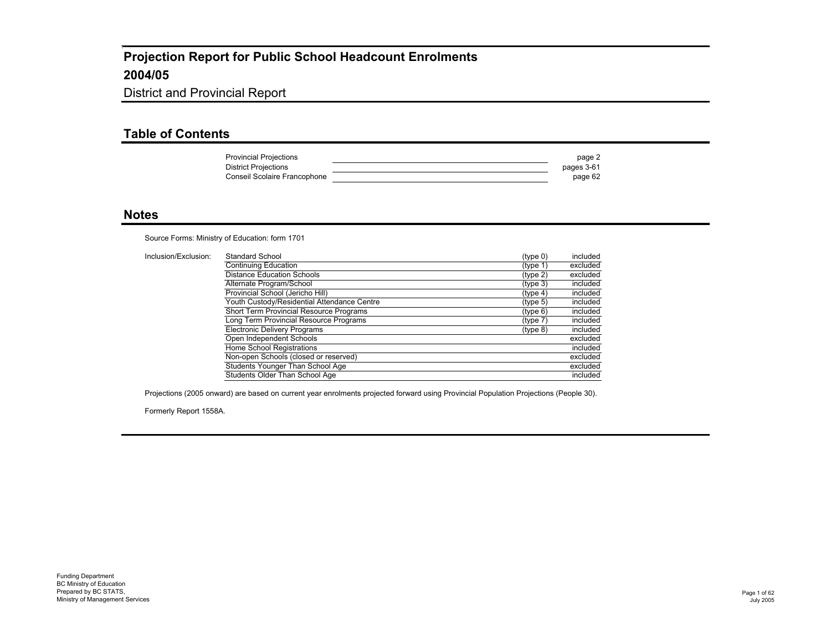#### District and Provincial Report

#### **Table of Contents**

| <b>Provincial Projections</b> | page 2     |
|-------------------------------|------------|
| <b>District Projections</b>   | pages 3-61 |
| Conseil Scolaire Francophone  | page 62    |

#### **Notes**

Source Forms: Ministry of Education: form 1701

| Inclusion/Exclusion: | Standard School                             | (tvpe 0) | included |
|----------------------|---------------------------------------------|----------|----------|
|                      | Continuing Education                        | (type 1) | excluded |
|                      | Distance Education Schools                  | (type 2) | excluded |
|                      | Alternate Program/School                    | (tvpe 3) | included |
|                      | Provincial School (Jericho Hill)            | (tvpe 4) | included |
|                      | Youth Custody/Residential Attendance Centre | (tvpe 5) | included |
|                      | Short Term Provincial Resource Programs     | (tvpe 6) | included |
|                      | Long Term Provincial Resource Programs      | (tvpe 7) | included |
|                      | <b>Electronic Delivery Programs</b>         | (type 8) | included |
|                      | Open Independent Schools                    |          | excluded |
|                      | Home School Registrations                   |          | included |
|                      | Non-open Schools (closed or reserved)       |          | excluded |
|                      | Students Younger Than School Age            |          | excluded |
|                      | Students Older Than School Age              |          | included |

Projections (2005 onward) are based on current year enrolments projected forward using Provincial Population Projections (People 30).

Formerly Report 1558A.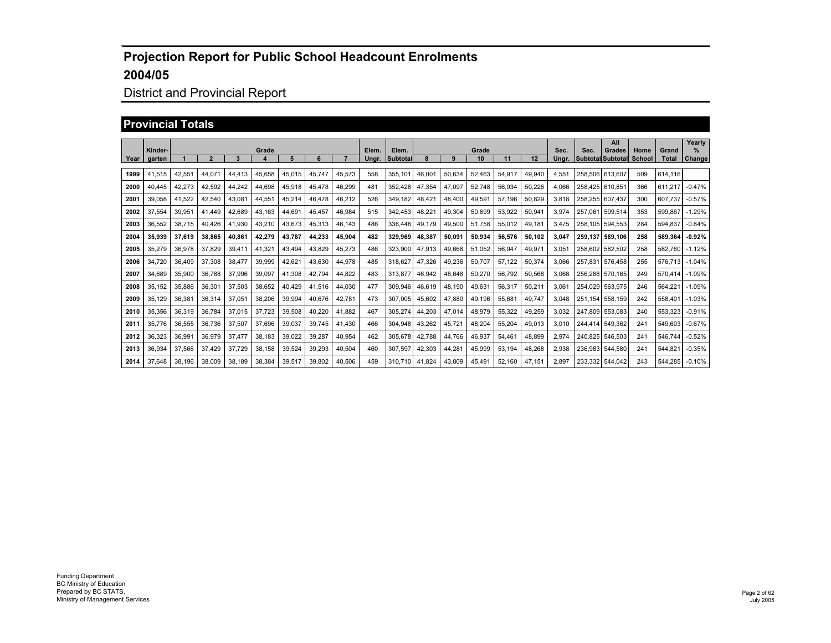## District and Provincial Report

#### **Provincial Totals**

|      | Kinder-       |        |                |        | Grade  |        |        |        | Elem. | Elem.           |        |        | Grade  |        |        | Sec.  | Sec.            | All<br><b>Grades</b>     | Home          | Grand        | Yearly<br>% |
|------|---------------|--------|----------------|--------|--------|--------|--------|--------|-------|-----------------|--------|--------|--------|--------|--------|-------|-----------------|--------------------------|---------------|--------------|-------------|
|      | Year   garten |        | $\overline{2}$ | 3      | 4      |        | 6      |        | Unar. | <b>Subtotal</b> |        | 9      | 10     | 11     | 12     | Unar. |                 | <b>Subtotal Subtotal</b> | <b>School</b> | <b>Total</b> | Change      |
| 1999 | 41,515        | 42.551 | 44.071         | 44.413 | 45.658 | 45.015 | 45.747 | 45.573 | 558   | 355.101         | 46.001 | 50.634 | 52,463 | 54,917 | 49.940 | 4.551 |                 | 258.506 613.607          | 509           | 614.116      |             |
| 2000 | 40,445        | 42,273 | 42.592         | 44,242 | 44.698 | 45,918 | 45,478 | 46,299 | 481   | 352.426         | 47.354 | 47,097 | 52.748 | 56,934 | 50,226 | 4.066 | 258.425 610.851 |                          | 366           | 611.217      | $-0.47%$    |
| 2001 | 39.058        | 41.522 | 42.540         | 43.081 | 44.551 | 45,214 | 46.478 | 46,212 | 526   | 349.182         | 48.421 | 48.400 | 49.591 | 57.196 | 50,829 | 3.818 |                 | 258.255 607.437          | 300           | 607.737      | $-0.57%$    |
| 2002 | 37,554        | 39,951 | 41.449         | 42.689 | 43.163 | 44,691 | 45,457 | 46,984 | 515   | 342.453         | 48,221 | 49,304 | 50.699 | 53,922 | 50,941 | 3.974 |                 | 257.061 599.514          | 353           | 599.867      | $-1.29%$    |
| 2003 | 36,552        | 38,715 | 40.426         | 41,930 | 43,210 | 43,673 | 45,313 | 46,143 | 486   | 336.448         | 49.179 | 49,500 | 51,758 | 55,012 | 49,181 | 3.475 |                 | 258.105 594.553          | 284           | 594.837      | $-0.84%$    |
| 2004 | 35,939        | 37,619 | 38.865         | 40,861 | 42,279 | 43.787 | 44,233 | 45,904 | 482   | 329.969         | 48.387 | 50.091 | 50.934 | 56,576 | 50.102 | 3.047 |                 | 259.137 589.106          | 258           | 589.364      | $-0.92%$    |
| 2005 | 35,279        | 36.978 | 37.829         | 39.411 | 41.321 | 43,494 | 43.829 | 45.273 | 486   | 323.900         | 47.913 | 49.668 | 51.052 | 56,947 | 49.971 | 3.051 |                 | 258.602 582.502          | 258           | 582.760      | $-1.12%$    |
| 2006 | 34.720        | 36.409 | 37.308         | 38.477 | 39.999 | 42.621 | 43.630 | 44.978 | 485   | 318,627         | 47.326 | 49.236 | 50.707 | 57.122 | 50.374 | 3.066 |                 | 257.831 576.458          | 255           | 576.713      | $-1.04%$    |
| 2007 | 34.689        | 35.900 | 36.788         | 37.996 | 39.097 | 41.308 | 42.794 | 44.822 | 483   | 313,877         | 46.942 | 48.648 | 50.270 | 56.792 | 50,568 | 3.068 |                 | 256.288 570.165          | 249           | 570,414      | $-1.09%$    |
| 2008 | 35,152        | 35,886 | 36,301         | 37,503 | 38,652 | 40.429 | 41.516 | 44.030 | 477   | 309.946         | 46.619 | 48.190 | 49,631 | 56,317 | 50,211 | 3.061 |                 | 254.029 563.975          | 246           | 564.221      | $-1.09%$    |
| 2009 | 35,129        | 36,381 | 36.314         | 37,051 | 38,206 | 39.994 | 40.676 | 42,781 | 473   | 307.005         | 45.602 | 47.880 | 49.196 | 55.681 | 49.747 | 3.048 |                 | 251.154 558.159          | 242           | 558,401      | $-1.03%$    |
| 2010 | 35,356        | 36,319 | 36,784         | 37,015 | 37.723 | 39,508 | 40,220 | 41.882 | 467   | 305.274         | 44,203 | 47,014 | 48,979 | 55,322 | 49,259 | 3.032 | 247.809 553.083 |                          | 240           | 553,323      | $-0.91%$    |
| 2011 | 35,776        | 36,555 | 36,736         | 37,507 | 37.696 | 39,037 | 39,745 | 41.430 | 466   | 304.948         | 43,262 | 45,721 | 48,204 | 55,204 | 49,013 | 3.010 |                 | 244.414 549.362          | 241           | 549.603      | $-0.67%$    |
| 2012 | 36,323        | 36,991 | 36,979         | 37.477 | 38,183 | 39,022 | 39,287 | 40,954 | 462   | 305.678         | 42,788 | 44,766 | 46,937 | 54.461 | 48,899 | 2.974 |                 | 240.825 546.503          | 241           | 546.744      | $-0.52%$    |
| 2013 | 36,934        | 37,566 | 37,429         | 37,729 | 38,158 | 39,524 | 39,293 | 40,504 | 460   | 307,597         | 42,303 | 44,281 | 45,999 | 53,194 | 48,268 | 2,938 |                 | 236,983 544,580          | 241           | 544,821      | $-0.35%$    |
| 2014 | 37,648        | 38.196 | 38,009         | 38.189 | 38,384 | 39,517 | 39,802 | 40,506 | 459   | 310.710         | 41.824 | 43,809 | 45.491 | 52.160 | 47.151 | 2.897 |                 | 233.332 544.042          | 243           | 544.285      | $-0.10%$    |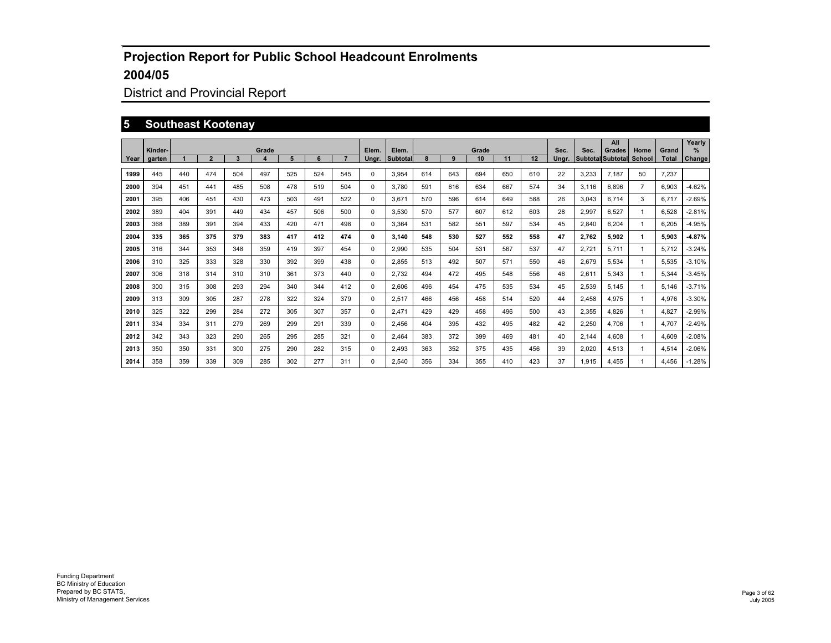## District and Provincial Report

#### **5 Southeast Kootenay**

|      | Kinder- |     |                |              | Grade |     |     |     | Elem.    | Elem.    |     |     | Grade |     |     | Sec.  | Sec.  | All<br>Grades            | Home           | Grand        | Yearly<br>$\%$ |
|------|---------|-----|----------------|--------------|-------|-----|-----|-----|----------|----------|-----|-----|-------|-----|-----|-------|-------|--------------------------|----------------|--------------|----------------|
| Year | garten  |     | $\overline{2}$ | $\mathbf{3}$ |       | 5   | 6   |     | Ungr.    | Subtotal | 8   | 9   | 10    | 11  | 12  | Ungr. |       | <b>Subtotal Subtotal</b> | School         | <b>Total</b> | <b>Change</b>  |
| 1999 | 445     | 440 | 474            | 504          | 497   | 525 | 524 | 545 | $\Omega$ | 3.954    | 614 | 643 | 694   | 650 | 610 | 22    | 3,233 | 7.187                    | 50             | 7.237        |                |
| 2000 | 394     | 451 | 441            | 485          | 508   | 478 | 519 | 504 | 0        | 3.780    | 591 | 616 | 634   | 667 | 574 | 34    | 3.116 | 6.896                    | $\overline{7}$ | 6.903        | $-4.62%$       |
| 2001 | 395     | 406 | 451            | 430          | 473   | 503 | 491 | 522 | 0        | 3.671    | 570 | 596 | 614   | 649 | 588 | 26    | 3.043 | 6.714                    | 3              | 6.717        | $-2.69%$       |
| 2002 | 389     | 404 | 391            | 449          | 434   | 457 | 506 | 500 | $\Omega$ | 3.530    | 570 | 577 | 607   | 612 | 603 | 28    | 2.997 | 6.527                    | -1             | 6.528        | $-2.81%$       |
| 2003 | 368     | 389 | 391            | 394          | 433   | 420 | 471 | 498 | $\Omega$ | 3.364    | 531 | 582 | 551   | 597 | 534 | 45    | 2.840 | 6.204                    | -1             | 6.205        | $-4.95%$       |
| 2004 | 335     | 365 | 375            | 379          | 383   | 417 | 412 | 474 | 0        | 3.140    | 548 | 530 | 527   | 552 | 558 | 47    | 2,762 | 5,902                    | 1              | 5.903        | $-4.87%$       |
| 2005 | 316     | 344 | 353            | 348          | 359   | 419 | 397 | 454 | 0        | 2.990    | 535 | 504 | 531   | 567 | 537 | 47    | 2.721 | 5.711                    | -1             | 5.712        | $-3.24%$       |
| 2006 | 310     | 325 | 333            | 328          | 330   | 392 | 399 | 438 | $\Omega$ | 2.855    | 513 | 492 | 507   | 571 | 550 | 46    | 2.679 | 5.534                    | 1              | 5.535        | $-3.10%$       |
| 2007 | 306     | 318 | 314            | 310          | 310   | 361 | 373 | 440 | 0        | 2.732    | 494 | 472 | 495   | 548 | 556 | 46    | 2,611 | 5.343                    | 1              | 5.344        | $-3.45%$       |
| 2008 | 300     | 315 | 308            | 293          | 294   | 340 | 344 | 412 | 0        | 2,606    | 496 | 454 | 475   | 535 | 534 | 45    | 2,539 | 5.145                    | -1             | 5.146        | $-3.71%$       |
| 2009 | 313     | 309 | 305            | 287          | 278   | 322 | 324 | 379 | $\Omega$ | 2,517    | 466 | 456 | 458   | 514 | 520 | 44    | 2.458 | 4.975                    | -1             | 4.976        | $-3.30%$       |
| 2010 | 325     | 322 | 299            | 284          | 272   | 305 | 307 | 357 | 0        | 2.471    | 429 | 429 | 458   | 496 | 500 | 43    | 2,355 | 4.826                    |                | 4.827        | $-2.99%$       |
| 2011 | 334     | 334 | 311            | 279          | 269   | 299 | 291 | 339 | 0        | 2.456    | 404 | 395 | 432   | 495 | 482 | 42    | 2,250 | 4.706                    | -1             | 4.707        | $-2.49%$       |
| 2012 | 342     | 343 | 323            | 290          | 265   | 295 | 285 | 321 | $\Omega$ | 2.464    | 383 | 372 | 399   | 469 | 481 | 40    | 2.144 | 4.608                    | 1              | 4.609        | $-2.08%$       |
| 2013 | 350     | 350 | 331            | 300          | 275   | 290 | 282 | 315 | 0        | 2,493    | 363 | 352 | 375   | 435 | 456 | 39    | 2,020 | 4,513                    |                | 4,514        | $-2.06%$       |
| 2014 | 358     | 359 | 339            | 309          | 285   | 302 | 277 | 311 | 0        | 2,540    | 356 | 334 | 355   | 410 | 423 | 37    | 1,915 | 4.455                    |                | 4.456        | $-1.28%$       |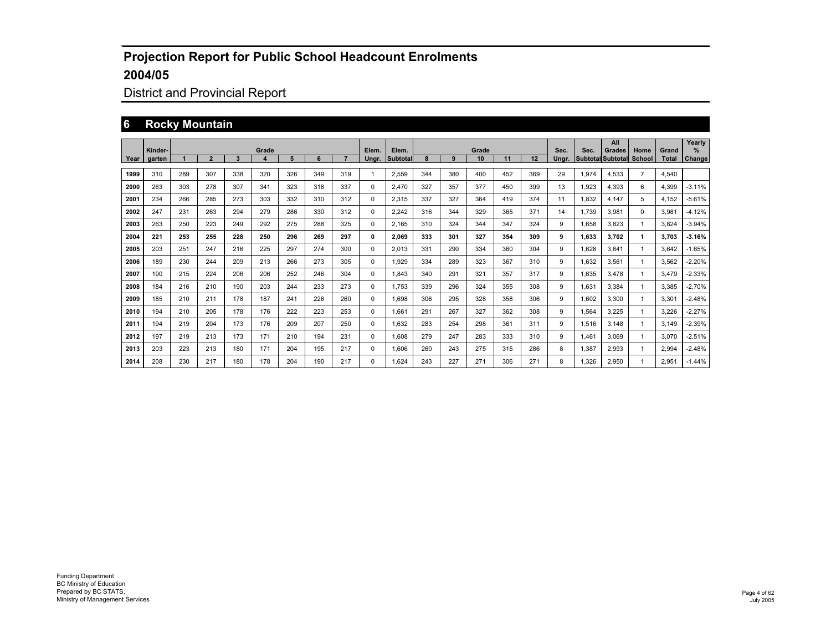## District and Provincial Report

#### **6 Rocky Mountain**

|      | Kinder- |     |                |     | Grade |     |     |     | Elem.    | Elem.    |     |     | Grade |     |     | Sec.  | Sec.  | All<br>Grades            | Home           | Grand | Yearly<br>$\%$ |
|------|---------|-----|----------------|-----|-------|-----|-----|-----|----------|----------|-----|-----|-------|-----|-----|-------|-------|--------------------------|----------------|-------|----------------|
| Year | garten  |     | $\overline{2}$ | 3   | 4     | 5   | 6   |     | Ungr.    | Subtotal |     | 9   | 10    | 11  | 12  | Unar. |       | <b>Subtotal Subtotal</b> | School         | Total | Change         |
| 1999 | 310     | 289 | 307            | 338 | 320   | 326 | 349 | 319 | 1        | 2,559    | 344 | 380 | 400   | 452 | 369 | 29    | 1,974 | 4.533                    | $\overline{7}$ | 4,540 |                |
| 2000 | 263     | 303 | 278            | 307 | 341   | 323 | 318 | 337 | 0        | 2.470    | 327 | 357 | 377   | 450 | 399 | 13    | 1,923 | 4,393                    | 6              | 4,399 | $-3.11%$       |
| 2001 | 234     | 266 | 285            | 273 | 303   | 332 | 310 | 312 | 0        | 2,315    | 337 | 327 | 364   | 419 | 374 | 11    | 1.832 | 4,147                    | 5              | 4.152 | $-5.61%$       |
| 2002 | 247     | 231 | 263            | 294 | 279   | 286 | 330 | 312 | 0        | 2,242    | 316 | 344 | 329   | 365 | 371 | 14    | 1.739 | 3,981                    | $\mathbf 0$    | 3,981 | $-4.12%$       |
| 2003 | 263     | 250 | 223            | 249 | 292   | 275 | 288 | 325 | 0        | 2.165    | 310 | 324 | 344   | 347 | 324 | 9     | 1.658 | 3.823                    | -1             | 3.824 | $-3.94%$       |
| 2004 | 221     | 253 | 255            | 228 | 250   | 296 | 269 | 297 | 0        | 2.069    | 333 | 301 | 327   | 354 | 309 | 9     | 1.633 | 3.702                    | 1              | 3.703 | $-3.16%$       |
| 2005 | 203     | 251 | 247            | 216 | 225   | 297 | 274 | 300 | $\Omega$ | 2.013    | 331 | 290 | 334   | 360 | 304 | 9     | 1.628 | 3.641                    | -1             | 3.642 | $-1.65%$       |
| 2006 | 189     | 230 | 244            | 209 | 213   | 266 | 273 | 305 | $\Omega$ | 1.929    | 334 | 289 | 323   | 367 | 310 | 9     | .632  | 3.561                    | -1             | 3.562 | $-2.20%$       |
| 2007 | 190     | 215 | 224            | 206 | 206   | 252 | 246 | 304 | $\Omega$ | 1.843    | 340 | 291 | 321   | 357 | 317 | 9     | .635  | 3.478                    | -1             | 3.479 | $-2.33%$       |
| 2008 | 184     | 216 | 210            | 190 | 203   | 244 | 233 | 273 | $\Omega$ | 1.753    | 339 | 296 | 324   | 355 | 308 | 9     | .631  | 3.384                    | -1             | 3.385 | $-2.70%$       |
| 2009 | 185     | 210 | 211            | 178 | 187   | 241 | 226 | 260 | $\Omega$ | 1.698    | 306 | 295 | 328   | 358 | 306 | 9     | .602  | 3.300                    | -1             | 3.301 | $-2.48%$       |
| 2010 | 194     | 210 | 205            | 178 | 176   | 222 | 223 | 253 | 0        | 1.661    | 291 | 267 | 327   | 362 | 308 | 9     | .564  | 3.225                    | -1             | 3.226 | $-2.27%$       |
| 2011 | 194     | 219 | 204            | 173 | 176   | 209 | 207 | 250 | $\Omega$ | 1.632    | 283 | 254 | 298   | 361 | 311 | 9     | 1,516 | 3.148                    | -1             | 3.149 | $-2.39%$       |
| 2012 | 197     | 219 | 213            | 173 | 171   | 210 | 194 | 231 | 0        | 1.608    | 279 | 247 | 283   | 333 | 310 | 9     | 1.461 | 3.069                    | -1             | 3.070 | $-2.51%$       |
| 2013 | 203     | 223 | 213            | 180 | 171   | 204 | 195 | 217 | 0        | 1,606    | 260 | 243 | 275   | 315 | 286 | 8     | .387  | 2,993                    |                | 2,994 | $-2.48%$       |
| 2014 | 208     | 230 | 217            | 180 | 178   | 204 | 190 | 217 | 0        | 1.624    | 243 | 227 | 271   | 306 | 271 | 8     | .326  | 2.950                    |                | 2.951 | $-1.44%$       |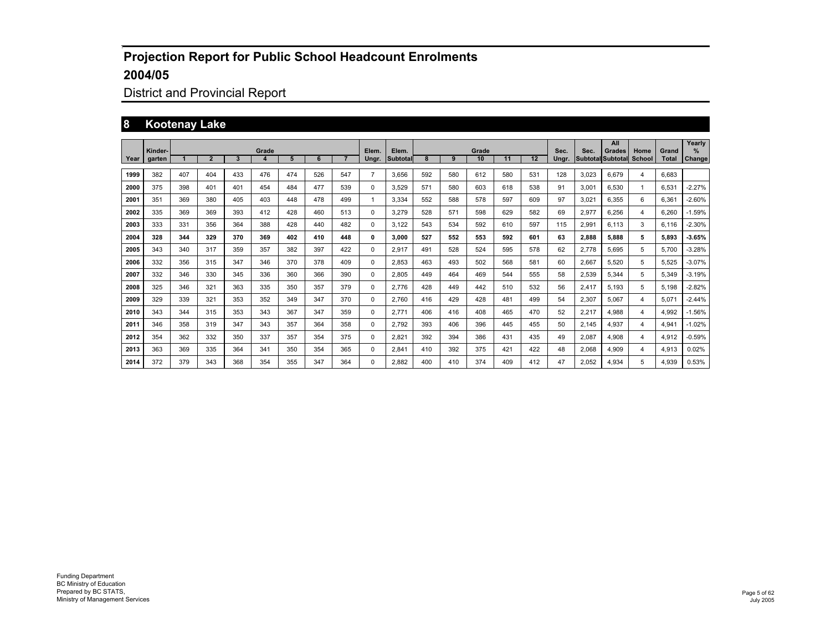## District and Provincial Report

#### **8 Kootenay Lake**

|      | Kinder- |     |                |     | Grade |     |     |     | Elem.          | Elem.           |     |     | Grade |     |     | Sec.  | Sec.  | All<br><b>Grades</b>     | Home   | Grand        | Yearly<br>$\%$ |
|------|---------|-----|----------------|-----|-------|-----|-----|-----|----------------|-----------------|-----|-----|-------|-----|-----|-------|-------|--------------------------|--------|--------------|----------------|
| Year | aarten  |     | $\overline{2}$ | 3   | 4     | 5   | 6   |     | Unar.          | <b>Subtotal</b> | 8   | 9   | 10    | 11  | 12  | Unar. |       | <b>Subtotal Subtotal</b> | School | <b>Total</b> | <b>Change</b>  |
| 1999 | 382     | 407 | 404            | 433 | 476   | 474 | 526 | 547 | $\overline{7}$ | 3.656           | 592 | 580 | 612   | 580 | 531 | 128   | 3.023 | 6.679                    | 4      | 6.683        |                |
| 2000 | 375     | 398 | 401            | 401 | 454   | 484 | 477 | 539 | 0              | 3,529           | 571 | 580 | 603   | 618 | 538 | 91    | 3.001 | 6.530                    | -1     | 6,531        | $-2.27%$       |
| 2001 | 351     | 369 | 380            | 405 | 403   | 448 | 478 | 499 | 1              | 3.334           | 552 | 588 | 578   | 597 | 609 | 97    | 3.021 | 6.355                    | 6      | 6.361        | $-2.60%$       |
| 2002 | 335     | 369 | 369            | 393 | 412   | 428 | 460 | 513 | $\Omega$       | 3.279           | 528 | 571 | 598   | 629 | 582 | 69    | 2.977 | 6.256                    | 4      | 6.260        | $-1.59%$       |
| 2003 | 333     | 331 | 356            | 364 | 388   | 428 | 440 | 482 | 0              | 3.122           | 543 | 534 | 592   | 610 | 597 | 115   | 2,991 | 6.113                    | 3      | 6,116        | $-2.30%$       |
| 2004 | 328     | 344 | 329            | 370 | 369   | 402 | 410 | 448 | 0              | 3.000           | 527 | 552 | 553   | 592 | 601 | 63    | 2,888 | 5.888                    | 5      | 5.893        | 3.65%          |
| 2005 | 343     | 340 | 317            | 359 | 357   | 382 | 397 | 422 | 0              | 2,917           | 491 | 528 | 524   | 595 | 578 | 62    | 2,778 | 5,695                    | 5      | 5,700        | $-3.28%$       |
| 2006 | 332     | 356 | 315            | 347 | 346   | 370 | 378 | 409 | $\Omega$       | 2.853           | 463 | 493 | 502   | 568 | 581 | 60    | 2.667 | 5.520                    | 5      | 5.525        | $-3.07%$       |
| 2007 | 332     | 346 | 330            | 345 | 336   | 360 | 366 | 390 | 0              | 2,805           | 449 | 464 | 469   | 544 | 555 | 58    | 2,539 | 5.344                    | 5      | 5,349        | $-3.19%$       |
| 2008 | 325     | 346 | 321            | 363 | 335   | 350 | 357 | 379 | 0              | 2.776           | 428 | 449 | 442   | 510 | 532 | 56    | 2,417 | 5.193                    | 5      | 5,198        | $-2.82%$       |
| 2009 | 329     | 339 | 321            | 353 | 352   | 349 | 347 | 370 | 0              | 2.760           | 416 | 429 | 428   | 481 | 499 | 54    | 2,307 | 5.067                    | 4      | 5.071        | $-2.44%$       |
| 2010 | 343     | 344 | 315            | 353 | 343   | 367 | 347 | 359 | 0              | 2.771           | 406 | 416 | 408   | 465 | 470 | 52    | 2,217 | 4.988                    | 4      | 4.992        | $-1.56%$       |
| 2011 | 346     | 358 | 319            | 347 | 343   | 357 | 364 | 358 | 0              | 2.792           | 393 | 406 | 396   | 445 | 455 | 50    | 2.145 | 4.937                    | 4      | 4,941        | $-1.02%$       |
| 2012 | 354     | 362 | 332            | 350 | 337   | 357 | 354 | 375 | $\Omega$       | 2,821           | 392 | 394 | 386   | 431 | 435 | 49    | 2,087 | 4.908                    | 4      | 4,912        | $-0.59%$       |
| 2013 | 363     | 369 | 335            | 364 | 341   | 350 | 354 | 365 | 0              | 2,841           | 410 | 392 | 375   | 421 | 422 | 48    | 2,068 | 4,909                    | 4      | 4,913        | 0.02%          |
| 2014 | 372     | 379 | 343            | 368 | 354   | 355 | 347 | 364 | $\Omega$       | 2.882           | 400 | 410 | 374   | 409 | 412 | 47    | 2.052 | 4,934                    | 5      | 4.939        | 0.53%          |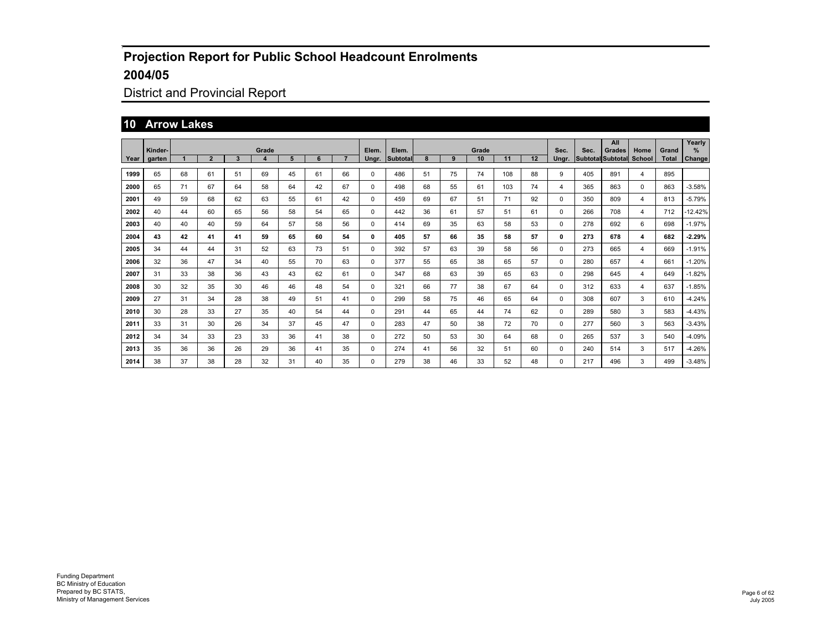## District and Provincial Report

#### **10 Arrow Lakes**

|        | Kinder- |    |                |    | Grade |    |    |    | Elem. | Elem.    |    |    | Grade |     |    | Sec.     | Sec. | All<br><b>Grades</b>     | Home           | Grand        | Yearly<br>$\%$ |
|--------|---------|----|----------------|----|-------|----|----|----|-------|----------|----|----|-------|-----|----|----------|------|--------------------------|----------------|--------------|----------------|
| Year I | garten  |    | $\overline{2}$ | 3  | 4     | 5  | 6  |    | Ungr. | Subtotal | 8  | 9  | 10    | 11  | 12 | Ungr.    |      | <b>Subtotal Subtotal</b> | School         | <b>Total</b> | Change         |
| 1999   | 65      | 68 | 61             | 51 | 69    | 45 | 61 | 66 | 0     | 486      | 51 | 75 | 74    | 108 | 88 | 9        | 405  | 891                      | 4              | 895          |                |
| 2000   | 65      | 71 | 67             | 64 | 58    | 64 | 42 | 67 | 0     | 498      | 68 | 55 | 61    | 103 | 74 | 4        | 365  | 863                      | 0              | 863          | $-3.58%$       |
| 2001   | 49      | 59 | 68             | 62 | 63    | 55 | 61 | 42 | 0     | 459      | 69 | 67 | 51    | 71  | 92 | 0        | 350  | 809                      | $\overline{4}$ | 813          | -5.79%         |
| 2002   | 40      | 44 | 60             | 65 | 56    | 58 | 54 | 65 | 0     | 442      | 36 | 61 | 57    | 51  | 61 | 0        | 266  | 708                      | $\overline{4}$ | 712          | $-12.42%$      |
| 2003   | 40      | 40 | 40             | 59 | 64    | 57 | 58 | 56 | 0     | 414      | 69 | 35 | 63    | 58  | 53 | 0        | 278  | 692                      | 6              | 698          | $-1.97%$       |
| 2004   | 43      | 42 | 41             | 41 | 59    | 65 | 60 | 54 | 0     | 405      | 57 | 66 | 35    | 58  | 57 | 0        | 273  | 678                      | 4              | 682          | $-2.29%$       |
| 2005   | 34      | 44 | 44             | 31 | 52    | 63 | 73 | 51 | 0     | 392      | 57 | 63 | 39    | 58  | 56 | 0        | 273  | 665                      | 4              | 669          | $-1.91%$       |
| 2006   | 32      | 36 | 47             | 34 | 40    | 55 | 70 | 63 | 0     | 377      | 55 | 65 | 38    | 65  | 57 | 0        | 280  | 657                      | 4              | 661          | $-1.20%$       |
| 2007   | 31      | 33 | 38             | 36 | 43    | 43 | 62 | 61 | 0     | 347      | 68 | 63 | 39    | 65  | 63 | 0        | 298  | 645                      | 4              | 649          | $-1.82%$       |
| 2008   | 30      | 32 | 35             | 30 | 46    | 46 | 48 | 54 | 0     | 321      | 66 | 77 | 38    | 67  | 64 | $\Omega$ | 312  | 633                      | 4              | 637          | $-1.85%$       |
| 2009   | 27      | 31 | 34             | 28 | 38    | 49 | 51 | 41 | 0     | 299      | 58 | 75 | 46    | 65  | 64 | 0        | 308  | 607                      | 3              | 610          | $-4.24%$       |
| 2010   | 30      | 28 | 33             | 27 | 35    | 40 | 54 | 44 | 0     | 291      | 44 | 65 | 44    | 74  | 62 | 0        | 289  | 580                      | 3              | 583          | $-4.43%$       |
| 2011   | 33      | 31 | 30             | 26 | 34    | 37 | 45 | 47 | 0     | 283      | 47 | 50 | 38    | 72  | 70 | 0        | 277  | 560                      | 3              | 563          | $-3.43%$       |
| 2012   | 34      | 34 | 33             | 23 | 33    | 36 | 41 | 38 | 0     | 272      | 50 | 53 | 30    | 64  | 68 | 0        | 265  | 537                      | 3              | 540          | $-4.09%$       |
| 2013   | 35      | 36 | 36             | 26 | 29    | 36 | 41 | 35 | 0     | 274      | 41 | 56 | 32    | 51  | 60 | 0        | 240  | 514                      | 3              | 517          | -4.26%         |
| 2014   | 38      | 37 | 38             | 28 | 32    | 31 | 40 | 35 | 0     | 279      | 38 | 46 | 33    | 52  | 48 | $\Omega$ | 217  | 496                      | 3              | 499          | $-3.48%$       |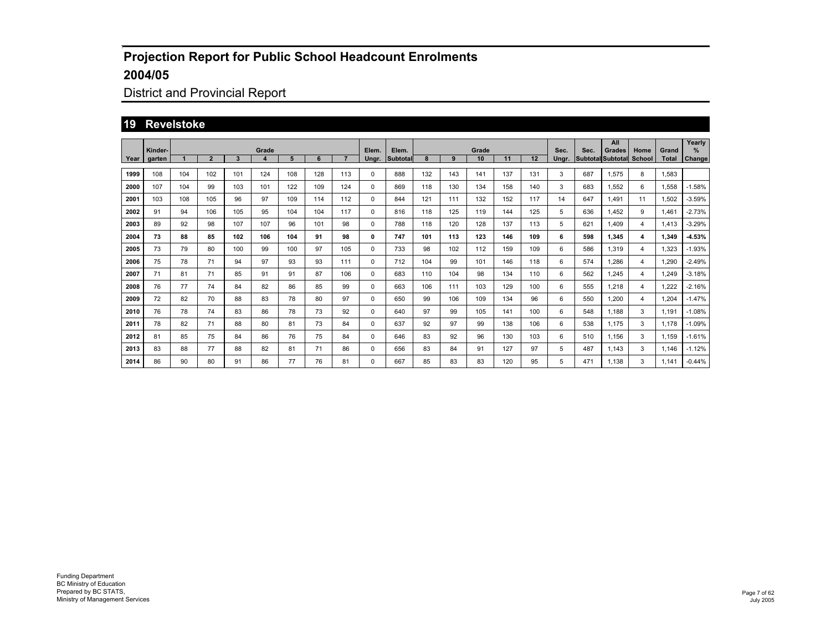## District and Provincial Report

#### **19 Revelstoke**

|      |         |     |                |     |            |     |     |     |       |          |     |     |             |     |     |       |      | All                                |                |                       | Yearly   |
|------|---------|-----|----------------|-----|------------|-----|-----|-----|-------|----------|-----|-----|-------------|-----|-----|-------|------|------------------------------------|----------------|-----------------------|----------|
|      | Kinder- |     | $\overline{2}$ | 3   | Grade<br>4 | 5   | 6   |     | Elem. | Elem.    | 8   | 9   | Grade<br>10 | 11  | 12  | Sec.  | Sec. | Grades<br><b>Subtotal Subtotal</b> | Home<br>School | Grand<br><b>Total</b> | $\%$     |
| Year | garten  |     |                |     |            |     |     |     | Ungr. | Subtotal |     |     |             |     |     | Unar. |      |                                    |                |                       | Change   |
| 1999 | 108     | 104 | 102            | 101 | 124        | 108 | 128 | 113 | 0     | 888      | 132 | 143 | 141         | 137 | 131 | 3     | 687  | 1,575                              | 8              | 1,583                 |          |
| 2000 | 107     | 104 | 99             | 103 | 101        | 122 | 109 | 124 | 0     | 869      | 118 | 130 | 134         | 158 | 140 | 3     | 683  | 1.552                              | 6              | 1,558                 | $-1.58%$ |
| 2001 | 103     | 108 | 105            | 96  | 97         | 109 | 114 | 112 | 0     | 844      | 121 | 111 | 132         | 152 | 117 | 14    | 647  | 1.491                              | 11             | 1,502                 | $-3.59%$ |
| 2002 | 91      | 94  | 106            | 105 | 95         | 104 | 104 | 117 | 0     | 816      | 118 | 125 | 119         | 144 | 125 | 5     | 636  | 1.452                              | 9              | 1,461                 | $-2.73%$ |
| 2003 | 89      | 92  | 98             | 107 | 107        | 96  | 101 | 98  | 0     | 788      | 118 | 120 | 128         | 137 | 113 | 5     | 621  | 1.409                              | 4              | 1.413                 | $-3.29%$ |
| 2004 | 73      | 88  | 85             | 102 | 106        | 104 | 91  | 98  | 0     | 747      | 101 | 113 | 123         | 146 | 109 | 6     | 598  | 1.345                              | 4              | 1.349                 | $-4.53%$ |
| 2005 | 73      | 79  | 80             | 100 | 99         | 100 | 97  | 105 | 0     | 733      | 98  | 102 | 112         | 159 | 109 | 6     | 586  | 1,319                              | $\overline{4}$ | 1,323                 | $-1.93%$ |
| 2006 | 75      | 78  | 71             | 94  | 97         | 93  | 93  | 111 | 0     | 712      | 104 | 99  | 101         | 146 | 118 | 6     | 574  | 1,286                              | 4              | 1,290                 | $-2.49%$ |
| 2007 | 71      | 81  | 71             | 85  | 91         | 91  | 87  | 106 | 0     | 683      | 110 | 104 | 98          | 134 | 110 | 6     | 562  | 1,245                              | 4              | 1.249                 | $-3.18%$ |
| 2008 | 76      | 77  | 74             | 84  | 82         | 86  | 85  | 99  | 0     | 663      | 106 | 111 | 103         | 129 | 100 | 6     | 555  | 1,218                              | 4              | .222                  | $-2.16%$ |
| 2009 | 72      | 82  | 70             | 88  | 83         | 78  | 80  | 97  | 0     | 650      | 99  | 106 | 109         | 134 | 96  | 6     | 550  | 1.200                              | 4              | 1.204                 | $-1.47%$ |
| 2010 | 76      | 78  | 74             | 83  | 86         | 78  | 73  | 92  | 0     | 640      | 97  | 99  | 105         | 141 | 100 | 6     | 548  | 1,188                              | 3              | 1,191                 | $-1.08%$ |
| 2011 | 78      | 82  | 71             | 88  | 80         | 81  | 73  | 84  | 0     | 637      | 92  | 97  | 99          | 138 | 106 | 6     | 538  | 1.175                              | 3              | 1,178                 | $-1.09%$ |
| 2012 | 81      | 85  | 75             | 84  | 86         | 76  | 75  | 84  | 0     | 646      | 83  | 92  | 96          | 130 | 103 | 6     | 510  | 1.156                              | 3              | 1,159                 | $-1.61%$ |
| 2013 | 83      | 88  | 77             | 88  | 82         | 81  | 71  | 86  | 0     | 656      | 83  | 84  | 91          | 127 | 97  | 5     | 487  | 1.143                              | 3              | 1,146                 | $-1.12%$ |
| 2014 | 86      | 90  | 80             | 91  | 86         | 77  | 76  | 81  | 0     | 667      | 85  | 83  | 83          | 120 | 95  | 5     | 471  | 1.138                              | 3              | 1.141                 | $-0.44%$ |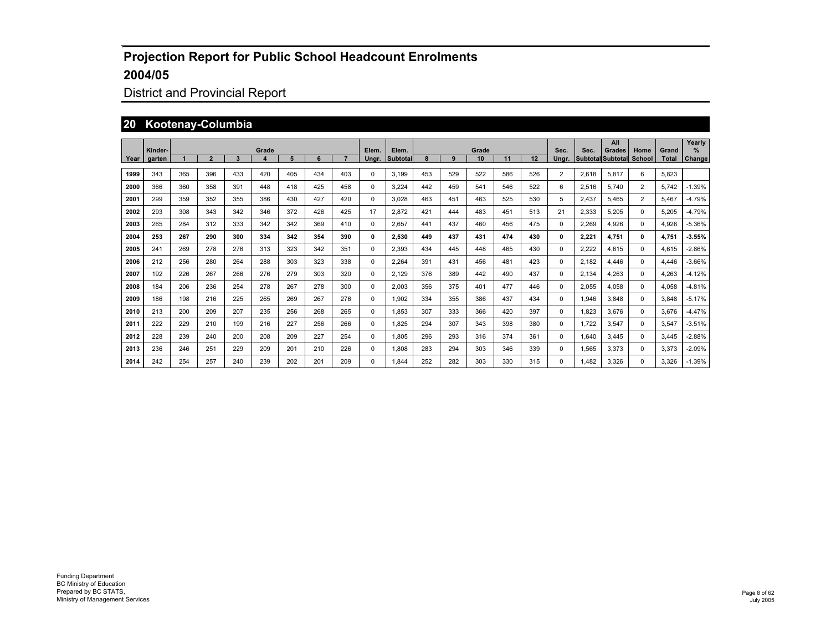## District and Provincial Report

#### **20 Kootenay-Columbia**

|      | Kinder- |     |                |     | Grade            |     |     |     | Elem. | Elem.    |     |     | Grade |     |     | Sec.           | Sec.  | All<br>Grades            | Home           | Grand        | Yearly<br>$\%$ |
|------|---------|-----|----------------|-----|------------------|-----|-----|-----|-------|----------|-----|-----|-------|-----|-----|----------------|-------|--------------------------|----------------|--------------|----------------|
| Year | garten  |     | $\overline{2}$ | 3   | $\boldsymbol{4}$ | 5   | 6   |     | Unar. | Subtotal | 8   | 9   | 10    | 11  | 12  | Unar.          |       | <b>Subtotal Subtotal</b> | <b>School</b>  | <b>Total</b> | Change         |
| 1999 | 343     | 365 | 396            | 433 | 420              | 405 | 434 | 403 | 0     | 3.199    | 453 | 529 | 522   | 586 | 526 | $\overline{2}$ | 2,618 | 5,817                    | 6              | 5,823        |                |
| 2000 | 366     | 360 | 358            | 391 | 448              | 418 | 425 | 458 | 0     | 3.224    | 442 | 459 | 541   | 546 | 522 | 6              | 2,516 | 5.740                    | $\overline{2}$ | 5.742        | $-1.39%$       |
| 2001 | 299     | 359 | 352            | 355 | 386              | 430 | 427 | 420 | 0     | 3.028    | 463 | 451 | 463   | 525 | 530 | 5              | 2.437 | 5.465                    | $\overline{2}$ | 5.467        | $-4.79%$       |
| 2002 | 293     | 308 | 343            | 342 | 346              | 372 | 426 | 425 | 17    | 2.872    | 421 | 444 | 483   | 451 | 513 | 21             | 2.333 | 5.205                    | 0              | 5.205        | $-4.79%$       |
| 2003 | 265     | 284 | 312            | 333 | 342              | 342 | 369 | 410 | 0     | 2.657    | 441 | 437 | 460   | 456 | 475 | $\Omega$       | 2.269 | 4.926                    | 0              | 4,926        | $-5.36%$       |
| 2004 | 253     | 267 | 290            | 300 | 334              | 342 | 354 | 390 | 0     | 2.530    | 449 | 437 | 431   | 474 | 430 | 0              | 2.221 | 4,751                    | 0              | 4.751        | 3.55%          |
| 2005 | 241     | 269 | 278            | 276 | 313              | 323 | 342 | 351 | 0     | 2.393    | 434 | 445 | 448   | 465 | 430 | $^{\circ}$     | 2.222 | 4.615                    | 0              | 4.615        | $-2.86%$       |
| 2006 | 212     | 256 | 280            | 264 | 288              | 303 | 323 | 338 | 0     | 2.264    | 391 | 431 | 456   | 481 | 423 | $\Omega$       | 2.182 | 4.446                    | $\Omega$       | 4.446        | $-3.66%$       |
| 2007 | 192     | 226 | 267            | 266 | 276              | 279 | 303 | 320 | 0     | 2.129    | 376 | 389 | 442   | 490 | 437 | $\Omega$       | 2.134 | 4.263                    | 0              | 4,263        | $-4.12%$       |
| 2008 | 184     | 206 | 236            | 254 | 278              | 267 | 278 | 300 | 0     | 2.003    | 356 | 375 | 401   | 477 | 446 | $\Omega$       | 2.055 | 4.058                    | 0              | 4,058        | $-4.81%$       |
| 2009 | 186     | 198 | 216            | 225 | 265              | 269 | 267 | 276 | 0     | 1,902    | 334 | 355 | 386   | 437 | 434 | $\Omega$       | 1.946 | 3,848                    | 0              | 3.848        | $-5.17%$       |
| 2010 | 213     | 200 | 209            | 207 | 235              | 256 | 268 | 265 | 0     | 1.853    | 307 | 333 | 366   | 420 | 397 | 0              | 1.823 | 3.676                    | 0              | 3.676        | $-4.47%$       |
| 2011 | 222     | 229 | 210            | 199 | 216              | 227 | 256 | 266 | 0     | 1.825    | 294 | 307 | 343   | 398 | 380 | $\Omega$       | 1.722 | 3,547                    | 0              | 3.547        | $-3.51%$       |
| 2012 | 228     | 239 | 240            | 200 | 208              | 209 | 227 | 254 | 0     | 1.805    | 296 | 293 | 316   | 374 | 361 | $\Omega$       | 1.640 | 3.445                    | 0              | 3.445        | $-2.88%$       |
| 2013 | 236     | 246 | 251            | 229 | 209              | 201 | 210 | 226 | 0     | 1.808    | 283 | 294 | 303   | 346 | 339 | 0              | 1,565 | 3,373                    | 0              | 3,373        | $-2.09%$       |
| 2014 | 242     | 254 | 257            | 240 | 239              | 202 | 201 | 209 | 0     | .844     | 252 | 282 | 303   | 330 | 315 | 0              | .482  | 3.326                    | 0              | 3.326        | $-1.39%$       |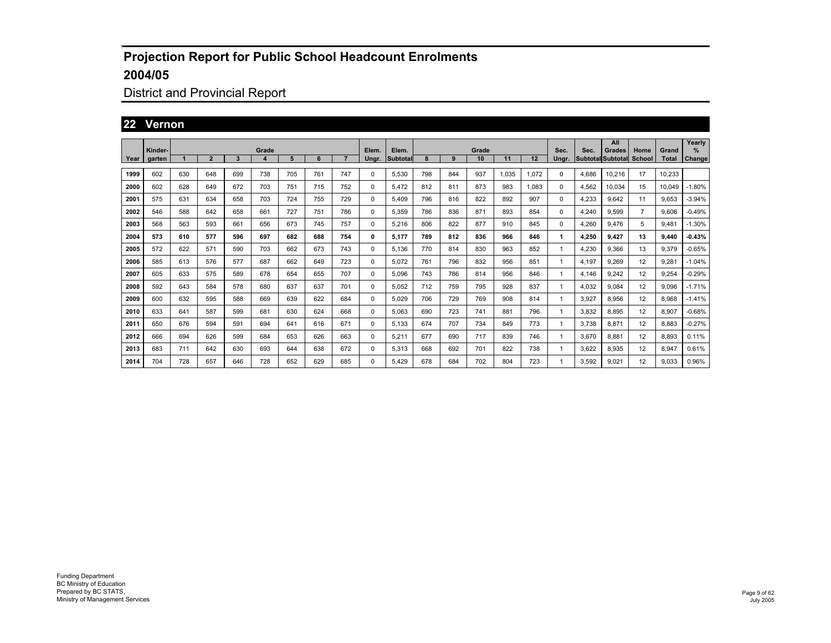## District and Provincial Report

#### **22 Vernon**

|      |         |     |                |     |              |     |     |     |          |          |     |     |       |       |       |       |       | All                             |                |              | Yearly   |
|------|---------|-----|----------------|-----|--------------|-----|-----|-----|----------|----------|-----|-----|-------|-------|-------|-------|-------|---------------------------------|----------------|--------------|----------|
|      | Kinder- |     |                |     | Grade        |     |     |     | Elem.    | Elem.    |     |     | Grade |       |       | Sec.  | Sec.  | Grades                          | Home           | Grand        | %        |
| Year | garten  |     | $\overline{2}$ | 3   | $\mathbf{A}$ | 5   | 6   |     | Unar.    | Subtotal | 8   | 9   | 10    | 11    | 12    | Ungr. |       | <b>Subtotal Subtotal School</b> |                | <b>Total</b> | Change   |
| 1999 | 602     | 630 | 648            | 699 | 738          | 705 | 761 | 747 | 0        | 5,530    | 798 | 844 | 937   | 1.035 | 1.072 | 0     | 4.686 | 10.216                          | 17             | 10.233       |          |
| 2000 | 602     | 628 | 649            | 672 | 703          | 751 | 715 | 752 | 0        | 5.472    | 812 | 811 | 873   | 983   | 1.083 | 0     | 4,562 | 10.034                          | 15             | 10.049       | $-1.80%$ |
| 2001 | 575     | 631 | 634            | 658 | 703          | 724 | 755 | 729 | 0        | 5,409    | 796 | 816 | 822   | 892   | 907   | 0     | 4,233 | 9,642                           | 11             | 9,653        | $-3.94%$ |
| 2002 | 546     | 588 | 642            | 658 | 661          | 727 | 751 | 786 | 0        | 5,359    | 786 | 836 | 871   | 893   | 854   | 0     | 4,240 | 9,599                           | $\overline{7}$ | 9,606        | $-0.49%$ |
| 2003 | 568     | 563 | 593            | 661 | 656          | 673 | 745 | 757 | 0        | 5.216    | 806 | 822 | 877   | 910   | 845   | 0     | 4.260 | 9.476                           | 5              | 9.481        | $-1.30%$ |
| 2004 | 573     | 610 | 577            | 596 | 697          | 682 | 688 | 754 | 0        | 5.177    | 789 | 812 | 836   | 966   | 846   | 1     | 4.250 | 9.427                           | 13             | 9.440        | $-0.43%$ |
| 2005 | 572     | 622 | 571            | 590 | 703          | 662 | 673 | 743 | 0        | 5.136    | 770 | 814 | 830   | 963   | 852   |       | 4,230 | 9,366                           | 13             | 9,379        | $-0.65%$ |
| 2006 | 585     | 613 | 576            | 577 | 687          | 662 | 649 | 723 | 0        | 5.072    | 761 | 796 | 832   | 956   | 851   |       | 4.197 | 9.269                           | 12             | 9,281        | $-1.04%$ |
| 2007 | 605     | 633 | 575            | 589 | 678          | 654 | 655 | 707 | 0        | 5.096    | 743 | 786 | 814   | 956   | 846   |       | 4.146 | 9.242                           | 12             | 9,254        | $-0.29%$ |
| 2008 | 592     | 643 | 584            | 578 | 680          | 637 | 637 | 701 | $\Omega$ | 5.052    | 712 | 759 | 795   | 928   | 837   |       | 4.032 | 9.084                           | 12             | 9.096        | $-1.71%$ |
| 2009 | 600     | 632 | 595            | 588 | 669          | 639 | 622 | 684 | 0        | 5.029    | 706 | 729 | 769   | 908   | 814   |       | 3.927 | 8.956                           | 12             | 8.968        | $-1.41%$ |
| 2010 | 633     | 641 | 587            | 599 | 681          | 630 | 624 | 668 | 0        | 5,063    | 690 | 723 | 741   | 881   | 796   |       | 3,832 | 8,895                           | 12             | 8,907        | $-0.68%$ |
| 2011 | 650     | 676 | 594            | 591 | 694          | 641 | 616 | 671 | 0        | 5.133    | 674 | 707 | 734   | 849   | 773   |       | 3.738 | 8.871                           | 12             | 8,883        | $-0.27%$ |
| 2012 | 666     | 694 | 626            | 599 | 684          | 653 | 626 | 663 | 0        | 5,211    | 677 | 690 | 717   | 839   | 746   |       | 3,670 | 8.881                           | 12             | 8,893        | 0.11%    |
| 2013 | 683     | 711 | 642            | 630 | 693          | 644 | 638 | 672 | 0        | 5,313    | 668 | 692 | 701   | 822   | 738   |       | 3.622 | 8.935                           | 12             | 8,947        | 0.61%    |
| 2014 | 704     | 728 | 657            | 646 | 728          | 652 | 629 | 685 | 0        | 5.429    | 678 | 684 | 702   | 804   | 723   |       | 3.592 | 9.021                           | 12             | 9.033        | 0.96%    |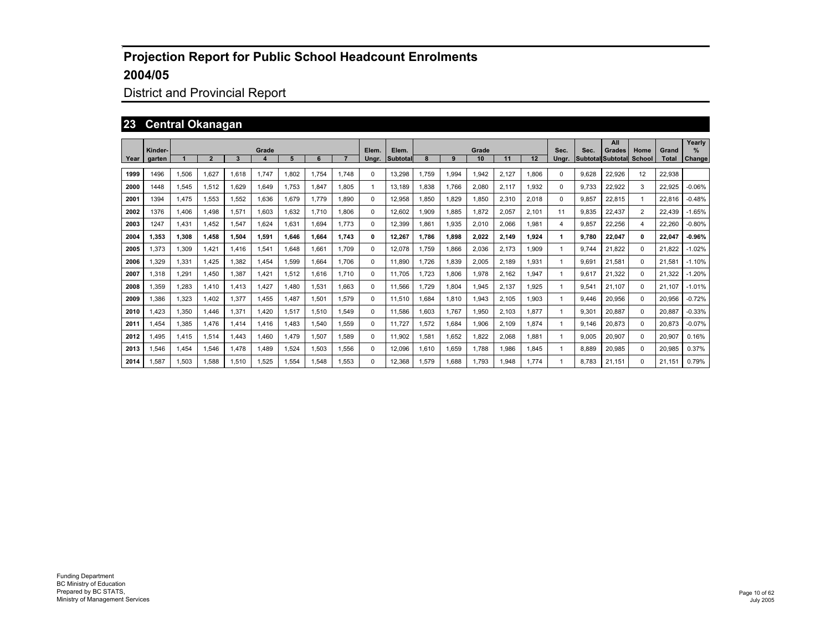## District and Provincial Report

#### **23 Central Okanagan**

|      | Kinder- |             |                |       | Grade |       |       |       | Elem. | Elem.           |       |       | Grade |       |       | Sec.     | Sec.  | All<br>Grades            | Home        | Grand        | Yearly<br>$\%$ |
|------|---------|-------------|----------------|-------|-------|-------|-------|-------|-------|-----------------|-------|-------|-------|-------|-------|----------|-------|--------------------------|-------------|--------------|----------------|
| Year | garten  |             | $\overline{2}$ | 3     |       | 5     | 6     |       | Unar. | <b>Subtotal</b> |       | 9     | 10    | 11    | 12    | Unar.    |       | <b>Subtotal Subtotal</b> | School      | <b>Total</b> | Change         |
| 1999 | 1496    | 1.506       | 1.627          | 1.618 | 1.747 | 1.802 | 1.754 | 1.748 | 0     | 13.298          | 1.759 | 1.994 | 1.942 | 2.127 | 1.806 | $\Omega$ | 9.628 | 22.926                   | 12          | 22.938       |                |
| 2000 | 1448    | 1.545       | 1.512          | 1.629 | 1.649 | 1.753 | 1.847 | 1.805 | 1     | 13.189          | .838  | 1.766 | 2.080 | 2.117 | 1.932 | $\Omega$ | 9.733 | 22.922                   | 3           | 22.925       | $-0.06%$       |
| 2001 | 1394    | <b>.475</b> | 1.553          | 1.552 | 1,636 | 1.679 | 1.779 | 1.890 | 0     | 12,958          | .850  | 1,829 | 1.850 | 2.310 | 2,018 | $\Omega$ | 9.857 | 22.815                   | -1          | 22.816       | $-0.48%$       |
| 2002 | 1376    | <b>.406</b> | 1.498          | 1.571 | 1.603 | 1.632 | 1.710 | 1.806 | 0     | 12.602          | 1.909 | 1.885 | 1.872 | 2.057 | 2.101 | 11       | 9.835 | 22,437                   | 2           | 22.439       | $-1.65%$       |
| 2003 | 1247    | .431        | 1.452          | 1.547 | 1.624 | 1.631 | 1.694 | 1.773 | 0     | 12.399          | .861  | 1,935 | 2.010 | 2.066 | 1.981 | 4        | 9.857 | 22.256                   | 4           | 22.260       | $-0.80%$       |
| 2004 | 1.353   | 1.308       | 1.458          | 1.504 | 1.591 | 1.646 | 1.664 | 1.743 | 0     | 12,267          | 1.786 | 1,898 | 2.022 | 2.149 | 1,924 | 1.       | 9.780 | 22.047                   | 0           | 22.047       | $-0.96%$       |
| 2005 | 1.373   | <b>.309</b> | 1.421          | 1,416 | 1.541 | 1.648 | 1.661 | 1.709 | 0     | 12.078          | 1.759 | 1.866 | 2.036 | 2.173 | 1.909 |          | 9.744 | 21.822                   | 0           | 21.822       | $-1.02%$       |
| 2006 | 1.329   | 1.331       | 1.425          | 1.382 | 1.454 | 1.599 | 1.664 | 1.706 | 0     | 11.890          | 1.726 | 1.839 | 2.005 | 2.189 | 1.931 |          | 9.691 | 21.581                   | $\mathbf 0$ | 21.581       | $-1.10%$       |
| 2007 | 1.318   | ,291        | 1.450          | 1.387 | 1.421 | 1.512 | 1.616 | 1.710 | 0     | 11.705          | 1.723 | 1.806 | 1.978 | 2.162 | 1.947 |          | 9.617 | 21.322                   | $\mathbf 0$ | 21.322       | $-1.20%$       |
| 2008 | 1,359   | ,283        | 1.410          | 1,413 | 1,427 | 1.480 | 1,531 | 1.663 | 0     | 11.566          | 1.729 | 1,804 | 1,945 | 2,137 | 1,925 |          | 9.541 | 21.107                   | $\mathbf 0$ | 21.107       | -1.01%         |
| 2009 | 1.386   | .323        | 1.402          | 1.377 | 1.455 | 1.487 | 1.501 | 1.579 | 0     | 11.510          | .684  | 1,810 | 1.943 | 2.105 | 1.903 |          | 9.446 | 20.956                   | $\Omega$    | 20.956       | $-0.72%$       |
| 2010 | 1.423   | 1,350       | .446           | 1.371 | 1.420 | 1.517 | 1.510 | 1.549 | 0     | 11.586          | .603  | 1.767 | 1,950 | 2.103 | 1,877 |          | 9.301 | 20.887                   | $\mathbf 0$ | 20.887       | $-0.33%$       |
| 2011 | 1.454   | .385        | 1.476          | 1.414 | 1,416 | .483  | 1.540 | 1,559 | 0     | 11.727          | 1,572 | 1,684 | 1.906 | 2.109 | 1,874 |          | 9.146 | 20,873                   | $\mathbf 0$ | 20,873       | $-0.07%$       |
| 2012 | 1.495   | .415        | 1.514          | 1.443 | 1.460 | 1.479 | 1.507 | 1,589 | 0     | 11.902          | .581  | 1.652 | 1.822 | 2.068 | 1.881 |          | 9.005 | 20.907                   | $\Omega$    | 20.907       | 0.16%          |
| 2013 | 1,546   | .454        | 1.546          | 1.478 | 1.489 | 1,524 | 1.503 | 1,556 | 0     | 12,096          | 1.610 | 1,659 | 1.788 | 986.  | 1,845 |          | 8.889 | 20,985                   | $\mathbf 0$ | 20,985       | 0.37%          |
| 2014 | 1.587   | 1.503       | .588           | 1.510 | 1.525 | 1.554 | .548  | 1.553 | 0     | 12.368          | 1.579 | .688  | 1.793 | .948  | 1.774 |          | 8.783 | 21.151                   | $\Omega$    | 21.151       | 0.79%          |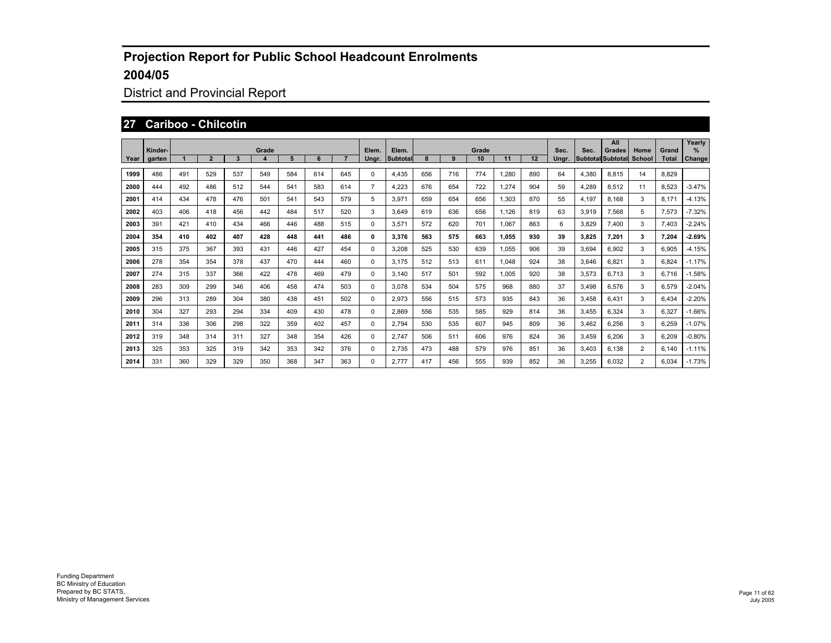## District and Provincial Report

#### **27 Cariboo - Chilcotin**

|      | Kinder- |     |                |     | Grade            |     |     |     | Elem.          | Elem.    |     |     | Grade |       |     | Sec.  | Sec.  | All<br>Grades            | Home           | Grand        | Yearly<br>$\%$ |
|------|---------|-----|----------------|-----|------------------|-----|-----|-----|----------------|----------|-----|-----|-------|-------|-----|-------|-------|--------------------------|----------------|--------------|----------------|
| Year | garten  |     | $\overline{2}$ | 3   | $\boldsymbol{A}$ | 5   | 6   |     | Ungr.          | Subtotal |     | 9   | 10    | 11    | 12  | Unar. |       | <b>Subtotal Subtotal</b> | <b>School</b>  | <b>Total</b> | Change         |
| 1999 | 486     | 491 | 529            | 537 | 549              | 584 | 614 | 645 | 0              | 4.435    | 656 | 716 | 774   | .280  | 890 | 64    | 4.380 | 8.815                    | 14             | 8.829        |                |
| 2000 | 444     | 492 | 486            | 512 | 544              | 541 | 583 | 614 | $\overline{7}$ | 4,223    | 676 | 654 | 722   | ,274  | 904 | 59    | 4.289 | 8,512                    | 11             | 8,523        | $-3.47%$       |
| 2001 | 414     | 434 | 478            | 476 | 501              | 541 | 543 | 579 | 5              | 3.971    | 659 | 654 | 656   | 1.303 | 870 | 55    | 4.197 | 8.168                    | 3              | 8.171        | $-4.13%$       |
| 2002 | 403     | 406 | 418            | 456 | 442              | 484 | 517 | 520 | 3              | 3.649    | 619 | 636 | 656   | 1.126 | 819 | 63    | 3.919 | 7.568                    | 5              | 7.573        | $-7.32%$       |
| 2003 | 391     | 421 | 410            | 434 | 466              | 446 | 488 | 515 | 0              | 3.571    | 572 | 620 | 701   | 1.067 | 863 | 6     | 3.829 | 7.400                    | 3              | 7.403        | $-2.24%$       |
| 2004 | 354     | 410 | 402            | 407 | 428              | 448 | 441 | 486 | 0              | 3.376    | 563 | 575 | 663   | 1.055 | 930 | 39    | 3.825 | 7,201                    | 3              | 7.204        | $-2.69%$       |
| 2005 | 315     | 375 | 367            | 393 | 431              | 446 | 427 | 454 | 0              | 3,208    | 525 | 530 | 639   | 1,055 | 906 | 39    | 3,694 | 6,902                    | 3              | 6,905        | $-4.15%$       |
| 2006 | 278     | 354 | 354            | 378 | 437              | 470 | 444 | 460 | 0              | 3.175    | 512 | 513 | 611   | .048  | 924 | 38    | 3.646 | 6.821                    | 3              | 6.824        | $-1.17%$       |
| 2007 | 274     | 315 | 337            | 366 | 422              | 478 | 469 | 479 | 0              | 3.140    | 517 | 501 | 592   | 1.005 | 920 | 38    | 3.573 | 6.713                    | 3              | 6.716        | $-1.58%$       |
| 2008 | 283     | 309 | 299            | 346 | 406              | 458 | 474 | 503 | 0              | 3.078    | 534 | 504 | 575   | 968   | 880 | 37    | 3.498 | 6.576                    | 3              | 6,579        | $-2.04%$       |
| 2009 | 296     | 313 | 289            | 304 | 380              | 438 | 451 | 502 | 0              | 2,973    | 556 | 515 | 573   | 935   | 843 | 36    | 3.458 | 6.431                    | 3              | 6.434        | $-2.20%$       |
| 2010 | 304     | 327 | 293            | 294 | 334              | 409 | 430 | 478 | 0              | 2.869    | 556 | 535 | 585   | 929   | 814 | 36    | 3.455 | 6.324                    | 3              | 6.327        | $-1.66%$       |
| 2011 | 314     | 336 | 306            | 298 | 322              | 359 | 402 | 457 | 0              | 2.794    | 530 | 535 | 607   | 945   | 809 | 36    | 3.462 | 6.256                    | 3              | 6.259        | $-1.07%$       |
| 2012 | 319     | 348 | 314            | 311 | 327              | 348 | 354 | 426 | 0              | 2.747    | 506 | 511 | 606   | 976   | 824 | 36    | 3.459 | 6.206                    | 3              | 6.209        | $-0.80%$       |
| 2013 | 325     | 353 | 325            | 319 | 342              | 353 | 342 | 376 | 0              | 2,735    | 473 | 488 | 579   | 976   | 851 | 36    | 3,403 | 6,138                    | $\overline{2}$ | 6,140        | $-1.11%$       |
| 2014 | 331     | 360 | 329            | 329 | 350              | 368 | 347 | 363 | 0              | 2.777    | 417 | 456 | 555   | 939   | 852 | 36    | 3.255 | 6.032                    | $\overline{2}$ | 6.034        | $-1.73%$       |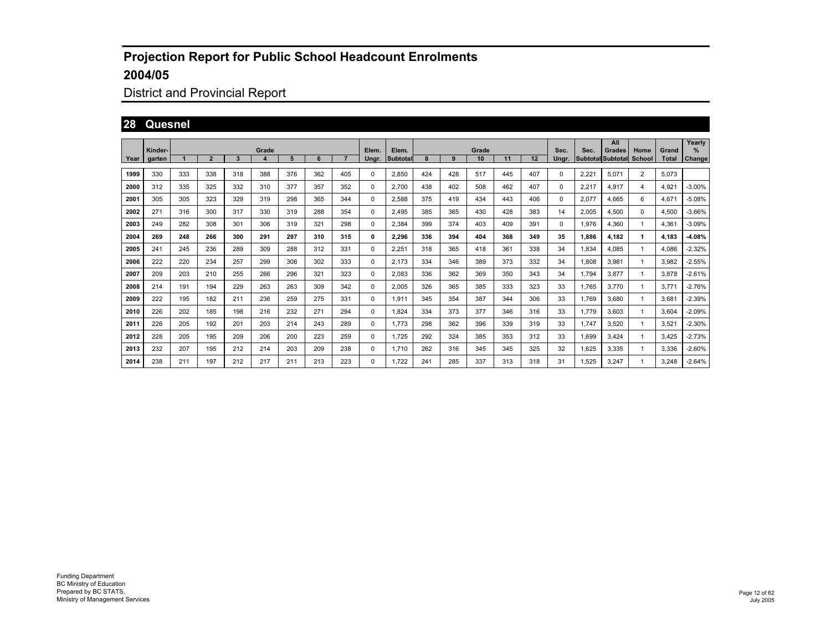## District and Provincial Report

## **28 Quesnel**

|      |         |     |                |     |            |     |     |     |          |                   |     |     |             |     |     |       |       | All                                |                       |                       | Yearly   |
|------|---------|-----|----------------|-----|------------|-----|-----|-----|----------|-------------------|-----|-----|-------------|-----|-----|-------|-------|------------------------------------|-----------------------|-----------------------|----------|
| Year | Kinder- |     | $\overline{2}$ | 3   | Grade<br>4 | 5   | 6   | 7   | Elem.    | Elem.<br>Subtotal |     | 9   | Grade<br>10 | 11  | 12  | Sec.  | Sec.  | Grades<br><b>Subtotal Subtotal</b> | Home<br><b>School</b> | Grand<br><b>Total</b> | ℅        |
|      | garten  |     |                |     |            |     |     |     | Ungr.    |                   |     |     |             |     |     | Ungr. |       |                                    |                       |                       | Change   |
| 1999 | 330     | 333 | 338            | 318 | 388        | 376 | 362 | 405 | 0        | 2,850             | 424 | 428 | 517         | 445 | 407 | 0     | 2,221 | 5.071                              | $\overline{2}$        | 5.073                 |          |
| 2000 | 312     | 335 | 325            | 332 | 310        | 377 | 357 | 352 | 0        | 2.700             | 438 | 402 | 508         | 462 | 407 | 0     | 2,217 | 4,917                              | $\overline{4}$        | 4,921                 | $-3.00%$ |
| 2001 | 305     | 305 | 323            | 329 | 319        | 298 | 365 | 344 | 0        | 2,588             | 375 | 419 | 434         | 443 | 406 | 0     | 2,077 | 4.665                              | 6                     | 4.671                 | $-5.08%$ |
| 2002 | 271     | 316 | 300            | 317 | 330        | 319 | 288 | 354 | 0        | 2.495             | 385 | 365 | 430         | 428 | 383 | 14    | 2,005 | 4.500                              | 0                     | 4,500                 | $-3.66%$ |
| 2003 | 249     | 282 | 308            | 301 | 306        | 319 | 321 | 298 | $\Omega$ | 2.384             | 399 | 374 | 403         | 409 | 391 | 0     | 1.976 | 4.360                              | 1                     | 4.361                 | $-3.09%$ |
| 2004 | 269     | 248 | 266            | 300 | 291        | 297 | 310 | 315 | 0        | 2.296             | 336 | 394 | 404         | 368 | 349 | 35    | 1.886 | 4.182                              | 1                     | 4.183                 | $-4.08%$ |
| 2005 | 241     | 245 | 236            | 289 | 309        | 288 | 312 | 331 | 0        | 2,251             | 318 | 365 | 418         | 361 | 338 | 34    | 1,834 | 4.085                              | -1                    | 4,086                 | $-2.32%$ |
| 2006 | 222     | 220 | 234            | 257 | 299        | 306 | 302 | 333 | 0        | 2.173             | 334 | 346 | 389         | 373 | 332 | 34    | 1,808 | 3.981                              | -1                    | 3,982                 | $-2.55%$ |
| 2007 | 209     | 203 | 210            | 255 | 266        | 296 | 321 | 323 | 0        | 2,083             | 336 | 362 | 369         | 350 | 343 | 34    | 1.794 | 3.877                              | -1                    | 3.878                 | $-2.61%$ |
| 2008 | 214     | 191 | 194            | 229 | 263        | 263 | 309 | 342 | 0        | 2,005             | 326 | 365 | 385         | 333 | 323 | 33    | 1.765 | 3.770                              | -1                    | 3.771                 | $-2.76%$ |
| 2009 | 222     | 195 | 182            | 211 | 236        | 259 | 275 | 331 | $\Omega$ | 1,911             | 345 | 354 | 387         | 344 | 306 | 33    | 1.769 | 3.680                              | -1                    | 3.681                 | $-2.39%$ |
| 2010 | 226     | 202 | 185            | 198 | 216        | 232 | 271 | 294 | 0        | 1.824             | 334 | 373 | 377         | 346 | 316 | 33    | 1.779 | 3.603                              |                       | 3,604                 | $-2.09%$ |
| 2011 | 226     | 205 | 192            | 201 | 203        | 214 | 243 | 289 | 0        | 1.773             | 298 | 362 | 396         | 339 | 319 | 33    | 1.747 | 3.520                              | -1                    | 3.521                 | $-2.30%$ |
| 2012 | 228     | 205 | 195            | 209 | 206        | 200 | 223 | 259 | 0        | 1.725             | 292 | 324 | 385         | 353 | 312 | 33    | 1.699 | 3.424                              | 1                     | 3.425                 | $-2.73%$ |
| 2013 | 232     | 207 | 195            | 212 | 214        | 203 | 209 | 238 | 0        | 1.710             | 262 | 316 | 345         | 345 | 325 | 32    | 1,625 | 3,335                              | 1                     | 3,336                 | $-2.60%$ |
| 2014 | 238     | 211 | 197            | 212 | 217        | 211 | 213 | 223 | $\Omega$ | 1.722             | 241 | 285 | 337         | 313 | 318 | 31    | 1.525 | 3.247                              |                       | 3.248                 | $-2.64%$ |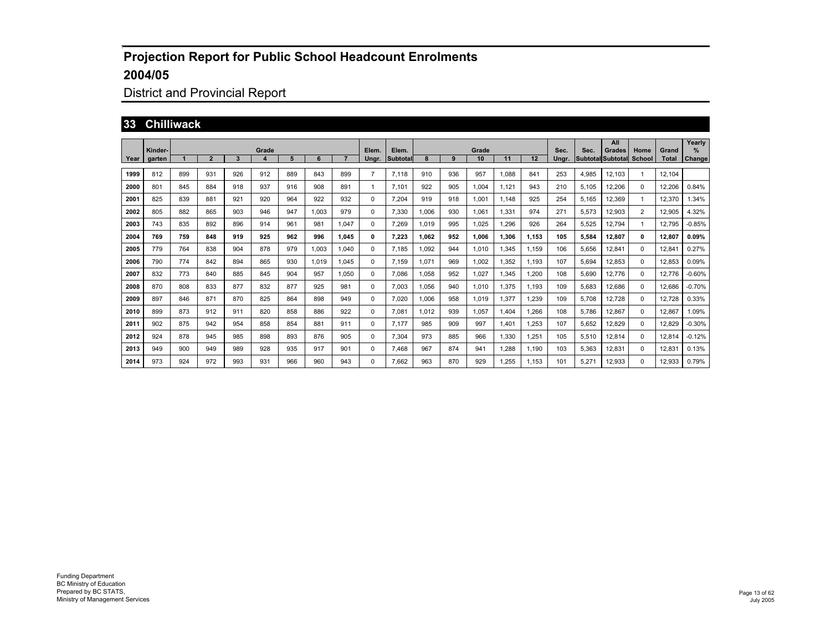## District and Provincial Report

#### **33 Chilliwack**

|      |                   |     |                |     |       |     |       |       |                |                   |       |     |             |       |       |               |       | All                                |                |                       | Yearly      |
|------|-------------------|-----|----------------|-----|-------|-----|-------|-------|----------------|-------------------|-------|-----|-------------|-------|-------|---------------|-------|------------------------------------|----------------|-----------------------|-------------|
| Year | Kinder-<br>garten |     | $\overline{2}$ | 3   | Grade | 5   | 6     |       | Elem.<br>Ungr. | Elem.<br>Subtotal |       | 9   | Grade<br>10 | 11    | 12    | Sec.<br>Ungr. | Sec.  | Grades<br><b>Subtotal Subtotal</b> | Home<br>School | Grand<br><b>Total</b> | %<br>Change |
|      |                   |     |                |     |       |     |       |       |                |                   |       |     |             |       |       |               |       |                                    |                |                       |             |
| 1999 | 812               | 899 | 931            | 926 | 912   | 889 | 843   | 899   | $\overline{7}$ | 7,118             | 910   | 936 | 957         | 1,088 | 841   | 253           | 4,985 | 12,103                             | $\mathbf{1}$   | 12,104                |             |
| 2000 | 801               | 845 | 884            | 918 | 937   | 916 | 908   | 891   | 1              | 7,101             | 922   | 905 | 1,004       | 1,121 | 943   | 210           | 5,105 | 12,206                             | 0              | 12,206                | 0.84%       |
| 2001 | 825               | 839 | 881            | 921 | 920   | 964 | 922   | 932   | 0              | 7.204             | 919   | 918 | 1,001       | 1.148 | 925   | 254           | 5,165 | 12,369                             | 1              | 12,370                | .34%        |
| 2002 | 805               | 882 | 865            | 903 | 946   | 947 | 1.003 | 979   | 0              | 7,330             | 1,006 | 930 | 1,061       | 1,331 | 974   | 271           | 5,573 | 12,903                             | $\overline{2}$ | 12,905                | 4.32%       |
| 2003 | 743               | 835 | 892            | 896 | 914   | 961 | 981   | 1.047 | 0              | 7.269             | 1,019 | 995 | 1.025       | 1,296 | 926   | 264           | 5,525 | 12,794                             | -1             | 12,795                | $-0.85%$    |
| 2004 | 769               | 759 | 848            | 919 | 925   | 962 | 996   | 1,045 | 0              | 7,223             | 1.062 | 952 | 1.006       | 1,306 | 1,153 | 105           | 5,584 | 12,807                             | $\mathbf{0}$   | 12,807                | 0.09%       |
| 2005 | 779               | 764 | 838            | 904 | 878   | 979 | 1.003 | 1,040 | 0              | 7.185             | 1,092 | 944 | 1.010       | 1,345 | 1.159 | 106           | 5,656 | 12,841                             | 0              | 12,841                | 0.27%       |
| 2006 | 790               | 774 | 842            | 894 | 865   | 930 | 1.019 | 1,045 | 0              | 7.159             | 1,071 | 969 | 1.002       | 1,352 | 1.193 | 107           | 5,694 | 12,853                             | $\mathbf{0}$   | 12,853                | 0.09%       |
| 2007 | 832               | 773 | 840            | 885 | 845   | 904 | 957   | 1.050 | 0              | 7,086             | 1,058 | 952 | 1.027       | 1,345 | 1,200 | 108           | 5,690 | 12,776                             | 0              | 12,776                | $-0.60%$    |
| 2008 | 870               | 808 | 833            | 877 | 832   | 877 | 925   | 981   | 0              | 7.003             | 1,056 | 940 | 1.010       | 1.375 | 1.193 | 109           | 5.683 | 12,686                             | 0              | 12.686                | $-0.70%$    |
| 2009 | 897               | 846 | 871            | 870 | 825   | 864 | 898   | 949   | 0              | 7.020             | 1,006 | 958 | 1.019       | 1,377 | 1,239 | 109           | 5.708 | 12,728                             | 0              | 12,728                | 0.33%       |
| 2010 | 899               | 873 | 912            | 911 | 820   | 858 | 886   | 922   | 0              | 7,081             | 1.012 | 939 | 1,057       | 1.404 | 1,266 | 108           | 5,786 | 12,867                             | 0              | 12,867                | .09%        |
| 2011 | 902               | 875 | 942            | 954 | 858   | 854 | 881   | 911   | 0              | 7.177             | 985   | 909 | 997         | 1.401 | 1,253 | 107           | 5,652 | 12,829                             | 0              | 12,829                | $-0.30%$    |
| 2012 | 924               | 878 | 945            | 985 | 898   | 893 | 876   | 905   | 0              | 7,304             | 973   | 885 | 966         | 1,330 | 1,251 | 105           | 5,510 | 12,814                             | 0              | 12,814                | $-0.12%$    |
| 2013 | 949               | 900 | 949            | 989 | 928   | 935 | 917   | 901   | 0              | 7.468             | 967   | 874 | 941         | 1,288 | 1,190 | 103           | 5,363 | 12,831                             | 0              | 12,831                | 0.13%       |
| 2014 | 973               | 924 | 972            | 993 | 931   | 966 | 960   | 943   | 0              | 7.662             | 963   | 870 | 929         | 1.255 | 1.153 | 101           | 5.271 | 12,933                             | 0              | 12,933                | 0.79%       |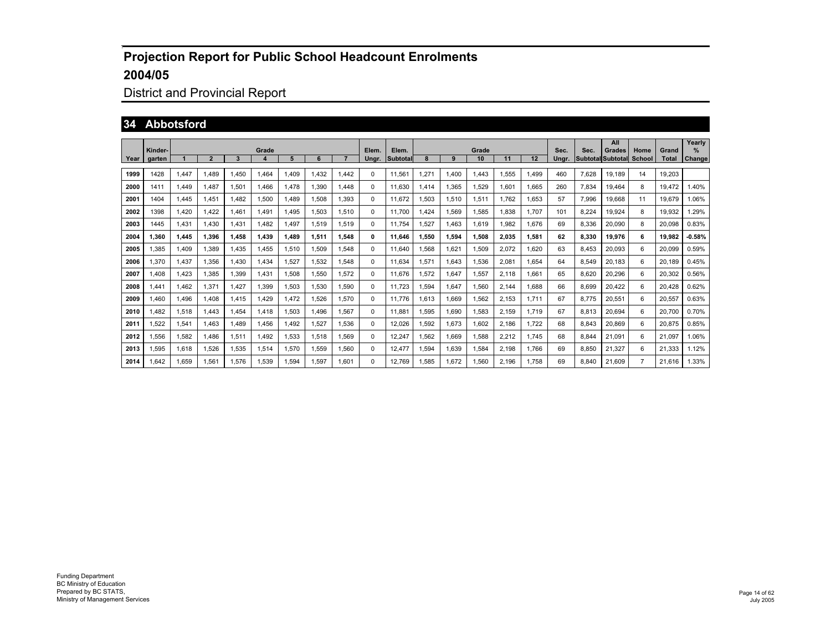# District and Provincial Report

#### **34 Abbotsford**

|      |                   |             |              |       |            |       |       |       | Elem. |                   |       |       |             |       |       |               |       | All                                |                |                       | Yearly      |
|------|-------------------|-------------|--------------|-------|------------|-------|-------|-------|-------|-------------------|-------|-------|-------------|-------|-------|---------------|-------|------------------------------------|----------------|-----------------------|-------------|
| Year | Kinder-<br>garten |             | $\mathbf{2}$ | 3     | Grade<br>4 | 5     | 6     |       | Ungr. | Elem.<br>Subtotal |       | 9     | Grade<br>10 | 11    | 12    | Sec.<br>Unar. | Sec.  | Grades<br><b>Subtotal Subtotal</b> | Home<br>School | Grand<br><b>Total</b> | %<br>Change |
| 1999 | 1428              | 1,447       | .489         | 1.450 | 1.464      | 1.409 | 1.432 | 1,442 | 0     | 11.561            | 1,271 | .400  | 1,443       | 1,555 | 1.499 | 460           | 7,628 | 19,189                             | 14             | 19,203                |             |
| 2000 | 1411              | 1,449       | 1.487        | 1,501 | 1,466      | 1.478 | 1,390 | 1,448 | 0     | 11.630            | 1,414 | 1,365 | 1,529       | 1,601 | 1,665 | 260           | 7,834 | 19,464                             | 8              | 19.472                | 1.40%       |
| 2001 | 1404              | 1,445       | 1.451        | 1.482 | 1,500      | 1.489 | 1,508 | 1,393 | 0     | 11.672            | 1,503 | 1,510 | 1,511       | 1.762 | 1,653 | 57            | 7,996 | 19,668                             | 11             | 19.679                | .06%        |
| 2002 | 1398              | 1,420       | 1,422        | 1,461 | 1,491      | 1.495 | 1,503 | 1,510 | 0     | 11.700            | 1.424 | 1,569 | 1,585       | 1,838 | 1.707 | 101           | 8,224 | 19,924                             | 8              | 19,932                | .29%        |
| 2003 | 1445              | 1,431       | 1.430        | 1,431 | 1,482      | 1,497 | 1,519 | 1,519 | 0     | 11.754            | 1,527 | 1.463 | 1,619       | 1,982 | 1,676 | 69            | 8,336 | 20,090                             | 8              | 20,098                | 0.83%       |
| 2004 | 1.360             | 1.445       | 1.396        | 1.458 | 1,439      | 1.489 | 1,511 | 1.548 | 0     | 11.646            | 1.550 | 1,594 | 1,508       | 2.035 | 1,581 | 62            | 8,330 | 19,976                             | 6              | 19.982                | $-0.58%$    |
| 2005 | 1,385             | 1,409       | 1.389        | 1.435 | 1,455      | 1,510 | 1,509 | 1,548 | 0     | 11.640            | 1,568 | 1,621 | 1,509       | 2,072 | 1,620 | 63            | 8.453 | 20,093                             | 6              | 20,099                | 0.59%       |
| 2006 | 1,370             | 1,437       | 1.356        | 1.430 | 1,434      | 1,527 | 1,532 | 1,548 | 0     | 11.634            | 1,571 | 1,643 | 1,536       | 2,081 | 1,654 | 64            | 8.549 | 20,183                             | 6              | 20.189                | 0.45%       |
| 2007 | 1.408             | <b>423.</b> | 1.385        | 1,399 | 1,431      | 1,508 | 1,550 | 1,572 | 0     | 11.676            | 1,572 | 1,647 | 1,557       | 2,118 | 1.661 | 65            | 8,620 | 20,296                             | 6              | 20,302                | 0.56%       |
| 2008 | 1,441             | 1.462       | 1,371        | 1.427 | 1,399      | 1,503 | 1,530 | 1,590 | 0     | 11.723            | 1,594 | 1,647 | 1,560       | 2,144 | 1,688 | 66            | 8,699 | 20,422                             | 6              | 20.428                | 0.62%       |
| 2009 | 1.460             | <b>.496</b> | 1.408        | 1.415 | 1,429      | 1.472 | 1,526 | 1,570 | 0     | 11.776            | 1,613 | 1.669 | 1,562       | 2,153 | 1,711 | 67            | 8.775 | 20,551                             | 6              | 20,557                | 0.63%       |
| 2010 | 1,482             | 1,518       | 1.443        | 1,454 | 1,418      | 1,503 | 1,496 | 1,567 | 0     | 11,881            | 1,595 | 1,690 | 1,583       | 2,159 | 1,719 | 67            | 8,813 | 20,694                             | 6              | 20,700                | 0.70%       |
| 2011 | 1,522             | 1,541       | 1.463        | 1.489 | 1,456      | 1,492 | 1,527 | 1,536 | 0     | 12.026            | 1,592 | 1,673 | 1,602       | 2.186 | 1.722 | 68            | 8,843 | 20,869                             | 6              | 20,875                | 0.85%       |
| 2012 | 1,556             | 1,582       | 1.486        | 1,511 | 1,492      | 1,533 | 1,518 | 1,569 | 0     | 12,247            | 1,562 | 1,669 | 1,588       | 2,212 | 1,745 | 68            | 8,844 | 21,091                             | 6              | 21,097                | .06%        |
| 2013 | 1,595             | 1,618       | 1,526        | 1,535 | 1,514      | 1,570 | 1,559 | 1,560 | 0     | 12,477            | 1,594 | 1,639 | 1,584       | 2,198 | 1.766 | 69            | 8,850 | 21,327                             | 6              | 21,333                | 1.12%       |
| 2014 | 1.642             | 1.659       | 1.561        | 1.576 | 1,539      | 1.594 | 1.597 | 1.601 | 0     | 12.769            | 1.585 | 1.672 | 1,560       | 2.196 | 1.758 | 69            | 8.840 | 21.609                             | $\overline{7}$ | 21.616                | 1.33%       |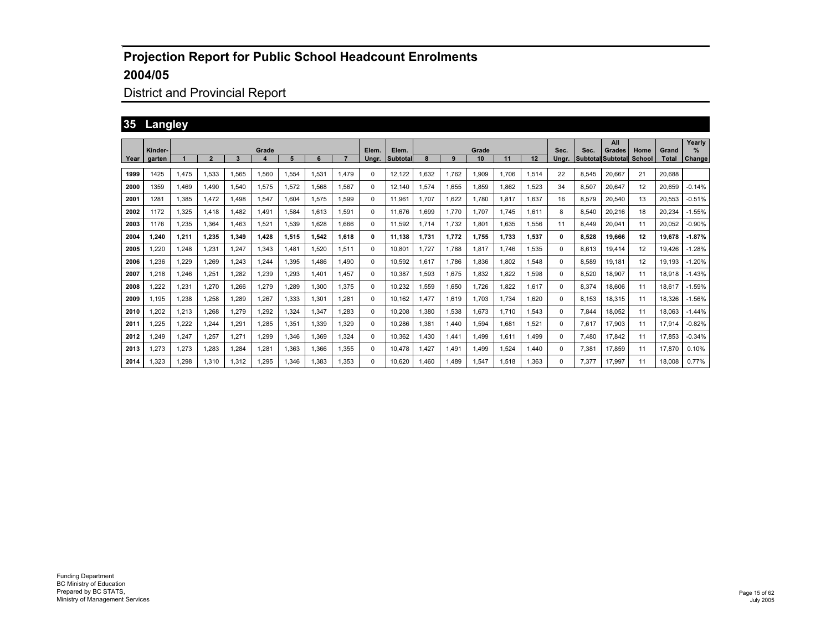## District and Provincial Report

## **35 Langley**

|      |         |       |                |       |       |       |       |       |       |          |       |       |       |       |       |       |       | All                      |        |              | Yearly        |
|------|---------|-------|----------------|-------|-------|-------|-------|-------|-------|----------|-------|-------|-------|-------|-------|-------|-------|--------------------------|--------|--------------|---------------|
|      | Kinder- |       |                |       | Grade |       |       |       | Elem. | Elem.    |       |       | Grade |       |       | Sec.  | Sec.  | Grades                   | Home   | Grand        | $\%$          |
| Year | garten  |       | $\overline{2}$ | 3     |       | 5     | 6     |       | Unar. | Subtotal |       | 9     | 10    | 11    | 12    | Ungr. |       | <b>Subtotal Subtotal</b> | School | <b>Total</b> | <b>Change</b> |
| 1999 | 1425    | 1.475 | 1,533          | 1.565 | 1,560 | 1.554 | 1.531 | 1.479 | 0     | 12,122   | 1,632 | 1.762 | 1,909 | 1.706 | 1,514 | 22    | 8.545 | 20.667                   | 21     | 20.688       |               |
| 2000 | 1359    | 1.469 | 1.490          | 1.540 | 1.575 | 1.572 | 1.568 | 1.567 | 0     | 12.140   | 1.574 | 1.655 | 1.859 | 1.862 | 1.523 | 34    | 8.507 | 20.647                   | 12     | 20.659       | $-0.14%$      |
| 2001 | 1281    | 1.385 | 1.472          | 1.498 | 1,547 | 1.604 | 1,575 | 1,599 | 0     | 11.961   | 1.707 | 1,622 | 1.780 | 1,817 | 1.637 | 16    | 8,579 | 20,540                   | 13     | 20,553       | $-0.51%$      |
| 2002 | 1172    | 1,325 | 1.418          | 1.482 | 1,491 | 1.584 | 1.613 | 1,591 | 0     | 11.676   | 1,699 | 1.770 | 1.707 | 1.745 | 1.611 | 8     | 8.540 | 20,216                   | 18     | 20,234       | $-1.55%$      |
| 2003 | 1176    | 1,235 | 1.364          | 1.463 | 1,521 | 1.539 | 1.628 | 1.666 | 0     | 11.592   | 1.714 | 1.732 | 1.801 | 1.635 | 1,556 | 11    | 8.449 | 20.041                   | 11     | 20.052       | $-0.90%$      |
| 2004 | 1.240   | 1,211 | 1.235          | 1.349 | 1.428 | 1.515 | 1.542 | 1,618 | 0     | 11.138   | 1.731 | 1.772 | 1.755 | 1.733 | 1,537 | 0     | 8.528 | 19.666                   | 12     | 19.678       | $-1.87%$      |
| 2005 | 1,220   | 1,248 | 1,231          | 1,247 | 1,343 | 1.481 | 1.520 | 1,511 | 0     | 10.801   | 1.727 | 1.788 | 1.817 | 1.746 | 1,535 | 0     | 8.613 | 19,414                   | 12     | 19.426       | $-1.28%$      |
| 2006 | 1.236   | 1.229 | 1.269          | 1.243 | 1,244 | 1.395 | 1.486 | 1.490 | 0     | 10.592   | 1,617 | 1.786 | 1.836 | 1.802 | 1,548 | 0     | 8.589 | 19.181                   | 12     | 19.193       | $-1.20%$      |
| 2007 | 1.218   | .246  | 1.251          | 1.282 | 1,239 | 1.293 | 1.401 | 1.457 | 0     | 10.387   | 1.593 | 1.675 | 1.832 | 1.822 | 1,598 | 0     | 8.520 | 18,907                   | 11     | 18.918       | $-1.43%$      |
| 2008 | 1.222   | .231  | 1,270          | 1.266 | 1,279 | 1.289 | 1.300 | 1.375 | 0     | 10.232   | 1,559 | 1.650 | 1.726 | 1.822 | 1.617 | 0     | 8.374 | 18.606                   | 11     | 18.617       | $-1.59%$      |
| 2009 | 1.195   | .238  | 1.258          | 1.289 | 1,267 | 1.333 | 1.301 | 1.281 | 0     | 10.162   | 1.477 | 1.619 | 1.703 | 1.734 | 1.620 | 0     | 8.153 | 18.315                   | 11     | 18.326       | $-1.56%$      |
| 2010 | 1,202   | 1,213 | 1,268          | 1,279 | 1,292 | 1,324 | 1,347 | 1,283 | 0     | 10,208   | 1,380 | 1,538 | 1,673 | 1.710 | 1,543 | 0     | 7,844 | 18,052                   | 11     | 18.063       | $-1.44%$      |
| 2011 | 1.225   | 1,222 | 1.244          | 1.291 | 1.285 | 1,351 | 1.339 | 1.329 | 0     | 10.286   | 1,381 | 1.440 | 1.594 | 1.681 | 1,521 | 0     | 7,617 | 17,903                   | 11     | 17,914       | $-0.82%$      |
| 2012 | 1.249   | 1.247 | 1.257          | 1.271 | 1,299 | 1.346 | 1.369 | 1,324 | 0     | 10.362   | 1.430 | 1.441 | 1.499 | 1,611 | 1.499 | 0     | 7.480 | 17,842                   | 11     | 17.853       | $-0.34%$      |
| 2013 | 1,273   | 1,273 | 1.283          | 1.284 | 1,281 | 1,363 | 1,366 | 1,355 | 0     | 10.478   | 1.427 | 1,491 | 1.499 | 1.524 | 1.440 | 0     | 7,381 | 17,859                   | 11     | 17,870       | 0.10%         |
| 2014 | 1.323   | 1.298 | 1.310          | 1.312 | 1.295 | 1.346 | 1.383 | 1.353 | 0     | 10.620   | 1.460 | 1.489 | 1.547 | 1.518 | 1.363 | 0     | 7.377 | 17.997                   | 11     | 18.008       | 0.77%         |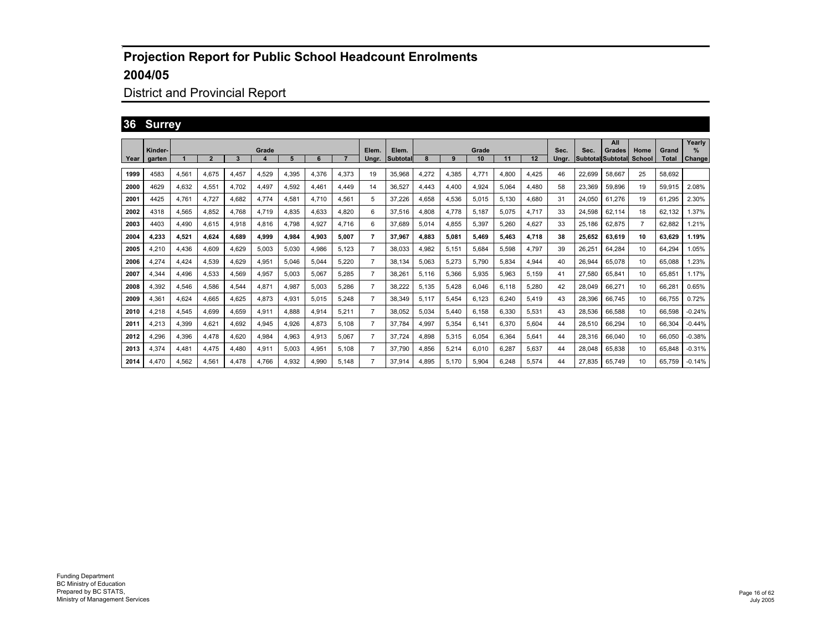## District and Provincial Report

## **36 Surrey**

|      |                   |       |       |       |            |       |       |       |                |                          |       |       |             |       |       |               |        | All                                |                       |                       | Yearly      |
|------|-------------------|-------|-------|-------|------------|-------|-------|-------|----------------|--------------------------|-------|-------|-------------|-------|-------|---------------|--------|------------------------------------|-----------------------|-----------------------|-------------|
| Year | Kinder-<br>garten |       | 2     | 3     | Grade<br>4 | 5     | 6     |       | Elem.<br>Ungr. | Elem.<br><b>Subtotal</b> |       | 9     | Grade<br>10 | 11    | 12    | Sec.<br>Ungr. | Sec.   | Grades<br><b>Subtotal</b> Subtotal | Home<br><b>School</b> | Grand<br><b>Total</b> | %<br>Change |
|      |                   |       |       |       |            |       |       |       |                |                          |       |       |             |       |       |               |        |                                    |                       |                       |             |
| 1999 | 4583              | 4,561 | 4,675 | 4.457 | 4,529      | 4,395 | 4.376 | 4,373 | 19             | 35.968                   | 4,272 | 4,385 | 4,771       | 4.800 | 4,425 | 46            | 22,699 | 58.667                             | 25                    | 58.692                |             |
| 2000 | 4629              | 4.632 | 4,551 | 4.702 | 4.497      | 4,592 | 4,461 | 4.449 | 14             | 36.527                   | 4.443 | 4,400 | 4.924       | 5.064 | 4,480 | 58            | 23.369 | 59,896                             | 19                    | 59,915                | 2.08%       |
| 2001 | 4425              | 4.761 | 4.727 | 4.682 | 4.774      | 4.581 | 4.710 | 4.561 | 5              | 37.226                   | 4.658 | 4,536 | 5.015       | 5,130 | 4,680 | 31            | 24.050 | 61.276                             | 19                    | 61.295                | 2.30%       |
| 2002 | 4318              | 4.565 | 4.852 | 4.768 | 4.719      | 4.835 | 4.633 | 4.820 | 6              | 37.516                   | 4.808 | 4.778 | 5.187       | 5.075 | 4.717 | 33            | 24.598 | 62,114                             | 18                    | 62.132                | .37%        |
| 2003 | 4403              | 4.490 | 4.615 | 4.918 | 4.816      | 4.798 | 4.927 | 4.716 | 6              | 37.689                   | 5.014 | 4.855 | 5.397       | 5.260 | 4.627 | 33            | 25.186 | 62.875                             | 7                     | 62.882                | .21%        |
| 2004 | 4.233             | 4.521 | 4.624 | 4.689 | 4.999      | 4.984 | 4.903 | 5.007 | 7              | 37.967                   | 4.883 | 5.081 | 5.469       | 5.463 | 4.718 | 38            | 25.652 | 63.619                             | 10                    | 63.629                | 1.19%       |
| 2005 | 4,210             | 4.436 | 4,609 | 4.629 | 5,003      | 5,030 | 4,986 | 5,123 | $\overline{7}$ | 38.033                   | 4,982 | 5,151 | 5.684       | 5,598 | 4,797 | 39            | 26,251 | 64.284                             | 10                    | 64.294                | 1.05%       |
| 2006 | 4,274             | 4.424 | 4,539 | 4.629 | 4,951      | 5.046 | 5.044 | 5,220 | $\overline{7}$ | 38.134                   | 5.063 | 5,273 | 5.790       | 5.834 | 4,944 | 40            | 26.944 | 65.078                             | 10                    | 65.088                | .23%        |
| 2007 | 4,344             | 4.496 | 4,533 | 4,569 | 4,957      | 5.003 | 5.067 | 5,285 | $\overline{7}$ | 38,261                   | 5.116 | 5,366 | 5,935       | 5,963 | 5,159 | 41            | 27.580 | 65.841                             | 10                    | 65.851                | 1.17%       |
| 2008 | 4,392             | 4,546 | 4,586 | 4,544 | 4,871      | 4.987 | 5.003 | 5,286 | $\overline{7}$ | 38,222                   | 5,135 | 5.428 | 6.046       | 6.118 | 5,280 | 42            | 28.049 | 66.271                             | 10                    | 66,281                | 0.65%       |
| 2009 | 4,361             | 4.624 | 4.665 | 4.625 | 4,873      | 4.931 | 5.015 | 5,248 | $\overline{7}$ | 38.349                   | 5.117 | 5.454 | 6.123       | 6.240 | 5,419 | 43            | 28.396 | 66.745                             | 10                    | 66.755                | 0.72%       |
| 2010 | 4,218             | 4.545 | 4,699 | 4.659 | 4,911      | 4.888 | 4.914 | 5,211 | $\overline{7}$ | 38.052                   | 5.034 | 5.440 | 6.158       | 6.330 | 5,531 | 43            | 28.536 | 66.588                             | 10                    | 66.598                | $-0.24%$    |
| 2011 | 4.213             | 4.399 | 4.621 | 4.692 | 4,945      | 4.926 | 4.873 | 5.108 | $\overline{7}$ | 37.784                   | 4.997 | 5,354 | 6.141       | 6.370 | 5,604 | 44            | 28.510 | 66.294                             | 10                    | 66.304                | $-0.44%$    |
| 2012 | 4.296             | 4.396 | 4.478 | 4.620 | 4.984      | 4.963 | 4.913 | 5.067 | $\overline{7}$ | 37.724                   | 4.898 | 5,315 | 6.054       | 6.364 | 5,641 | 44            | 28.316 | 66.040                             | 10                    | 66.050                | $-0.38%$    |
| 2013 | 4,374             | 4.481 | 4.475 | 4.480 | 4,911      | 5.003 | 4.951 | 5,108 | $\overline{7}$ | 37.790                   | 4.856 | 5,214 | 6.010       | 6.287 | 5,637 | 44            | 28.048 | 65,838                             | 10                    | 65.848                | $-0.31%$    |
| 2014 | 4.470             | 4.562 | 4.561 | 4.478 | 4.766      | 4.932 | 4.990 | 5.148 | 7              | 37.914                   | 4.895 | 5.170 | 5.904       | 6.248 | 5.574 | 44            | 27.835 | 65.749                             | 10                    | 65.759                | $-0.14%$    |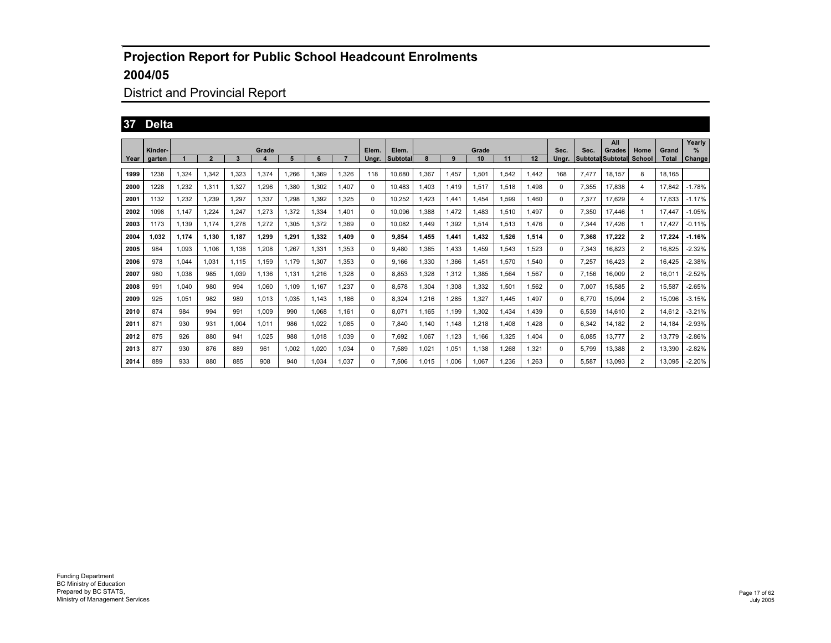## District and Provincial Report

#### **37 Delta**

|      |         |       |              |       |                  |       |       |       |       |          |       |       |       |       |       |          |       | All                      |                |              | Yearly        |
|------|---------|-------|--------------|-------|------------------|-------|-------|-------|-------|----------|-------|-------|-------|-------|-------|----------|-------|--------------------------|----------------|--------------|---------------|
|      | Kinder- |       |              |       | Grade            |       |       |       | Elem. | Elem.    |       |       | Grade |       |       | Sec.     | Sec.  | Grades                   | Home           | Grand        | $\frac{9}{6}$ |
| Year | garten  |       | $\mathbf{2}$ | 3     | $\boldsymbol{4}$ | 5     | 6     |       | Unar. | Subtotal |       | 9     | 10    | 11    | 12    | Unar.    |       | Subtotal Subtotal School |                | <b>Total</b> | Change        |
| 1999 | 1238    | 1,324 | 1,342        | 1.323 | 1,374            | 1.266 | 1.369 | 1,326 | 118   | 10,680   | 1,367 | 1.457 | 1,501 | 1.542 | .442  | 168      | 7,477 | 18.157                   | 8              | 18.165       |               |
| 2000 | 1228    | .232  | 1,311        | 1.327 | 1.296            | 1,380 | 1.302 | 1,407 | 0     | 10.483   | 1.403 | 1,419 | 1,517 | 1.518 | 1.498 | $\Omega$ | 7,355 | 17,838                   | 4              | 17.842       | $-1.78%$      |
| 2001 | 1132    | 1.232 | 1,239        | 1.297 | 1,337            | 1.298 | 1.392 | 1,325 | 0     | 10.252   | .423  | 1.441 | 1.454 | 1,599 | 1.460 | $\Omega$ | 7,377 | 17,629                   | 4              | 17.633       | $-1.17%$      |
| 2002 | 1098    | 1.147 | 1.224        | 1.247 | 1.273            | 1,372 | 1.334 | 1.401 | 0     | 10.096   | .388  | 1.472 | 1.483 | 1.510 | 1.497 | $\Omega$ | 7,350 | 17,446                   | 1              | 17.447       | $-1.05%$      |
| 2003 | 1173    | 1.139 | 1.174        | 1.278 | 1.272            | 1.305 | 1.372 | 1.369 | 0     | 10.082   | .449  | 1.392 | 1.514 | 1.513 | 1.476 | 0        | 7.344 | 17.426                   | $\mathbf{1}$   | 17.427       | $-0.11%$      |
| 2004 | 1.032   | 1.174 | 1.130        | 1.187 | 1.299            | 1.291 | 1.332 | 1.409 | 0     | 9.854    | 1.455 | 1.441 | 1.432 | 1.526 | 1.514 | 0        | 7.368 | 17.222                   | $\overline{2}$ | 17.224       | $-1.16%$      |
| 2005 | 984     | 1,093 | 1.106        | 1.138 | 1,208            | 1,267 | 1.331 | 1,353 | 0     | 9.480    | 1.385 | 1.433 | 1.459 | 1,543 | 1,523 | 0        | 7,343 | 16,823                   | $\overline{2}$ | 16,825       | $-2.32%$      |
| 2006 | 978     | 1,044 | 1,031        | 1.115 | 1,159            | 1.179 | 1.307 | 1,353 | 0     | 9.166    | 1,330 | 1,366 | 1.451 | 1,570 | 1,540 | 0        | 7,257 | 16,423                   | $\overline{2}$ | 16.425       | $-2.38%$      |
| 2007 | 980     | 1,038 | 985          | 1.039 | 1,136            | 1.131 | 1.216 | 1,328 | 0     | 8.853    | 1.328 | 1,312 | 1.385 | 1,564 | 1,567 | 0        | 7.156 | 16,009                   | $\overline{2}$ | 16,011       | $-2.52%$      |
| 2008 | 991     | 1.040 | 980          | 994   | 1.060            | 1.109 | 1.167 | 1,237 | 0     | 8.578    | 1.304 | 1,308 | 1.332 | 1,501 | 1,562 | 0        | 7.007 | 15,585                   | $\overline{2}$ | 15,587       | $-2.65%$      |
| 2009 | 925     | 1,051 | 982          | 989   | 1,013            | 1,035 | 1.143 | 1,186 | 0     | 8.324    | 1,216 | 1,285 | 1.327 | 1.445 | 1.497 | 0        | 6.770 | 15,094                   | $\overline{2}$ | 15.096       | $-3.15%$      |
| 2010 | 874     | 984   | 994          | 991   | 1.009            | 990   | 1.068 | 1.161 | 0     | 8.071    | 1.165 | 1.199 | 1.302 | 1.434 | 1.439 | 0        | 6.539 | 14.610                   | 2              | 14.612       | $-3.21%$      |
| 2011 | 871     | 930   | 931          | 1.004 | 1.011            | 986   | 1.022 | 1.085 | 0     | 7.840    | 1.140 | 1.148 | 1.218 | .408  | 1.428 | 0        | 6.342 | 14.182                   | $\overline{2}$ | 14.184       | $-2.93%$      |
| 2012 | 875     | 926   | 880          | 941   | 1.025            | 988   | 1.018 | 1.039 | 0     | 7.692    | 1.067 | 1.123 | 1.166 | 1.325 | 1.404 | $\Omega$ | 6.085 | 13.777                   | $\overline{2}$ | 13.779       | $-2.86%$      |
| 2013 | 877     | 930   | 876          | 889   | 961              | 1.002 | 1.020 | 1.034 | 0     | 7.589    | 1.021 | 1.051 | 1.138 | 1.268 | 1,321 | $\Omega$ | 5.799 | 13.388                   | 2              | 13.390       | $-2.82%$      |
| 2014 | 889     | 933   | 880          | 885   | 908              | 940   | .034  | 1.037 | 0     | 7.506    | 1.015 | 1.006 | 1.067 | .236  | 1.263 | 0        | 5.587 | 13.093                   | $\overline{2}$ | 13,095       | $-2.20%$      |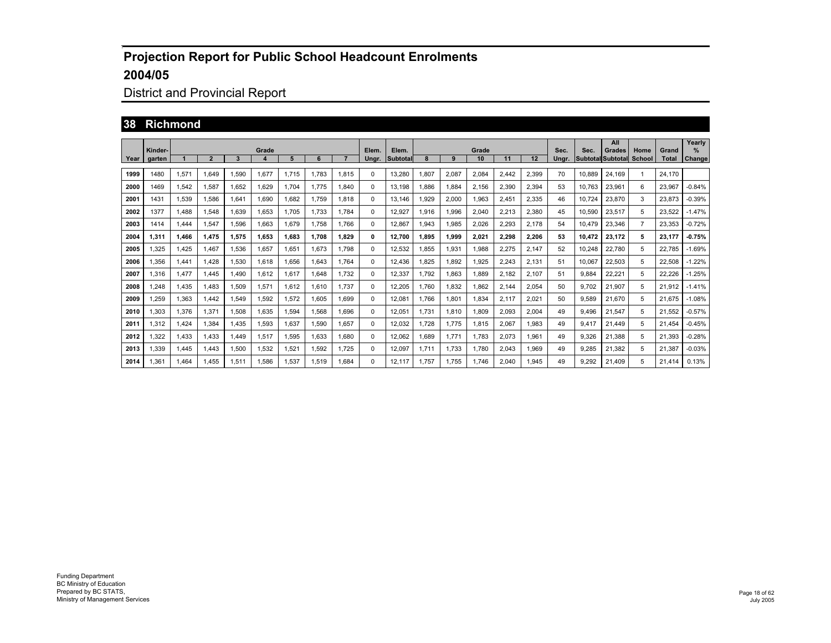# District and Provincial Report

#### **38 Richmond**

|      |                   |       |                |       |            |       |       |       |                |                   |       |       |             |       |       |               |        | All                                |                       |                       | Yearly             |
|------|-------------------|-------|----------------|-------|------------|-------|-------|-------|----------------|-------------------|-------|-------|-------------|-------|-------|---------------|--------|------------------------------------|-----------------------|-----------------------|--------------------|
| Year | Kinder-<br>garten |       | $\overline{2}$ | 3     | Grade<br>4 | 5     | 6     |       | Elem.<br>Ungr. | Elem.<br>Subtotal |       | 9     | Grade<br>10 | 11    | 12    | Sec.<br>Unar. | Sec.   | Grades<br><b>Subtotal Subtotal</b> | Home<br><b>School</b> | Grand<br><b>Total</b> | %<br><b>Change</b> |
|      |                   |       |                |       |            |       |       |       |                |                   |       |       |             |       |       |               |        |                                    |                       |                       |                    |
| 1999 | 1480              | 1,571 | 1.649          | 1.590 | 1,677      | 1.715 | 1.783 | 1.815 | 0              | 13.280            | 1,807 | 2,087 | 2,084       | 2,442 | 2,399 | 70            | 10.889 | 24.169                             | $\mathbf{1}$          | 24.170                |                    |
| 2000 | 1469              | 1,542 | 1,587          | 1.652 | 1.629      | 1.704 | 1.775 | 1,840 | 0              | 13,198            | 1.886 | 1,884 | 2,156       | 2,390 | 2,394 | 53            | 10.763 | 23,961                             | 6                     | 23,967                | $-0.84%$           |
| 2001 | 1431              | 1.539 | 1.586          | 1.641 | 1.690      | 1.682 | 1.759 | 1.818 | 0              | 13.146            | 1.929 | 2.000 | 1.963       | 2,451 | 2,335 | 46            | 10.724 | 23.870                             | 3                     | 23.873                | $-0.39%$           |
| 2002 | 1377              | 1.488 | 1.548          | 1.639 | 1.653      | 1.705 | 1.733 | 1.784 | 0              | 12.927            | 1,916 | 1.996 | 2,040       | 2,213 | 2,380 | 45            | 10.590 | 23.517                             | 5                     | 23.522                | $-1.47%$           |
| 2003 | 1414              | 1.444 | 1.547          | 1.596 | 1.663      | 1.679 | 1.758 | 1.766 | 0              | 12.867            | 1.943 | 1.985 | 2.026       | 2.293 | 2.178 | 54            | 10.479 | 23.346                             | $\overline{7}$        | 23.353                | $-0.72%$           |
| 2004 | 1.311             | 1.466 | 1.475          | 1.575 | 1.653      | 1.683 | 1.708 | 1.829 | 0              | 12.700            | 1.895 | 1.999 | 2.021       | 2.298 | 2.206 | 53            | 10.472 | 23.172                             | 5                     | 23.177                | $-0.75%$           |
| 2005 | 1,325             | 1,425 | 1.467          | 1,536 | 1,657      | 1,651 | 1.673 | 1.798 | 0              | 12,532            | 1,855 | 1,931 | 1,988       | 2,275 | 2,147 | 52            | 10.248 | 22,780                             | 5                     | 22.785                | $-1.69%$           |
| 2006 | 1,356             | 1.441 | 1.428          | 1,530 | 1,618      | 1.656 | 1.643 | 1.764 | 0              | 12.436            | 1.825 | 1.892 | 1.925       | 2.243 | 2,131 | 51            | 10.067 | 22,503                             | 5                     | 22,508                | $-1.22%$           |
| 2007 | 1,316             | .477  | 1.445          | 1.490 | 1,612      | 1.617 | 1.648 | 1.732 | 0              | 12,337            | 1.792 | 1,863 | 1.889       | 2.182 | 2,107 | 51            | 9.884  | 22,221                             | 5                     | 22,226                | $-1.25%$           |
| 2008 | 1.248             | 1.435 | 1.483          | 1,509 | 1,571      | 1.612 | 1.610 | 1.737 | 0              | 12,205            | 1.760 | 1.832 | 1.862       | 2.144 | 2,054 | 50            | 9.702  | 21.907                             | 5                     | 21.912                | $-1.41%$           |
| 2009 | 1.259             | 1.363 | 1.442          | 1,549 | 1,592      | 1.572 | 1.605 | 1.699 | 0              | 12.081            | 1.766 | 1.801 | 1.834       | 2.117 | 2,021 | 50            | 9.589  | 21,670                             | 5                     | 21.675                | $-1.08%$           |
| 2010 | 1.303             | 1.376 | 1.371          | 1.508 | 1,635      | 1,594 | 1.568 | 1.696 | 0              | 12,051            | 1.731 | 1,810 | 1.809       | 2,093 | 2,004 | 49            | 9.496  | 21,547                             | 5                     | 21,552                | $-0.57%$           |
| 2011 | 1.312             | 1,424 | 1.384          | 1.435 | 1,593      | 1.637 | 1.590 | 1.657 | 0              | 12.032            | 1.728 | 1.775 | 1.815       | 2.067 | 1,983 | 49            | 9.417  | 21.449                             | 5                     | 21.454                | $-0.45%$           |
| 2012 | 1.322             | 1.433 | 1.433          | 1.449 | 1,517      | 1.595 | 1.633 | 1.680 | 0              | 12.062            | 1.689 | 1.771 | 1.783       | 2.073 | 1.961 | 49            | 9.326  | 21.388                             | 5                     | 21.393                | $-0.28%$           |
| 2013 | 1,339             | 1.445 | 1.443          | 1,500 | 1,532      | 1,521 | 1.592 | 1.725 | 0              | 12,097            | 1.711 | 1.733 | 1.780       | 2,043 | 1,969 | 49            | 9,285  | 21,382                             | 5                     | 21,387                | $-0.03%$           |
| 2014 | 1.361             | 1.464 | 1.455          | 1.511 | 1.586      | 1.537 | 1.519 | 1.684 | 0              | 12.117            | 1.757 | 1.755 | 1.746       | 2.040 | 1.945 | 49            | 9.292  | 21.409                             | 5                     | 21.414                | 0.13%              |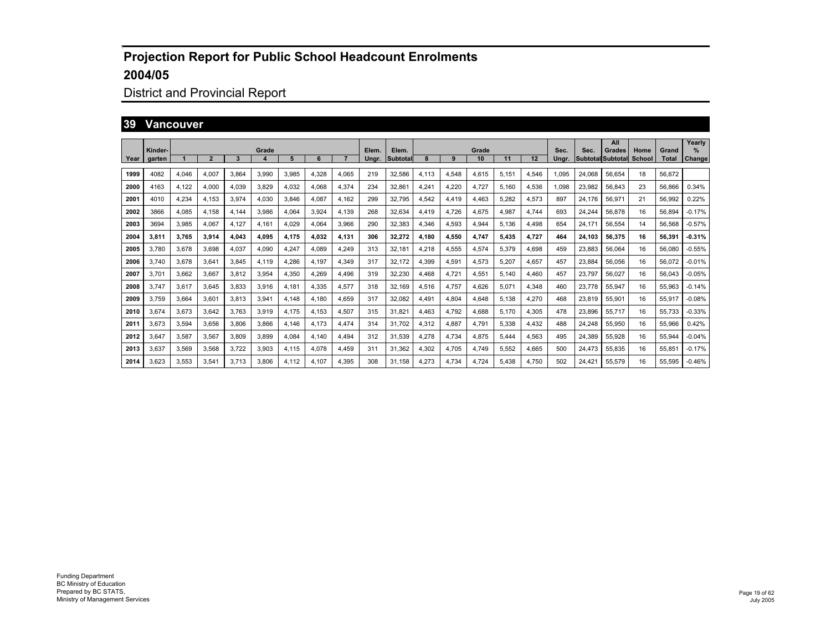# District and Provincial Report

#### **39 Vancouver**

|      |                   |       |       |       |                           |       |       |       |                |                          |       |       |             |       |       |               |        | All                         |                |                       | Yearly      |
|------|-------------------|-------|-------|-------|---------------------------|-------|-------|-------|----------------|--------------------------|-------|-------|-------------|-------|-------|---------------|--------|-----------------------------|----------------|-----------------------|-------------|
| Year | Kinder-<br>garten |       | 2     | 3     | Grade<br>$\boldsymbol{4}$ | 5     | 6     |       | Elem.<br>Ungr. | Elem.<br><b>Subtotal</b> |       | 9     | Grade<br>10 | 11    | 12    | Sec.<br>Ungr. | Sec.   | Grades<br>Subtotal Subtotal | Home<br>School | Grand<br><b>Total</b> | %<br>Change |
|      |                   |       |       |       |                           |       |       |       |                |                          |       |       |             |       |       |               |        |                             |                |                       |             |
| 1999 | 4082              | 4,046 | 4,007 | 3.864 | 3,990                     | 3,985 | 4,328 | 4,065 | 219            | 32,586                   | 4,113 | 4,548 | 4,615       | 5,151 | 4,546 | 1,095         | 24,068 | 56,654                      | 18             | 56,672                |             |
| 2000 | 4163              | 4,122 | 4,000 | 4.039 | 3,829                     | 4,032 | 4.068 | 4,374 | 234            | 32,861                   | 4,241 | 4,220 | 4,727       | 5,160 | 4,536 | 1,098         | 23,982 | 56,843                      | 23             | 56,866                | 0.34%       |
| 2001 | 4010              | 4.234 | 4,153 | 3.974 | 4.030                     | 3,846 | 4.087 | 4,162 | 299            | 32.795                   | 4,542 | 4,419 | 4,463       | 5.282 | 4,573 | 897           | 24.176 | 56,971                      | 21             | 56,992                | 0.22%       |
| 2002 | 3866              | 4,085 | 4,158 | 4.144 | 3,986                     | 4,064 | 3,924 | 4,139 | 268            | 32,634                   | 4,419 | 4,726 | 4,675       | 4,987 | 4,744 | 693           | 24,244 | 56,878                      | 16             | 56,894                | $-0.17%$    |
| 2003 | 3694              | 3,985 | 4,067 | 4.127 | 4,161                     | 4.029 | 4.064 | 3,966 | 290            | 32,383                   | 4,346 | 4,593 | 4,944       | 5,136 | 4,498 | 654           | 24.171 | 56,554                      | 14             | 56,568                | $-0.57%$    |
| 2004 | 3,811             | 3,765 | 3,914 | 4,043 | 4,095                     | 4,175 | 4.032 | 4,131 | 306            | 32,272                   | 4,180 | 4,550 | 4,747       | 5,435 | 4,727 | 464           | 24.103 | 56,375                      | 16             | 56.391                | $-0.31%$    |
| 2005 | 3,780             | 3,678 | 3,698 | 4,037 | 4,090                     | 4,247 | 4.089 | 4,249 | 313            | 32,181                   | 4,218 | 4,555 | 4,574       | 5,379 | 4,698 | 459           | 23,883 | 56,064                      | 16             | 56,080                | $-0.55%$    |
| 2006 | 3,740             | 3,678 | 3,641 | 3.845 | 4.119                     | 4.286 | 4.197 | 4,349 | 317            | 32.172                   | 4,399 | 4,591 | 4,573       | 5.207 | 4,657 | 457           | 23,884 | 56,056                      | 16             | 56.072                | $-0.01%$    |
| 2007 | 3,701             | 3,662 | 3.667 | 3.812 | 3,954                     | 4,350 | 4.269 | 4.496 | 319            | 32,230                   | 4.468 | 4,721 | 4,551       | 5.140 | 4,460 | 457           | 23.797 | 56,027                      | 16             | 56.043                | $-0.05%$    |
| 2008 | 3,747             | 3,617 | 3.645 | 3.833 | 3,916                     | 4.181 | 4.335 | 4,577 | 318            | 32.169                   | 4,516 | 4,757 | 4.626       | 5.071 | 4,348 | 460           | 23.778 | 55,947                      | 16             | 55,963                | $-0.14%$    |
| 2009 | 3,759             | 3.664 | 3.601 | 3,813 | 3,941                     | 4.148 | 4.180 | 4,659 | 317            | 32,082                   | 4.491 | 4,804 | 4.648       | 5.138 | 4,270 | 468           | 23,819 | 55,901                      | 16             | 55,917                | $-0.08%$    |
| 2010 | 3,674             | 3,673 | 3,642 | 3.763 | 3,919                     | 4.175 | 4.153 | 4,507 | 315            | 31.821                   | 4,463 | 4,792 | 4,688       | 5.170 | 4,305 | 478           | 23,896 | 55,717                      | 16             | 55,733                | $-0.33%$    |
| 2011 | 3,673             | 3,594 | 3,656 | 3.806 | 3,866                     | 4.146 | 4.173 | 4,474 | 314            | 31.702                   | 4,312 | 4,887 | 4.791       | 5.338 | 4,432 | 488           | 24.248 | 55.950                      | 16             | 55,966                | 0.42%       |
| 2012 | 3,647             | 3,587 | 3,567 | 3,809 | 3,899                     | 4,084 | 4.140 | 4,494 | 312            | 31,539                   | 4,278 | 4,734 | 4,875       | 5.444 | 4,563 | 495           | 24,389 | 55,928                      | 16             | 55,944                | $-0.04%$    |
| 2013 | 3,637             | 3,569 | 3,568 | 3,722 | 3,903                     | 4,115 | 4,078 | 4,459 | 311            | 31,362                   | 4,302 | 4,705 | 4,749       | 5,552 | 4,665 | 500           | 24,473 | 55,835                      | 16             | 55,851                | $-0.17%$    |
| 2014 | 3.623             | 3.553 | 3,541 | 3.713 | 3.806                     | 4.112 | 4.107 | 4,395 | 308            | 31.158                   | 4.273 | 4.734 | 4.724       | 5.438 | 4,750 | 502           | 24.421 | 55,579                      | 16             | 55.595                | $-0.46%$    |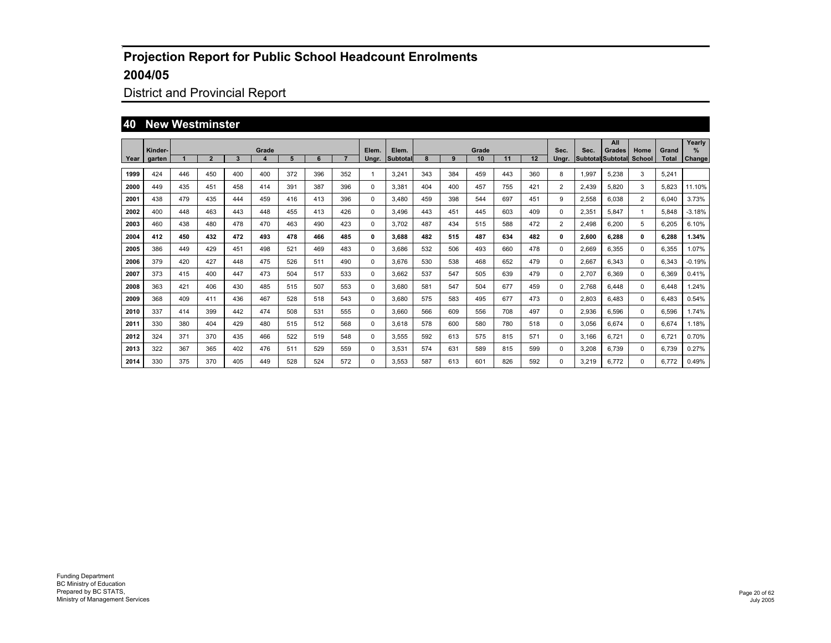## District and Provincial Report

#### **40 New Westminster**

|      | Kinder- |     |                |     | Grade |     |     |     | Elem.    | Elem.    |     |     | Grade |     |     | Sec.  | Sec.  | All<br>Grades     | Home           | Grand        | Yearly<br>% |
|------|---------|-----|----------------|-----|-------|-----|-----|-----|----------|----------|-----|-----|-------|-----|-----|-------|-------|-------------------|----------------|--------------|-------------|
| Year | garten  |     | $\overline{2}$ | 3   | 4     | 5   | 6   |     | Unar.    | Subtotal | 8   | 9   | 10    | 11  | 12  | Ungr. |       | Subtotal Subtotal | School         | <b>Total</b> | Change      |
| 1999 | 424     | 446 | 450            | 400 | 400   | 372 | 396 | 352 | 1        | 3.241    | 343 | 384 | 459   | 443 | 360 | 8     | 1,997 | 5.238             | 3              | 5.241        |             |
| 2000 | 449     | 435 | 451            | 458 | 414   | 391 | 387 | 396 | 0        | 3,381    | 404 | 400 | 457   | 755 | 421 | 2     | 2,439 | 5.820             | 3              | 5.823        | 11.10%      |
| 2001 | 438     | 479 | 435            | 444 | 459   | 416 | 413 | 396 | $\Omega$ | 3.480    | 459 | 398 | 544   | 697 | 451 | 9     | 2.558 | 6.038             | $\overline{2}$ | 6.040        | 3.73%       |
| 2002 | 400     | 448 | 463            | 443 | 448   | 455 | 413 | 426 | 0        | 3.496    | 443 | 451 | 445   | 603 | 409 | 0     | 2.351 | 5.847             | -1             | 5.848        | $-3.18%$    |
| 2003 | 460     | 438 | 480            | 478 | 470   | 463 | 490 | 423 | 0        | 3.702    | 487 | 434 | 515   | 588 | 472 | 2     | 2.498 | 6.200             | 5              | 6,205        | 6.10%       |
| 2004 | 412     | 450 | 432            | 472 | 493   | 478 | 466 | 485 | 0        | 3.688    | 482 | 515 | 487   | 634 | 482 | 0     | 2,600 | 6.288             | 0              | 6,288        | 1.34%       |
| 2005 | 386     | 449 | 429            | 451 | 498   | 521 | 469 | 483 | 0        | 3,686    | 532 | 506 | 493   | 660 | 478 | 0     | 2,669 | 6,355             | 0              | 6,355        | 1.07%       |
| 2006 | 379     | 420 | 427            | 448 | 475   | 526 | 511 | 490 | 0        | 3.676    | 530 | 538 | 468   | 652 | 479 | 0     | 2,667 | 6.343             | $\Omega$       | 6.343        | $-0.19%$    |
| 2007 | 373     | 415 | 400            | 447 | 473   | 504 | 517 | 533 | 0        | 3.662    | 537 | 547 | 505   | 639 | 479 | 0     | 2.707 | 6.369             | 0              | 6.369        | 0.41%       |
| 2008 | 363     | 421 | 406            | 430 | 485   | 515 | 507 | 553 | 0        | 3,680    | 581 | 547 | 504   | 677 | 459 | 0     | 2.768 | 6.448             | 0              | 6.448        | .24%        |
| 2009 | 368     | 409 | 411            | 436 | 467   | 528 | 518 | 543 | 0        | 3,680    | 575 | 583 | 495   | 677 | 473 | 0     | 2,803 | 6.483             | 0              | 6.483        | 0.54%       |
| 2010 | 337     | 414 | 399            | 442 | 474   | 508 | 531 | 555 | 0        | 3.660    | 566 | 609 | 556   | 708 | 497 | 0     | 2,936 | 6.596             | $\Omega$       | 6.596        | 1.74%       |
| 2011 | 330     | 380 | 404            | 429 | 480   | 515 | 512 | 568 | 0        | 3.618    | 578 | 600 | 580   | 780 | 518 | 0     | 3,056 | 6.674             | $\Omega$       | 6.674        | 1.18%       |
| 2012 | 324     | 371 | 370            | 435 | 466   | 522 | 519 | 548 | 0        | 3,555    | 592 | 613 | 575   | 815 | 571 | 0     | 3.166 | 6.721             | 0              | 6.721        | 0.70%       |
| 2013 | 322     | 367 | 365            | 402 | 476   | 511 | 529 | 559 | 0        | 3,531    | 574 | 631 | 589   | 815 | 599 | 0     | 3,208 | 6.739             | 0              | 6,739        | 0.27%       |
| 2014 | 330     | 375 | 370            | 405 | 449   | 528 | 524 | 572 | $\Omega$ | 3,553    | 587 | 613 | 601   | 826 | 592 | 0     | 3,219 | 6.772             | $\Omega$       | 6.772        | 0.49%       |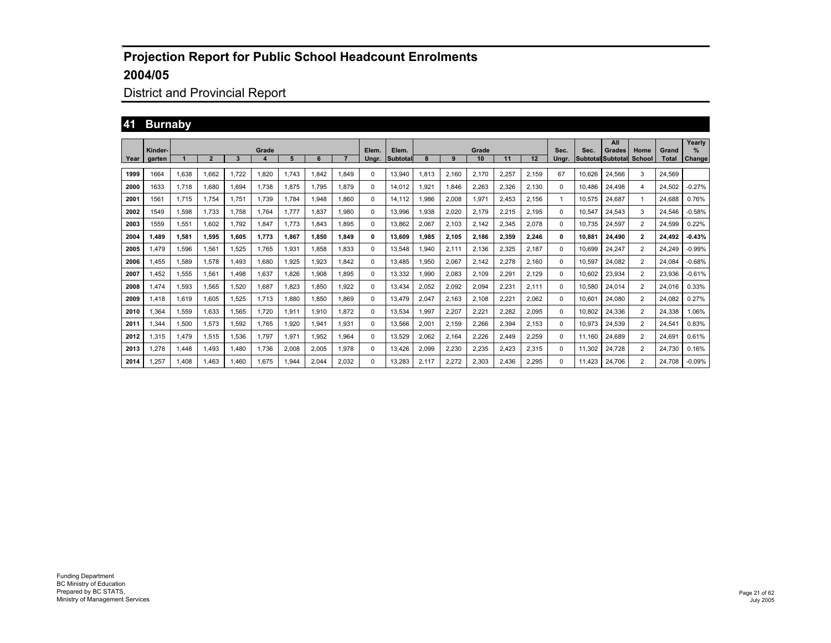## District and Provincial Report

## **41 Burnaby**

|      |                   |             |              |       |            |       |       |       |                |                          |       |       |             |       |       |               |        | All                                |                |                       | Yearly         |
|------|-------------------|-------------|--------------|-------|------------|-------|-------|-------|----------------|--------------------------|-------|-------|-------------|-------|-------|---------------|--------|------------------------------------|----------------|-----------------------|----------------|
| Year | Kinder-<br>garten |             | $\mathbf{2}$ | 3     | Grade<br>4 | 5     | 6     |       | Elem.<br>Unar. | Elem.<br><b>Subtotal</b> |       | 9     | Grade<br>10 | 11    | 12    | Sec.<br>Ungr. | Sec.   | Grades<br><b>Subtotal Subtotal</b> | Home<br>School | Grand<br><b>Total</b> | $\%$<br>Change |
|      |                   |             |              |       |            |       |       |       |                |                          |       |       |             |       |       |               |        |                                    |                |                       |                |
| 1999 | 1664              | 1,638       | 1,662        | 1.722 | .820       | 1.743 | .842  | 1,849 | 0              | 13,940                   | 1,813 | 2,160 | 2,170       | 2,257 | 2,159 | 67            | 10,626 | 24.566                             | 3              | 24,569                |                |
| 2000 | 1633              | 1.718       | 1.680        | 1.694 | 1.738      | 1.875 | 1.795 | 1,879 | 0              | 14.012                   | 1.921 | 1,846 | 2,263       | 2,326 | 2,130 | $\Omega$      | 10.486 | 24.498                             | 4              | 24.502                | $-0.27%$       |
| 2001 | 1561              | 1.715       | 1.754        | 1.751 | 1.739      | 1.784 | 1.948 | 1.860 | 0              | 14.112                   | .986  | 2,008 | 1,971       | 2,453 | 2,156 |               | 10.575 | 24.687                             | $\mathbf{1}$   | 24.688                | 0.76%          |
| 2002 | 1549              | 1.598       | 1.733        | 1.758 | 1.764      | 1.777 | 1.837 | 1.980 | 0              | 13.996                   | 1.938 | 2,020 | 2.179       | 2,215 | 2,195 | $\Omega$      | 10.547 | 24.543                             | 3              | 24.546                | $-0.58%$       |
| 2003 | 1559              | 1.551       | 1.602        | 1.792 | 1.847      | 1.773 | .843  | 1.895 | 0              | 13.862                   | 2.067 | 2.103 | 2.142       | 2.345 | 2,078 | $\Omega$      | 10.735 | 24.597                             | 2              | 24.599                | 0.22%          |
| 2004 | 1.489             | 1.581       | 1.595        | 1.605 | 1.773      | 1.867 | 1.850 | 1.849 | 0              | 13.609                   | 1,985 | 2.105 | 2,186       | 2.359 | 2,246 | 0             | 10.881 | 24.490                             | $\mathbf{2}$   | 24.492                | $-0.43%$       |
| 2005 | 1,479             | 1,596       | 1,561        | 1.525 | 1,765      | 1,931 | 1.858 | 1,833 | 0              | 13.548                   | .940  | 2,111 | 2,136       | 2,325 | 2,187 | 0             | 10.699 | 24,247                             | $\overline{2}$ | 24,249                | $-0.99%$       |
| 2006 | 1.455             | 1,589       | 1,578        | 1.493 | 1.680      | 1.925 | 1.923 | 1.842 | 0              | 13.485                   | 1,950 | 2,067 | 2.142       | 2,278 | 2,160 | $\Omega$      | 10.597 | 24.082                             | $\overline{2}$ | 24.084                | $-0.68%$       |
| 2007 | 1.452             | 1,555       | 1.561        | 1.498 | 1,637      | 1.826 | 1.908 | 1.895 | 0              | 13.332                   | 1,990 | 2,083 | 2.109       | 2,291 | 2,129 | $^{\circ}$    | 10.602 | 23,934                             | $\overline{2}$ | 23,936                | $-0.61%$       |
| 2008 | 1.474             | 1.593       | 1.565        | 1.520 | 1.687      | 1.823 | 1.850 | 1.922 | 0              | 13.434                   | 2.052 | 2,092 | 2.094       | 2.231 | 2.111 | $\Omega$      | 10.580 | 24.014                             | 2              | 24.016                | 0.33%          |
| 2009 | 1.418             | 1.619       | 1.605        | 1.525 | 1.713      | 1.880 | 1.850 | 1.869 | 0              | 13.479                   | 2.047 | 2,163 | 2,108       | 2,221 | 2,062 | $\Omega$      | 10.601 | 24.080                             | $\overline{2}$ | 24.082                | 0.27%          |
| 2010 | 1,364             | .559        | 1.633        | 1.565 | 1.720      | 1,911 | 1.910 | 1,872 | 0              | 13.534                   | .997  | 2,207 | 2,221       | 2.282 | 2,095 | $\Omega$      | 10.802 | 24.336                             | $\overline{2}$ | 24.338                | .06%           |
| 2011 | 1.344             | 1.500       | 1.573        | 1.592 | 1.765      | 1.920 | .941  | 1,931 | 0              | 13.566                   | 2.001 | 2.159 | 2.266       | 2.394 | 2,153 | $\Omega$      | 10.973 | 24.539                             | 2              | 24.541                | 0.83%          |
| 2012 | 1,315             | <b>.479</b> | 1,515        | 1.536 | 1.797      | 1.971 | .952  | 1,964 | 0              | 13.529                   | 2,062 | 2.164 | 2.226       | 2.449 | 2,259 | $\Omega$      | 11,160 | 24.689                             | $\overline{2}$ | 24.691                | 0.61%          |
| 2013 | 1.278             | .448        | 1.493        | 1.480 | 1.736      | 2.008 | 2.005 | 1,978 | 0              | 13,426                   | 2.099 | 2,230 | 2.235       | 2.423 | 2,315 | $\Omega$      | 11.302 | 24.728                             | 2              | 24.730                | 0.16%          |
| 2014 | .257              | .408        | .463         | .460  | .675       | 1,944 | 2.044 | 2.032 | 0              | 13.283                   | 2.117 | 2.272 | 2.303       | 2.436 | 2.295 | 0             | 11.423 | 24.706                             | $\overline{2}$ | 24.708                | $-0.09%$       |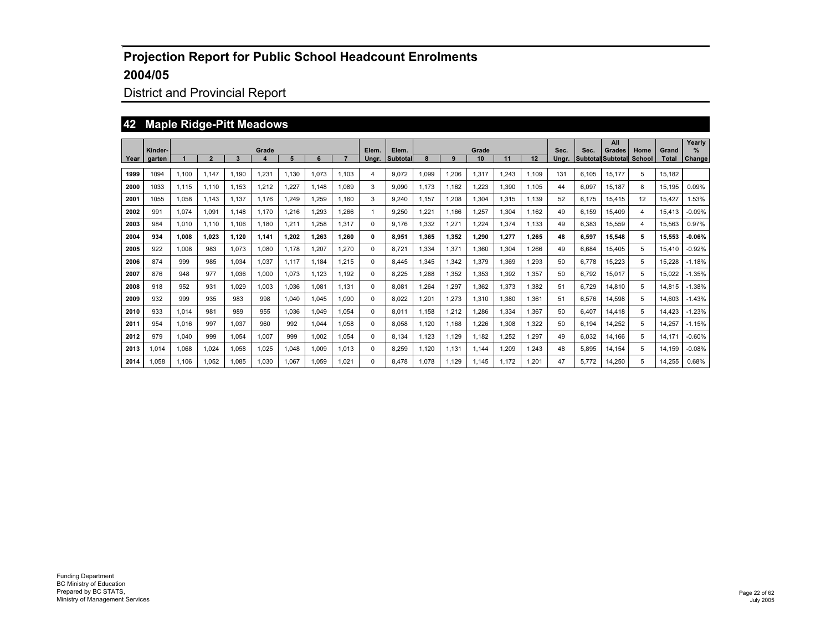## District and Provincial Report

#### **42 Maple Ridge-Pitt Meadows**

|      | Kinder- |       |                |       | Grade            |       |       |        | Elem. | Elem.           |       |       | Grade |       |       | Sec.  | Sec.  | All<br>Grades            | Home          | Grand        | Yearly<br>$\frac{9}{6}$ |
|------|---------|-------|----------------|-------|------------------|-------|-------|--------|-------|-----------------|-------|-------|-------|-------|-------|-------|-------|--------------------------|---------------|--------------|-------------------------|
| Year | garten  |       | $\overline{2}$ | 3     | $\boldsymbol{4}$ | 5     | 6     |        | Unar. | <b>Subtotal</b> |       | 9     | 10    | 11    | 12    | Unar. |       | <b>Subtotal Subtotal</b> | <b>School</b> | <b>Total</b> | Change                  |
| 1999 | 1094    | 1.100 | 1.147          | 1.190 | 1,231            | 1.130 | 1.073 | 1.103  | 4     | 9.072           | 1.099 | 1.206 | 1.317 | .243  | 1.109 | 131   | 6.105 | 15.177                   | 5             | 15,182       |                         |
| 2000 | 1033    | 1.115 | 1.110          | 1.153 | 1,212            | 1,227 | 1.148 | 1.089  | 3     | 9.090           | 1.173 | 1.162 | 1,223 | ,390  | 1.105 | 44    | 6.097 | 15.187                   | 8             | 15.195       | 0.09%                   |
| 2001 | 1055    | 1.058 | 1.143          | 1.137 | 1.176            | 1.249 | 1.259 | 1.160  | 3     | 9.240           | 1.157 | 1.208 | 1.304 | 1.315 | 1.139 | 52    | 6.175 | 15.415                   | 12            | 15.427       | 1.53%                   |
| 2002 | 991     | 1.074 | 1.091          | 1.148 | 1.170            | 1.216 | 1.293 | .266   | 1     | 9.250           | .221  | 1.166 | 1.257 | 1.304 | 1.162 | 49    | 6.159 | 15.409                   | 4             | 15.413       | $-0.09%$                |
| 2003 | 984     | 1.010 | 1.110          | 1.106 | 1.180            | 1.211 | 1.258 | 1.317  | 0     | 9.176           | .332  | ,271  | 1.224 | 1.374 | 1.133 | 49    | 6.383 | 15.559                   | 4             | 15.563       | 0.97%                   |
| 2004 | 934     | 1.008 | 1.023          | 1.120 | 1.141            | 1.202 | 1.263 | 1.260  | 0     | 8.951           | 1.365 | 1,352 | 1.290 | 1,277 | 1,265 | 48    | 6.597 | 15,548                   | 5             | 15.553       | $-0.06%$                |
| 2005 | 922     | 1.008 | 983            | 1.073 | 1,080            | 1.178 | 1,207 | 270, ا | 0     | 8.721           | .334  | 1,371 | 1,360 | ,304  | 1,266 | 49    | 6.684 | 15.405                   | 5             | 15.410       | $-0.92%$                |
| 2006 | 874     | 999   | 985            | 1.034 | 1.037            | 1.117 | 1.184 | .215   | 0     | 8.445           | .345  | ,342  | 1.379 | .369  | 1.293 | 50    | 6.778 | 15.223                   | 5             | 15.228       | $-1.18%$                |
| 2007 | 876     | 948   | 977            | 1.036 | 1.000            | 1.073 | 1.123 | 1.192  | 0     | 8.225           | .288  | .352  | 1.353 | .392  | 1.357 | 50    | 6.792 | 15.017                   | 5             | 15.022       | $-1.35%$                |
| 2008 | 918     | 952   | 931            | 1.029 | 1,003            | 1,036 | 1.081 | 1.131  | 0     | 8.081           | .264  | ,297  | 1.362 | 1.373 | 1.382 | 51    | 6.729 | 14,810                   | 5             | 14.815       | $-1.38%$                |
| 2009 | 932     | 999   | 935            | 983   | 998              | 1.040 | 1.045 | 1.090  | 0     | 8.022           | .201  | 1,273 | 1.310 | .380  | 1,361 | 51    | 6,576 | 14,598                   | 5             | 14.603       | $-1.43%$                |
| 2010 | 933     | 1.014 | 981            | 989   | 955              | 1.036 | 1.049 | 1.054  | 0     | 8.011           | 1.158 | 1,212 | 1.286 | 1.334 | 1.367 | 50    | 6.407 | 14.418                   | 5             | 14.423       | $-1.23%$                |
| 2011 | 954     | 1.016 | 997            | 1.037 | 960              | 992   | 1.044 | 1.058  | 0     | 8.058           | 1.120 | 1.168 | 1.226 | .308  | 1,322 | 50    | 6.194 | 14.252                   | 5             | 14.257       | $-1.15%$                |
| 2012 | 979     | 1.040 | 999            | 1.054 | 1.007            | 999   | 1.002 | 1.054  | 0     | 8.134           | 1.123 | 1,129 | 1.182 | .252  | 1.297 | 49    | 6.032 | 14.166                   | 5             | 14.171       | $-0.60%$                |
| 2013 | 1,014   | 1,068 | 1.024          | 1,058 | 1,025            | 1.048 | 1,009 | 1.013  | 0     | 8,259           | 1.120 | 1,131 | 1.144 | ,209  | 1,243 | 48    | 5,895 | 14,154                   | 5             | 14.159       | $-0.08%$                |
| 2014 | 1.058   | 1.106 | 1.052          | 1.085 | 1.030            | 1.067 | 1.059 | 1.021  | 0     | 8.478           | 1.078 | 1.129 | 1.145 | 1.172 | 1.201 | 47    | 5.772 | 14,250                   | 5             | 14.255       | 0.68%                   |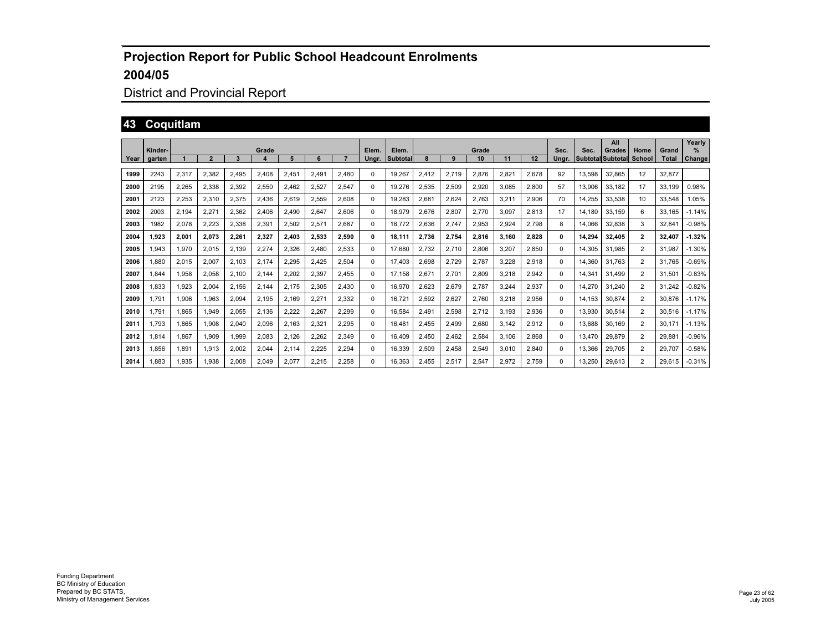## District and Provincial Report

## **43 Coquitlam**

|      |         |       |                |       |       |       |       |       |       |          |       |       |       |       |       |       |        | All                      |                |              | Yearly   |
|------|---------|-------|----------------|-------|-------|-------|-------|-------|-------|----------|-------|-------|-------|-------|-------|-------|--------|--------------------------|----------------|--------------|----------|
|      | Kinder- |       |                |       | Grade |       |       |       | Elem. | Elem.    |       |       | Grade |       |       | Sec.  | Sec.   | Grades                   | Home           | Grand        | $\%$     |
| Year | garten  |       | $\overline{2}$ | 3     |       | 5     | 6     |       | Unar. | Subtotal |       | 9     | 10    | 11    | 12    | Ungr. |        | <b>Subtotal Subtotal</b> | School         | <b>Total</b> | Change   |
| 1999 | 2243    | 2,317 | 2,382          | 2,495 | 2,408 | 2,451 | 2,491 | 2,480 | 0     | 19.267   | 2,412 | 2,719 | 2,876 | 2,821 | 2,678 | 92    | 13,598 | 32,865                   | 12             | 32,877       |          |
| 2000 | 2195    | 2.265 | 2,338          | 2,392 | 2,550 | 2.462 | 2.527 | 2.547 | 0     | 19.276   | 2,535 | 2,509 | 2.920 | 3.085 | 2.800 | 57    | 13.906 | 33.182                   | 17             | 33.199       | 0.98%    |
| 2001 | 2123    | 2,253 | 2,310          | 2,375 | 2,436 | 2,619 | 2,559 | 2,608 | 0     | 19.283   | 2,681 | 2,624 | 2,763 | 3,211 | 2,906 | 70    | 14,255 | 33,538                   | 10             | 33,548       | 1.05%    |
| 2002 | 2003    | 2,194 | 2,271          | 2,362 | 2,406 | 2.490 | 2,647 | 2,606 | 0     | 18.979   | 2,676 | 2,807 | 2,770 | 3,097 | 2.813 | 17    | 14.180 | 33,159                   | 6              | 33.165       | $-1.14%$ |
| 2003 | 1982    | 2,078 | 2,223          | 2,338 | 2,391 | 2,502 | 2,571 | 2.687 | 0     | 18.772   | 2,636 | 2,747 | 2,953 | 2,924 | 2.798 | 8     | 14.066 | 32,838                   | 3              | 32.841       | $-0.98%$ |
| 2004 | 1.923   | 2.001 | 2,073          | 2,261 | 2,327 | 2,403 | 2,533 | 2,590 | 0     | 18.111   | 2,736 | 2,754 | 2.816 | 3,160 | 2,828 | 0     | 14.294 | 32,405                   | $\overline{2}$ | 32.407       | $-1.32%$ |
| 2005 | 1,943   | 1,970 | 2,015          | 2,139 | 2,274 | 2,326 | 2,480 | 2,533 | 0     | 17.680   | 2,732 | 2,710 | 2,806 | 3,207 | 2,850 | 0     | 14.305 | 31.985                   | $\overline{2}$ | 31.987       | $-1.30%$ |
| 2006 | 1.880   | 2,015 | 2,007          | 2.103 | 2.174 | 2,295 | 2.425 | 2,504 | 0     | 17.403   | 2,698 | 2,729 | 2.787 | 3.228 | 2,918 | 0     | 14.360 | 31.763                   | $\overline{2}$ | 31.765       | $-0.69%$ |
| 2007 | 1.844   | 1.958 | 2,058          | 2.100 | 2.144 | 2.202 | 2.397 | 2.455 | 0     | 17.158   | 2,671 | 2.701 | 2.809 | 3,218 | 2,942 | 0     | 14.341 | 31.499                   | $\overline{2}$ | 31.501       | $-0.83%$ |
| 2008 | 1.833   | 1.923 | 2.004          | 2.156 | 2.144 | 2.175 | 2.305 | 2.430 | 0     | 16.970   | 2.623 | 2.679 | 2.787 | 3.244 | 2,937 | 0     | 14.270 | 31.240                   | 2              | 31.242       | $-0.82%$ |
| 2009 | 1.791   | 1.906 | 1.963          | 2.094 | 2.195 | 2.169 | 2.271 | 2.332 | 0     | 16.721   | 2.592 | 2.627 | 2.760 | 3.218 | 2.956 | 0     | 14.153 | 30.874                   | 2              | 30.876       | $-1.17%$ |
| 2010 | 1.791   | 1,865 | 1,949          | 2,055 | 2,136 | 2,222 | 2,267 | 2,299 | 0     | 16,584   | 2,491 | 2,598 | 2,712 | 3,193 | 2,936 | 0     | 13,930 | 30,514                   | $\overline{2}$ | 30,516       | $-1.17%$ |
| 2011 | 1.793   | 1.865 | 1,908          | 2,040 | 2,096 | 2,163 | 2,32' | 2,295 | 0     | 16.481   | 2.455 | 2,499 | 2,680 | 3.142 | 2,912 | 0     | 13.688 | 30.169                   | 2              | 30.171       | $-1.13%$ |
| 2012 | 1.814   | 1.867 | 1.909          | 1.999 | 2,083 | 2,126 | 2,262 | 2,349 | 0     | 16.409   | 2.450 | 2.462 | 2,584 | 3.106 | 2,868 | 0     | 13.470 | 29.879                   | $\overline{2}$ | 29.881       | $-0.96%$ |
| 2013 | 1.856   | 1,891 | 1,913          | 2,002 | 2,044 | 2,114 | 2,225 | 2,294 | 0     | 16,339   | 2,509 | 2,458 | 2,549 | 3.010 | 2,840 | 0     | 13,366 | 29,705                   | $\overline{2}$ | 29.707       | $-0.58%$ |
| 2014 | 1.883   | 1.935 | 1.938          | 2.008 | 2.049 | 2.077 | 2.215 | 2.258 | 0     | 16.363   | 2.455 | 2.517 | 2.547 | 2.972 | 2.759 | 0     | 13.250 | 29.613                   | $\overline{2}$ | 29.615       | $-0.31%$ |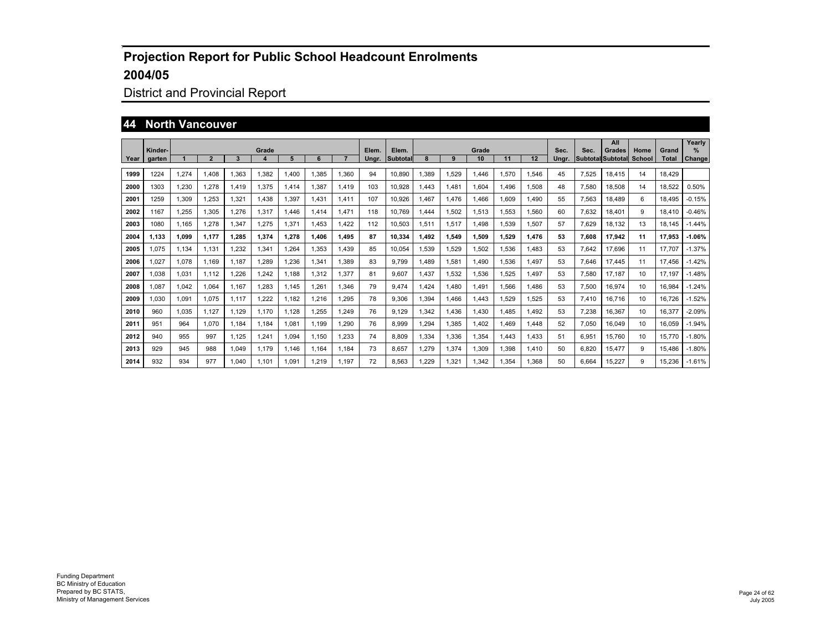## District and Provincial Report

#### **44 North Vancouver**

|      | Kinder- |       |       |       | Grade |       |       |       | Elem. | Elem.    |       |       | Grade |             |       | Sec.  | Sec.                     | All<br>Grades | Home   | Grand  | Yearly<br>℅ |
|------|---------|-------|-------|-------|-------|-------|-------|-------|-------|----------|-------|-------|-------|-------------|-------|-------|--------------------------|---------------|--------|--------|-------------|
| Year | garten  |       | 2     | 3     | 4     | 5     | 6     |       | Ungr. | Subtotal | 8     | 9     | 10    | 11          | 12    | Ungr. | <b>Subtotal Subtotal</b> |               | School | Total  | Change      |
| 1999 | 1224    | 1,274 | 1.408 | 1.363 | 1,382 | .400  | 1,385 | 1,360 | 94    | 10,890   | 1.389 | ,529  | 1.446 | 1,570       | 1,546 | 45    | 7,525                    | 18.415        | 14     | 18.429 |             |
| 2000 | 1303    | 1,230 | 1,278 | 1.419 | 1,375 | 1,414 | 1,387 | 1,419 | 103   | 10,928   | 1.443 | 1,481 | 1,604 | 1.496       | 1,508 | 48    | 7,580                    | 18,508        | 14     | 18,522 | 0.50%       |
| 2001 | 1259    | 1,309 | 1,253 | 1,321 | 1.438 | 1,397 | 1,431 | 1,411 | 107   | 10,926   | 1.467 | 1,476 | 1.466 | 1.609       | 1.490 | 55    | 7,563                    | 18.489        | 6      | 18.495 | $-0.15%$    |
| 2002 | 1167    | 1,255 | 1,305 | 1,276 | 1,317 | .446  | 1,414 | 1,471 | 118   | 10.769   | 1.444 | 1,502 | 1,513 | 1,553       | 1,560 | 60    | 7.632                    | 18.401        | 9      | 18.410 | $-0.46%$    |
| 2003 | 1080    | 1,165 | 1,278 | 1,347 | 1,275 | 1,371 | 1,453 | 1,422 | 112   | 10,503   | 1,511 | 1,517 | 1,498 | 1,539       | 1,507 | 57    | 7.629                    | 18,132        | 13     | 18.145 | $-1.44%$    |
| 2004 | 1.133   | 1.099 | 1.177 | 1.285 | 1,374 | 1,278 | 1.406 | 1,495 | 87    | 10,334   | 1.492 | 1,549 | 1.509 | 1.529       | 1,476 | 53    | 7.608                    | 17,942        | 11     | 17,953 | $-1.06%$    |
| 2005 | 1,075   | 1,134 | 1.131 | 1,232 | 1,341 | ,264  | 1,353 | 1,439 | 85    | 10,054   | 1,539 | 1,529 | 1,502 | 1,536       | 1,483 | 53    | 7.642                    | 17.696        | 11     | 17.707 | $-1.37%$    |
| 2006 | 1,027   | 1,078 | 1.169 | 1.187 | 1,289 | ,236  | 1,341 | 1,389 | 83    | 9.799    | 1.489 | 1,581 | 1.490 | 1.536       | 1.497 | 53    | 7.646                    | 17.445        | 11     | 17.456 | $-1.42%$    |
| 2007 | 1,038   | 1,031 | 1.112 | 1,226 | 1,242 | 1.188 | 1,312 | 1,377 | 81    | 9.607    | 1.437 | 1,532 | 1,536 | 1.525       | 1.497 | 53    | 7.580                    | 17.187        | 10     | 17.197 | $-1.48%$    |
| 2008 | 1,087   | 1,042 | 1.064 | 1.167 | 1,283 | 1.145 | 1,261 | 1,346 | 79    | 9.474    | 1.424 | ,480  | 1.491 | .566        | 1.486 | 53    | 7,500                    | 16,974        | 10     | 16,984 | $-1.24%$    |
| 2009 | 1,030   | 1,091 | 1.075 | 1.117 | 1,222 | 1,182 | 1,216 | 1,295 | 78    | 9,306    | 1.394 | ,466  | 1.443 | 1,529       | 1,525 | 53    | 7.410                    | 16.716        | 10     | 16.726 | $-1.52%$    |
| 2010 | 960     | 1,035 | 1,127 | 1,129 | 1.170 | 1,128 | 1,255 | 1,249 | 76    | 9,129    | 1,342 | ,436  | 1,430 | <b>.485</b> | 1,492 | 53    | 7,238                    | 16,367        | 10     | 16,377 | $-2.09%$    |
| 2011 | 951     | 964   | 1.070 | 1.184 | 1,184 | 1,081 | 1.199 | 1,290 | 76    | 8,999    | 1,294 | .385  | 1,402 | 1.469       | 1,448 | 52    | 7,050                    | 16.049        | 10     | 16,059 | $-1.94%$    |
| 2012 | 940     | 955   | 997   | 1,125 | 1,241 | 1,094 | 1,150 | 1,233 | 74    | 8,809    | 1,334 | ,336  | 1,354 | 1.443       | 1,433 | 51    | 6,951                    | 15,760        | 10     | 15,770 | $-1.80%$    |
| 2013 | 929     | 945   | 988   | 1,049 | 1.179 | 1,146 | 1,164 | 1,184 | 73    | 8,657    | 1,279 | 1,374 | 1,309 | 1,398       | 1,410 | 50    | 6,820                    | 15,477        | 9      | 15,486 | $-1.80%$    |
| 2014 | 932     | 934   | 977   | 1.040 | 1.101 | 1.091 | 1.219 | 1.197 | 72    | 8.563    | 1.229 | 1,321 | 1.342 | 1.354       | 1,368 | 50    | 6.664                    | 15.227        | 9      | 15.236 | $-1.61%$    |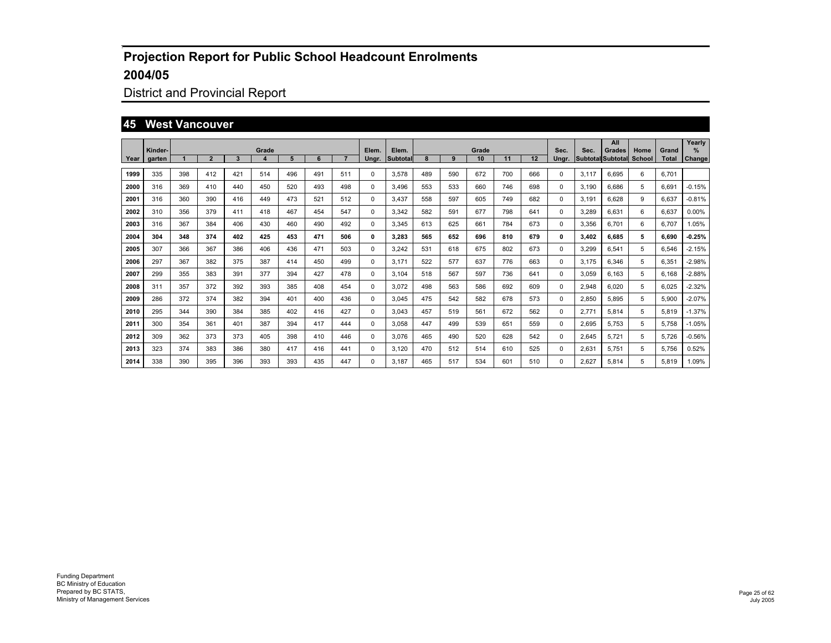## District and Provincial Report

#### **45 West Vancouver**

|        |                   |     |                |     |            |     |     |     |                |                   |     |     |             |     |     |               |       | All                                |                |                       | Yearly             |
|--------|-------------------|-----|----------------|-----|------------|-----|-----|-----|----------------|-------------------|-----|-----|-------------|-----|-----|---------------|-------|------------------------------------|----------------|-----------------------|--------------------|
| Year I | Kinder-<br>garten |     | $\overline{2}$ | 3   | Grade<br>4 | 5   | 6   |     | Elem.<br>Ungr. | Elem.<br>Subtotal |     | 9   | Grade<br>10 | 11  | 12  | Sec.<br>Unar. | Sec.  | Grades<br><b>Subtotal Subtotal</b> | Home<br>School | Grand<br><b>Total</b> | %<br><b>Change</b> |
| 1999   | 335               | 398 | 412            | 421 | 514        | 496 | 491 | 511 | 0              | 3,578             | 489 | 590 | 672         | 700 | 666 | 0             | 3,117 | 6.695                              | 6              | 6,701                 |                    |
| 2000   | 316               | 369 | 410            | 440 | 450        | 520 | 493 | 498 | 0              | 3.496             | 553 | 533 | 660         | 746 | 698 | 0             | 3.190 | 6,686                              | 5              | 6,691                 | $-0.15%$           |
| 2001   | 316               | 360 | 390            | 416 | 449        | 473 | 521 | 512 | 0              | 3.437             | 558 | 597 | 605         | 749 | 682 | 0             | 3.191 | 6,628                              | 9              | 6,637                 | $-0.81%$           |
| 2002   | 310               | 356 | 379            | 411 | 418        | 467 | 454 | 547 | 0              | 3,342             | 582 | 591 | 677         | 798 | 641 | 0             | 3,289 | 6,631                              | 6              | 6,637                 | 0.00%              |
| 2003   | 316               | 367 | 384            | 406 | 430        | 460 | 490 | 492 | 0              | 3,345             | 613 | 625 | 661         | 784 | 673 | 0             | 3,356 | 6.701                              | 6              | 6.707                 | 1.05%              |
| 2004   | 304               | 348 | 374            | 402 | 425        | 453 | 471 | 506 | 0              | 3,283             | 565 | 652 | 696         | 810 | 679 | 0             | 3,402 | 6.685                              | 5              | 6.690                 | $-0.25%$           |
| 2005   | 307               | 366 | 367            | 386 | 406        | 436 | 471 | 503 | 0              | 3,242             | 531 | 618 | 675         | 802 | 673 | 0             | 3,299 | 6,541                              | 5              | 6,546                 | $-2.15%$           |
| 2006   | 297               | 367 | 382            | 375 | 387        | 414 | 450 | 499 | 0              | 3.171             | 522 | 577 | 637         | 776 | 663 | 0             | 3.175 | 6.346                              | 5              | 6,351                 | $-2.98%$           |
| 2007   | 299               | 355 | 383            | 391 | 377        | 394 | 427 | 478 | 0              | 3.104             | 518 | 567 | 597         | 736 | 641 | 0             | 3,059 | 6.163                              | 5              | 6.168                 | $-2.88%$           |
| 2008   | 311               | 357 | 372            | 392 | 393        | 385 | 408 | 454 | 0              | 3,072             | 498 | 563 | 586         | 692 | 609 | 0             | 2,948 | 6.020                              | 5              | 6,025                 | $-2.32%$           |
| 2009   | 286               | 372 | 374            | 382 | 394        | 401 | 400 | 436 | 0              | 3,045             | 475 | 542 | 582         | 678 | 573 | 0             | 2,850 | 5.895                              | 5              | 5,900                 | $-2.07%$           |
| 2010   | 295               | 344 | 390            | 384 | 385        | 402 | 416 | 427 | 0              | 3,043             | 457 | 519 | 561         | 672 | 562 | 0             | 2,771 | 5,814                              | 5              | 5,819                 | $-1.37%$           |
| 2011   | 300               | 354 | 361            | 401 | 387        | 394 | 417 | 444 | 0              | 3,058             | 447 | 499 | 539         | 651 | 559 | 0             | 2,695 | 5,753                              | 5              | 5,758                 | $-1.05%$           |
| 2012   | 309               | 362 | 373            | 373 | 405        | 398 | 410 | 446 | 0              | 3,076             | 465 | 490 | 520         | 628 | 542 | 0             | 2,645 | 5,721                              | 5              | 5,726                 | $-0.56%$           |
| 2013   | 323               | 374 | 383            | 386 | 380        | 417 | 416 | 441 | 0              | 3,120             | 470 | 512 | 514         | 610 | 525 | 0             | 2,631 | 5,751                              | 5              | 5,756                 | 0.52%              |
| 2014   | 338               | 390 | 395            | 396 | 393        | 393 | 435 | 447 | $\Omega$       | 3.187             | 465 | 517 | 534         | 601 | 510 | 0             | 2.627 | 5.814                              | 5              | 5.819                 | 1.09%              |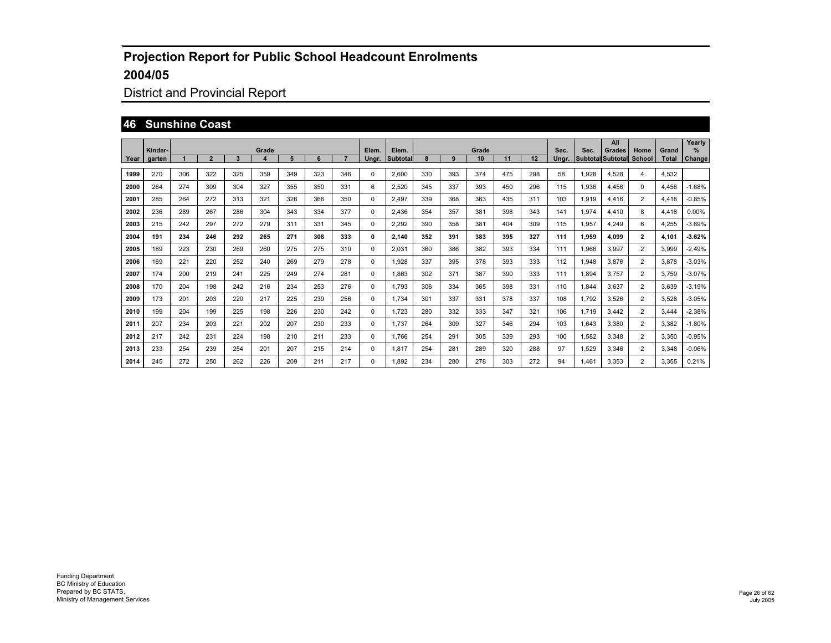## District and Provincial Report

#### **46 Sunshine Coast**

|      | Kinder- |     |                |              | Grade |     |     |     | Elem.    | Elem.    |     |     | Grade |     |     | Sec.  | Sec.  | All<br>Grades            | Home           | Grand        | Yearly<br>$\%$ |
|------|---------|-----|----------------|--------------|-------|-----|-----|-----|----------|----------|-----|-----|-------|-----|-----|-------|-------|--------------------------|----------------|--------------|----------------|
| Year | garten  |     | $\overline{2}$ | $\mathbf{3}$ |       | 5   | 6   |     | Ungr.    | Subtotal | 8   | 9   | 10    | 11  | 12  | Ungr. |       | <b>Subtotal Subtotal</b> | School         | <b>Total</b> | <b>Change</b>  |
| 1999 | 270     | 306 | 322            | 325          | 359   | 349 | 323 | 346 | 0        | 2,600    | 330 | 393 | 374   | 475 | 298 | 58    | 1,928 | 4.528                    | $\overline{4}$ | 4.532        |                |
| 2000 | 264     | 274 | 309            | 304          | 327   | 355 | 350 | 331 | 6        | 2,520    | 345 | 337 | 393   | 450 | 296 | 115   | 1,936 | 4,456                    | 0              | 4,456        | $-1.68%$       |
| 2001 | 285     | 264 | 272            | 313          | 321   | 326 | 366 | 350 | 0        | 2.497    | 339 | 368 | 363   | 435 | 311 | 103   | 1,919 | 4.416                    | $\overline{2}$ | 4.418        | $-0.85%$       |
| 2002 | 236     | 289 | 267            | 286          | 304   | 343 | 334 | 377 | $\Omega$ | 2.436    | 354 | 357 | 381   | 398 | 343 | 141   | 1.974 | 4.410                    | 8              | 4.418        | $0.00\%$       |
| 2003 | 215     | 242 | 297            | 272          | 279   | 311 | 331 | 345 | 0        | 2,292    | 390 | 358 | 381   | 404 | 309 | 115   | 1,957 | 4.249                    | 6              | 4,255        | $-3.69%$       |
| 2004 | 191     | 234 | 246            | 292          | 265   | 271 | 308 | 333 | 0        | 2,140    | 352 | 391 | 383   | 395 | 327 | 111   | 1,959 | 4.099                    | $\overline{2}$ | 4.101        | $-3.62%$       |
| 2005 | 189     | 223 | 230            | 269          | 260   | 275 | 275 | 310 | 0        | 2,031    | 360 | 386 | 382   | 393 | 334 | 111   | 1,966 | 3.997                    | $\overline{2}$ | 3,999        | $-2.49%$       |
| 2006 | 169     | 221 | 220            | 252          | 240   | 269 | 279 | 278 | 0        | 1.928    | 337 | 395 | 378   | 393 | 333 | 112   | 1,948 | 3.876                    | $\overline{2}$ | 3.878        | $-3.03%$       |
| 2007 | 174     | 200 | 219            | 241          | 225   | 249 | 274 | 281 | 0        | 1.863    | 302 | 371 | 387   | 390 | 333 | 111   | 1.894 | 3.757                    | $\overline{2}$ | 3.759        | $-3.07%$       |
| 2008 | 170     | 204 | 198            | 242          | 216   | 234 | 253 | 276 | 0        | 1.793    | 306 | 334 | 365   | 398 | 331 | 110   | 1,844 | 3.637                    | $\overline{2}$ | 3,639        | $-3.19%$       |
| 2009 | 173     | 201 | 203            | 220          | 217   | 225 | 239 | 256 | 0        | 1.734    | 301 | 337 | 331   | 378 | 337 | 108   | 1,792 | 3,526                    | $\overline{2}$ | 3,528        | $-3.05%$       |
| 2010 | 199     | 204 | 199            | 225          | 198   | 226 | 230 | 242 | 0        | 1.723    | 280 | 332 | 333   | 347 | 321 | 106   | 1.719 | 3.442                    | $\overline{2}$ | 3.444        | $-2.38%$       |
| 2011 | 207     | 234 | 203            | 221          | 202   | 207 | 230 | 233 | 0        | 1.737    | 264 | 309 | 327   | 346 | 294 | 103   | 1.643 | 3.380                    | $\overline{2}$ | 3.382        | $-1.80%$       |
| 2012 | 217     | 242 | 231            | 224          | 198   | 210 | 211 | 233 | $\Omega$ | 1.766    | 254 | 291 | 305   | 339 | 293 | 100   | 1,582 | 3.348                    | $\overline{2}$ | 3.350        | $-0.95%$       |
| 2013 | 233     | 254 | 239            | 254          | 201   | 207 | 215 | 214 | 0        | 1,817    | 254 | 281 | 289   | 320 | 288 | 97    | 1,529 | 3,346                    | $\overline{2}$ | 3,348        | $-0.06%$       |
| 2014 | 245     | 272 | 250            | 262          | 226   | 209 | 211 | 217 | $\Omega$ | 1.892    | 234 | 280 | 278   | 303 | 272 | 94    | 1.461 | 3.353                    | $\overline{2}$ | 3.355        | 0.21%          |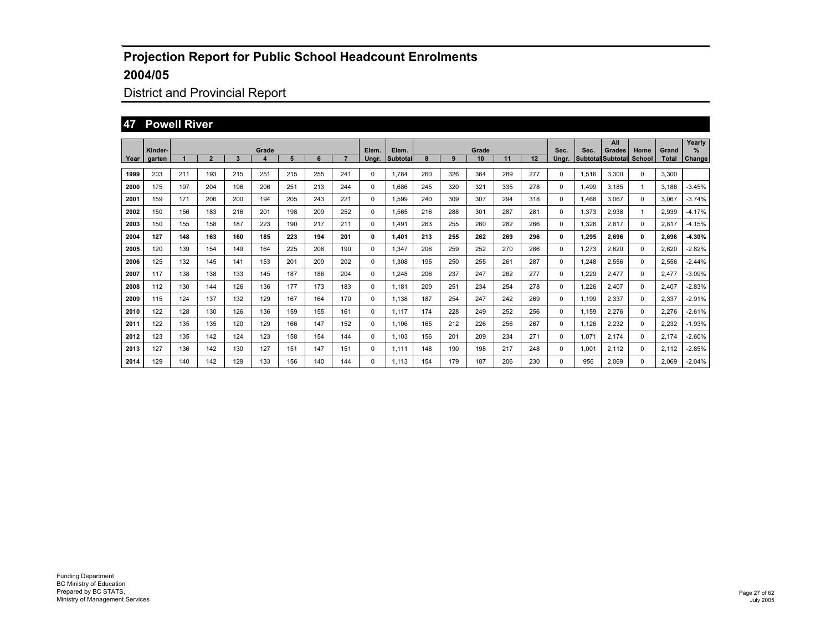## District and Provincial Report

#### **47 Powell River**

|      |                   |     |                |     |            |     |     |     |                |                   |     |     |             |     |     |               |       | All                                |                |                       | Yearly      |
|------|-------------------|-----|----------------|-----|------------|-----|-----|-----|----------------|-------------------|-----|-----|-------------|-----|-----|---------------|-------|------------------------------------|----------------|-----------------------|-------------|
| Year | Kinder-<br>garten |     | $\overline{2}$ | 3   | Grade<br>4 | 5   | 6   | 7   | Elem.<br>Ungr. | Elem.<br>Subtotal |     | 9   | Grade<br>10 | 11  | 12  | Sec.<br>Ungr. | Sec.  | Grades<br><b>Subtotal Subtotal</b> | Home<br>School | Grand<br><b>Total</b> | ℅<br>Change |
|      |                   |     |                |     |            |     |     |     |                |                   |     |     |             |     |     |               |       |                                    |                |                       |             |
| 1999 | 203               | 211 | 193            | 215 | 251        | 215 | 255 | 241 | 0              | 1.784             | 260 | 326 | 364         | 289 | 277 | 0             | 1,516 | 3.300                              | 0              | 3.300                 |             |
| 2000 | 175               | 197 | 204            | 196 | 206        | 251 | 213 | 244 | 0              | 1.686             | 245 | 320 | 321         | 335 | 278 | 0             | 1.499 | 3,185                              |                | 3.186                 | $-3.45%$    |
| 2001 | 159               | 171 | 206            | 200 | 194        | 205 | 243 | 221 | 0              | 1.599             | 240 | 309 | 307         | 294 | 318 | 0             | 1.468 | 3.067                              | 0              | 3.067                 | $-3.74%$    |
| 2002 | 150               | 156 | 183            | 216 | 201        | 198 | 209 | 252 | 0              | 1.565             | 216 | 288 | 301         | 287 | 281 | 0             | 1,373 | 2,938                              | 1              | 2,939                 | $-4.17%$    |
| 2003 | 150               | 155 | 158            | 187 | 223        | 190 | 217 | 211 | $\Omega$       | 1.491             | 263 | 255 | 260         | 282 | 266 | 0             | 1.326 | 2.817                              | $\Omega$       | 2.817                 | $-4.15%$    |
| 2004 | 127               | 148 | 163            | 160 | 185        | 223 | 194 | 201 | 0              | 1.401             | 213 | 255 | 262         | 269 | 296 | 0             | 1.295 | 2,696                              | $\mathbf{0}$   | 2.696                 | $-4.30%$    |
| 2005 | 120               | 139 | 154            | 149 | 164        | 225 | 206 | 190 | 0              | 1,347             | 206 | 259 | 252         | 270 | 286 | 0             | 1,273 | 2,620                              | 0              | 2,620                 | $-2.82%$    |
| 2006 | 125               | 132 | 145            | 141 | 153        | 201 | 209 | 202 | 0              | 1.308             | 195 | 250 | 255         | 261 | 287 | 0             | 1,248 | 2,556                              | 0              | 2,556                 | $-2.44%$    |
| 2007 | 117               | 138 | 138            | 133 | 145        | 187 | 186 | 204 | 0              | 1.248             | 206 | 237 | 247         | 262 | 277 | 0             | 1,229 | 2,477                              | 0              | 2,477                 | $-3.09%$    |
| 2008 | 112               | 130 | 144            | 126 | 136        | 177 | 173 | 183 | 0              | 1.181             | 209 | 251 | 234         | 254 | 278 | 0             | 1,226 | 2.407                              | 0              | 2.407                 | $-2.83%$    |
| 2009 | 115               | 124 | 137            | 132 | 129        | 167 | 164 | 170 | 0              | 1.138             | 187 | 254 | 247         | 242 | 269 | 0             | 1.199 | 2.337                              | 0              | 2,337                 | $-2.91%$    |
| 2010 | 122               | 128 | 130            | 126 | 136        | 159 | 155 | 161 | 0              | 1.117             | 174 | 228 | 249         | 252 | 256 | 0             | 1.159 | 2.276                              | 0              | 2,276                 | $-2.61%$    |
| 2011 | 122               | 135 | 135            | 120 | 129        | 166 | 147 | 152 | 0              | 1.106             | 165 | 212 | 226         | 256 | 267 | 0             | 1.126 | 2.232                              | 0              | 2.232                 | $-1.93%$    |
| 2012 | 123               | 135 | 142            | 124 | 123        | 158 | 154 | 144 | $\Omega$       | 1.103             | 156 | 201 | 209         | 234 | 271 | 0             | 1,071 | 2.174                              | $\Omega$       | 2.174                 | $-2.60%$    |
| 2013 | 127               | 136 | 142            | 130 | 127        | 151 | 147 | 151 | $\Omega$       | 1.111             | 148 | 190 | 198         | 217 | 248 | 0             | 1,001 | 2,112                              | 0              | 2,112                 | $-2.85%$    |
| 2014 | 129               | 140 | 142            | 129 | 133        | 156 | 140 | 144 | $\Omega$       | 1.113             | 154 | 179 | 187         | 206 | 230 | 0             | 956   | 2.069                              | $\Omega$       | 2.069                 | $-2.04%$    |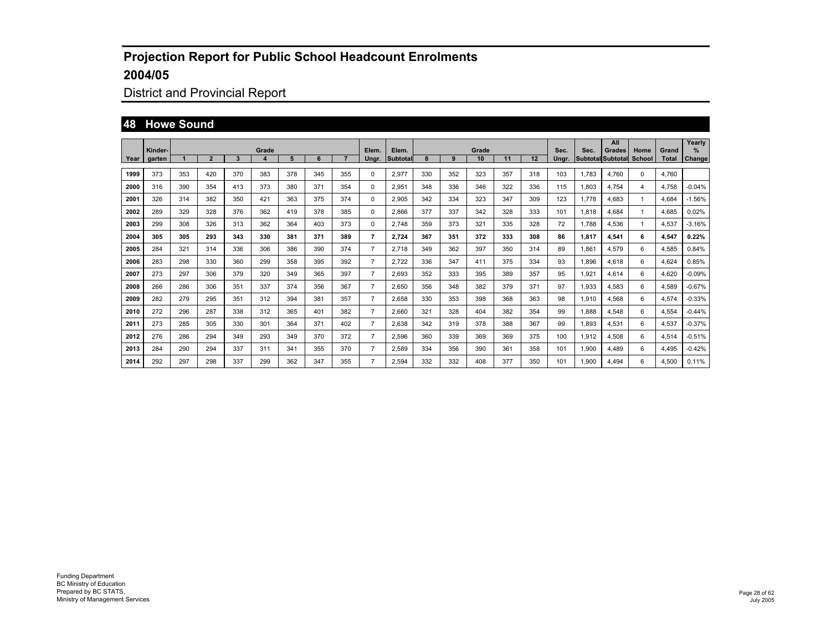# District and Provincial Report

#### **48 Howe Sound**

|      |                   |     |                |     |            |     |     |     |                |                   |     |     |             |     |     |               |       | All                         |                |                       | Yearly             |
|------|-------------------|-----|----------------|-----|------------|-----|-----|-----|----------------|-------------------|-----|-----|-------------|-----|-----|---------------|-------|-----------------------------|----------------|-----------------------|--------------------|
| Year | Kinder-<br>garten |     | $\overline{2}$ | 3   | Grade<br>4 | 5   | 6   |     | Elem.<br>Ungr. | Elem.<br>Subtotal |     | 9   | Grade<br>10 | 11  | 12  | Sec.<br>Ungr. | Sec.  | Grades<br>Subtotal Subtotal | Home<br>School | Grand<br><b>Total</b> | %<br><b>Change</b> |
| 1999 | 373               | 353 | 420            | 370 | 383        | 378 | 345 | 355 | 0              | 2,977             | 330 | 352 | 323         | 357 | 318 | 103           | 1,783 | 4,760                       | 0              | 4,760                 |                    |
| 2000 | 316               | 390 | 354            | 413 | 373        | 380 | 371 | 354 | 0              | 2,951             | 348 | 336 | 346         | 322 | 336 | 115           | 1,803 | 4,754                       | 4              | 4,758                 | $-0.04%$           |
| 2001 | 326               | 314 | 382            | 350 | 421        | 363 | 375 | 374 | 0              | 2,905             | 342 | 334 | 323         | 347 | 309 | 123           | 1.778 | 4,683                       | -1             | 4.684                 | $-1.56%$           |
| 2002 | 289               | 329 | 328            | 376 | 362        | 419 | 378 | 385 | 0              | 2,866             | 377 | 337 | 342         | 328 | 333 | 101           | 1,818 | 4.684                       | 1              | 4,685                 | 0.02%              |
| 2003 | 299               | 308 | 326            | 313 | 362        | 364 | 403 | 373 | 0              | 2.748             | 359 | 373 | 321         | 335 | 328 | 72            | 1,788 | 4,536                       | -1             | 4,537                 | $-3.16%$           |
| 2004 | 305               | 305 | 293            | 343 | 330        | 381 | 371 | 389 | 7              | 2,724             | 367 | 351 | 372         | 333 | 308 | 86            | 1,817 | 4,541                       | 6              | 4,547                 | 0.22%              |
| 2005 | 284               | 321 | 314            | 336 | 306        | 386 | 390 | 374 | $\overline{7}$ | 2,718             | 349 | 362 | 397         | 350 | 314 | 89            | 1,861 | 4,579                       | 6              | 4,585                 | 0.84%              |
| 2006 | 283               | 298 | 330            | 360 | 299        | 358 | 395 | 392 | $\overline{7}$ | 2,722             | 336 | 347 | 411         | 375 | 334 | 93            | 1,896 | 4,618                       | 6              | 4,624                 | 0.85%              |
| 2007 | 273               | 297 | 306            | 379 | 320        | 349 | 365 | 397 | $\overline{7}$ | 2,693             | 352 | 333 | 395         | 389 | 357 | 95            | 1,921 | 4,614                       | 6              | 4,620                 | $-0.09%$           |
| 2008 | 266               | 286 | 306            | 351 | 337        | 374 | 356 | 367 | $\overline{7}$ | 2,650             | 356 | 348 | 382         | 379 | 371 | 97            | 1,933 | 4,583                       | 6              | 4,589                 | $-0.67%$           |
| 2009 | 282               | 279 | 295            | 351 | 312        | 394 | 381 | 357 | $\overline{7}$ | 2,658             | 330 | 353 | 398         | 368 | 363 | 98            | 1,910 | 4,568                       | 6              | 4,574                 | $-0.33%$           |
| 2010 | 272               | 296 | 287            | 338 | 312        | 365 | 401 | 382 | $\overline{7}$ | 2,660             | 321 | 328 | 404         | 382 | 354 | 99            | 1,888 | 4,548                       | 6              | 4,554                 | $-0.44%$           |
| 2011 | 273               | 285 | 305            | 330 | 301        | 364 | 371 | 402 | $\overline{7}$ | 2,638             | 342 | 319 | 378         | 388 | 367 | 99            | 1,893 | 4,531                       | 6              | 4,537                 | $-0.37%$           |
| 2012 | 276               | 286 | 294            | 349 | 293        | 349 | 370 | 372 | $\overline{7}$ | 2,596             | 360 | 339 | 369         | 369 | 375 | 100           | 1,912 | 4,508                       | 6              | 4,514                 | $-0.51%$           |
| 2013 | 284               | 290 | 294            | 337 | 311        | 341 | 355 | 370 | $\overline{7}$ | 2,589             | 334 | 356 | 390         | 361 | 358 | 101           | 1,900 | 4,489                       | 6              | 4,495                 | $-0.42%$           |
| 2014 | 292               | 297 | 298            | 337 | 299        | 362 | 347 | 355 | $\overline{7}$ | 2,594             | 332 | 332 | 408         | 377 | 350 | 101           | 1,900 | 4.494                       | 6              | 4,500                 | 0.11%              |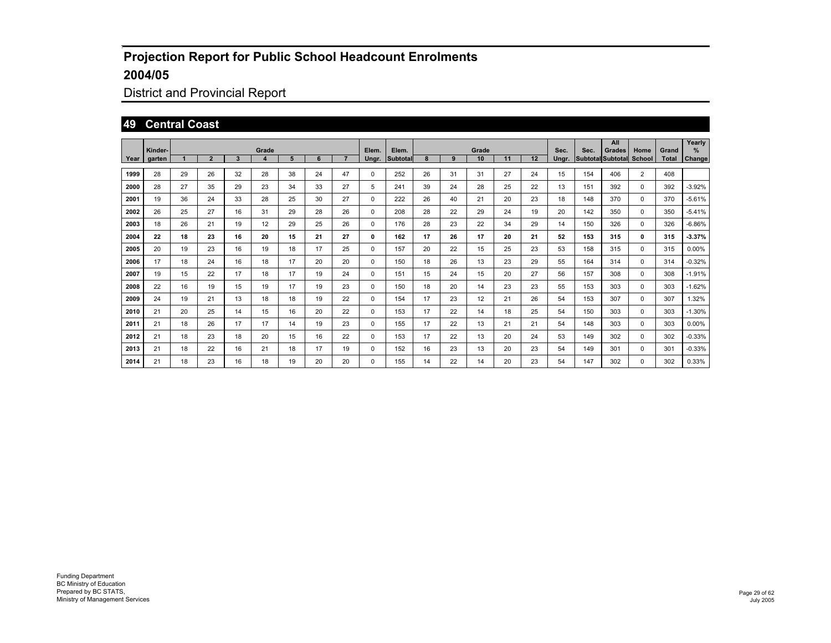## District and Provincial Report

#### **49 Central Coast**

|        | Kinder- |    |                |    | Grade |    |    |                | Elem.    | Elem.    |    |    | Grade |    |    | Sec.  | Sec. | All<br>Grades            | Home           | Grand        | Yearly<br>%   |
|--------|---------|----|----------------|----|-------|----|----|----------------|----------|----------|----|----|-------|----|----|-------|------|--------------------------|----------------|--------------|---------------|
| Year I | aarten  |    | $\overline{2}$ | 3  | 4     | 5  | 6  | $\overline{7}$ | Unar.    | Subtotal | 8  | 9  | 10    | 11 | 12 | Unar. |      | Subtotal Subtotal School |                | <b>Total</b> | <b>Change</b> |
| 1999   | 28      | 29 | 26             | 32 | 28    | 38 | 24 | 47             | 0        | 252      | 26 | 31 | 31    | 27 | 24 | 15    | 154  | 406                      | $\overline{2}$ | 408          |               |
| 2000   | 28      | 27 | 35             | 29 | 23    | 34 | 33 | 27             | 5        | 241      | 39 | 24 | 28    | 25 | 22 | 13    | 151  | 392                      | 0              | 392          | $-3.92%$      |
| 2001   | 19      | 36 | 24             | 33 | 28    | 25 | 30 | 27             | 0        | 222      | 26 | 40 | 21    | 20 | 23 | 18    | 148  | 370                      | 0              | 370          | $-5.61%$      |
| 2002   | 26      | 25 | 27             | 16 | 31    | 29 | 28 | 26             | 0        | 208      | 28 | 22 | 29    | 24 | 19 | 20    | 142  | 350                      | 0              | 350          | $-5.41%$      |
| 2003   | 18      | 26 | 21             | 19 | 12    | 29 | 25 | 26             | 0        | 176      | 28 | 23 | 22    | 34 | 29 | 14    | 150  | 326                      | 0              | 326          | $-6.86%$      |
| 2004   | 22      | 18 | 23             | 16 | 20    | 15 | 21 | 27             | 0        | 162      | 17 | 26 | 17    | 20 | 21 | 52    | 153  | 315                      | $\mathbf{0}$   | 315          | 3.37%         |
| 2005   | 20      | 19 | 23             | 16 | 19    | 18 | 17 | 25             | 0        | 157      | 20 | 22 | 15    | 25 | 23 | 53    | 158  | 315                      | 0              | 315          | $0.00\%$      |
| 2006   | 17      | 18 | 24             | 16 | 18    | 17 | 20 | 20             | $\Omega$ | 150      | 18 | 26 | 13    | 23 | 29 | 55    | 164  | 314                      | $\Omega$       | 314          | $-0.32%$      |
| 2007   | 19      | 15 | 22             | 17 | 18    | 17 | 19 | 24             | $\Omega$ | 151      | 15 | 24 | 15    | 20 | 27 | 56    | 157  | 308                      | $\Omega$       | 308          | $-1.91%$      |
| 2008   | 22      | 16 | 19             | 15 | 19    | 17 | 19 | 23             | $\Omega$ | 150      | 18 | 20 | 14    | 23 | 23 | 55    | 153  | 303                      | 0              | 303          | $-1.62%$      |
| 2009   | 24      | 19 | 21             | 13 | 18    | 18 | 19 | 22             | $\Omega$ | 154      | 17 | 23 | 12    | 21 | 26 | 54    | 153  | 307                      | $\Omega$       | 307          | 1.32%         |
| 2010   | 21      | 20 | 25             | 14 | 15    | 16 | 20 | 22             | $\Omega$ | 153      | 17 | 22 | 14    | 18 | 25 | 54    | 150  | 303                      | 0              | 303          | $-1.30%$      |
| 2011   | 21      | 18 | 26             | 17 | 17    | 14 | 19 | 23             | 0        | 155      | 17 | 22 | 13    | 21 | 21 | 54    | 148  | 303                      | 0              | 303          | $0.00\%$      |
| 2012   | 21      | 18 | 23             | 18 | 20    | 15 | 16 | 22             | 0        | 153      | 17 | 22 | 13    | 20 | 24 | 53    | 149  | 302                      | 0              | 302          | $-0.33%$      |
| 2013   | 21      | 18 | 22             | 16 | 21    | 18 | 17 | 19             | 0        | 152      | 16 | 23 | 13    | 20 | 23 | 54    | 149  | 301                      | 0              | 301          | $-0.33%$      |
| 2014   | 21      | 18 | 23             | 16 | 18    | 19 | 20 | 20             | 0        | 155      | 14 | 22 | 14    | 20 | 23 | 54    | 147  | 302                      | 0              | 302          | 0.33%         |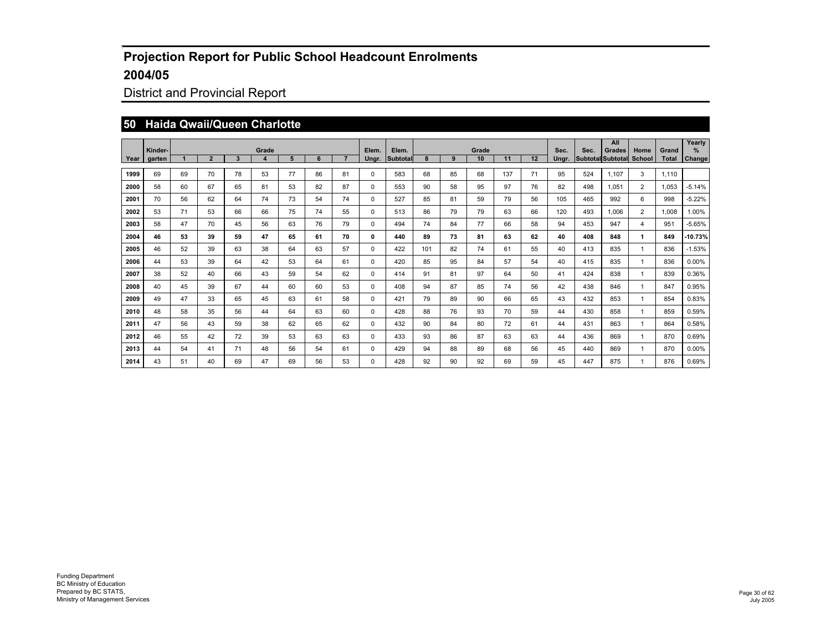## District and Provincial Report

#### **50 Haida Qwaii/Queen Charlotte**

|      | Kinder- |    |                |    | Grade                   |    |    |    | Elem. | Elem.           |     |    | Grade |     |    | Sec.  | Sec.              | All<br><b>Grades</b> | Home           | Grand | Yearly<br>% |
|------|---------|----|----------------|----|-------------------------|----|----|----|-------|-----------------|-----|----|-------|-----|----|-------|-------------------|----------------------|----------------|-------|-------------|
| Year | garten  |    | $\overline{2}$ | 3  | $\overline{\mathbf{4}}$ | 5  | 6  | 7  | Ungr. | <b>Subtotal</b> | 8   | 9  | 10    | 11  | 12 | Ungr. | Subtotal Subtotal |                      | School         | Total | Change      |
| 1999 | 69      | 69 | 70             | 78 | 53                      | 77 | 86 | 81 | 0     | 583             | 68  | 85 | 68    | 137 | 71 | 95    | 524               | 1.107                | 3              | 1.110 |             |
| 2000 | 58      | 60 | 67             | 65 | 81                      | 53 | 82 | 87 | 0     | 553             | 90  | 58 | 95    | 97  | 76 | 82    | 498               | 1,051                | $\overline{2}$ | 1,053 | $-5.14%$    |
| 2001 | 70      | 56 | 62             | 64 | 74                      | 73 | 54 | 74 | 0     | 527             | 85  | 81 | 59    | 79  | 56 | 105   | 465               | 992                  | 6              | 998   | $-5.22%$    |
| 2002 | 53      | 71 | 53             | 66 | 66                      | 75 | 74 | 55 | 0     | 513             | 86  | 79 | 79    | 63  | 66 | 120   | 493               | 1.006                | $\overline{2}$ | 1.008 | 1.00%       |
| 2003 | 58      | 47 | 70             | 45 | 56                      | 63 | 76 | 79 | 0     | 494             | 74  | 84 | 77    | 66  | 58 | 94    | 453               | 947                  | 4              | 951   | $-5.65%$    |
| 2004 | 46      | 53 | 39             | 59 | 47                      | 65 | 61 | 70 | 0     | 440             | 89  | 73 | 81    | 63  | 62 | 40    | 408               | 848                  | 1              | 849   | -10.73%     |
| 2005 | 46      | 52 | 39             | 63 | 38                      | 64 | 63 | 57 | 0     | 422             | 101 | 82 | 74    | 61  | 55 | 40    | 413               | 835                  | 1              | 836   | $-1.53%$    |
| 2006 | 44      | 53 | 39             | 64 | 42                      | 53 | 64 | 61 | 0     | 420             | 85  | 95 | 84    | 57  | 54 | 40    | 415               | 835                  |                | 836   | 0.00%       |
| 2007 | 38      | 52 | 40             | 66 | 43                      | 59 | 54 | 62 | 0     | 414             | 91  | 81 | 97    | 64  | 50 | 41    | 424               | 838                  |                | 839   | 0.36%       |
| 2008 | 40      | 45 | 39             | 67 | 44                      | 60 | 60 | 53 | 0     | 408             | 94  | 87 | 85    | 74  | 56 | 42    | 438               | 846                  |                | 847   | 0.95%       |
| 2009 | 49      | 47 | 33             | 65 | 45                      | 63 | 61 | 58 | 0     | 421             | 79  | 89 | 90    | 66  | 65 | 43    | 432               | 853                  | -1             | 854   | 0.83%       |
| 2010 | 48      | 58 | 35             | 56 | 44                      | 64 | 63 | 60 | 0     | 428             | 88  | 76 | 93    | 70  | 59 | 44    | 430               | 858                  |                | 859   | 0.59%       |
| 2011 | 47      | 56 | 43             | 59 | 38                      | 62 | 65 | 62 | 0     | 432             | 90  | 84 | 80    | 72  | 61 | 44    | 431               | 863                  |                | 864   | 0.58%       |
| 2012 | 46      | 55 | 42             | 72 | 39                      | 53 | 63 | 63 | 0     | 433             | 93  | 86 | 87    | 63  | 63 | 44    | 436               | 869                  |                | 870   | 0.69%       |
| 2013 | 44      | 54 | 41             | 71 | 48                      | 56 | 54 | 61 | 0     | 429             | 94  | 88 | 89    | 68  | 56 | 45    | 440               | 869                  |                | 870   | 0.00%       |
| 2014 | 43      | 51 | 40             | 69 | 47                      | 69 | 56 | 53 | 0     | 428             | 92  | 90 | 92    | 69  | 59 | 45    | 447               | 875                  |                | 876   | 0.69%       |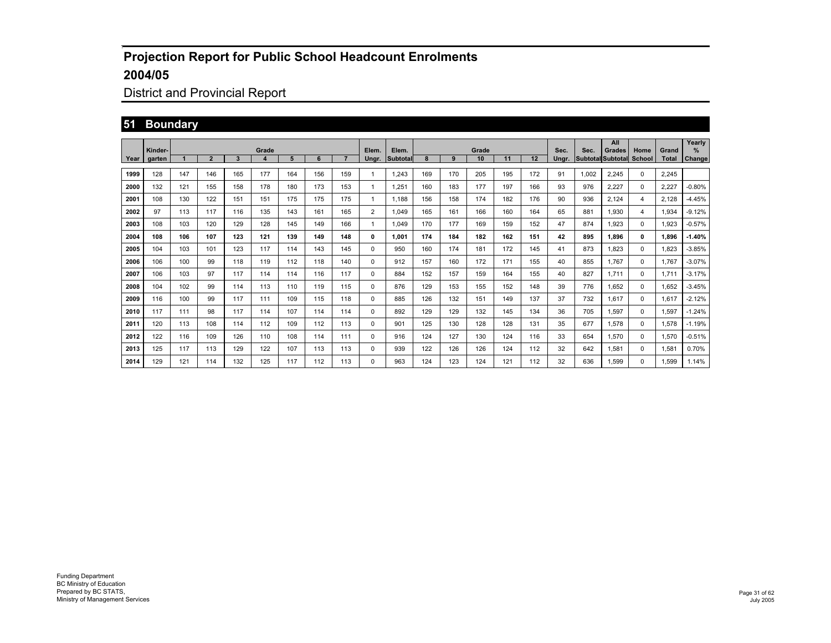## District and Provincial Report

## **51 Boundary**

|      |                   |     |                |     |            |     |     |     |                |                   |     |     |             |     |     |               |       | All                                |                |                       | Yearly                |
|------|-------------------|-----|----------------|-----|------------|-----|-----|-----|----------------|-------------------|-----|-----|-------------|-----|-----|---------------|-------|------------------------------------|----------------|-----------------------|-----------------------|
| Year | Kinder-<br>garten |     | $\overline{2}$ | 3   | Grade<br>4 | 5   | 6   | 7   | Elem.<br>Ungr. | Elem.<br>Subtotal | 8   | 9   | Grade<br>10 | 11  | 12  | Sec.<br>Ungr. | Sec.  | Grades<br><b>Subtotal Subtotal</b> | Home<br>School | Grand<br><b>Total</b> | $\%$<br><b>Change</b> |
|      |                   |     |                |     |            |     |     |     |                |                   |     |     |             |     |     |               |       |                                    |                |                       |                       |
| 1999 | 128               | 147 | 146            | 165 | 177        | 164 | 156 | 159 | 1              | 1.243             | 169 | 170 | 205         | 195 | 172 | 91            | 1,002 | 2.245                              | $\mathbf 0$    | 2,245                 |                       |
| 2000 | 132               | 121 | 155            | 158 | 178        | 180 | 173 | 153 | $\mathbf{1}$   | 1.251             | 160 | 183 | 177         | 197 | 166 | 93            | 976   | 2,227                              | 0              | 2,227                 | $-0.80%$              |
| 2001 | 108               | 130 | 122            | 151 | 151        | 175 | 175 | 175 | $\mathbf{1}$   | 1.188             | 156 | 158 | 174         | 182 | 176 | 90            | 936   | 2,124                              | $\overline{4}$ | 2.128                 | $-4.45%$              |
| 2002 | 97                | 113 | 117            | 116 | 135        | 143 | 161 | 165 | $\overline{2}$ | 1.049             | 165 | 161 | 166         | 160 | 164 | 65            | 881   | 1.930                              | $\overline{4}$ | 1.934                 | $-9.12%$              |
| 2003 | 108               | 103 | 120            | 129 | 128        | 145 | 149 | 166 | $\mathbf{1}$   | 1.049             | 170 | 177 | 169         | 159 | 152 | 47            | 874   | 1.923                              | $\Omega$       | 1.923                 | $-0.57%$              |
| 2004 | 108               | 106 | 107            | 123 | 121        | 139 | 149 | 148 | 0              | 1.001             | 174 | 184 | 182         | 162 | 151 | 42            | 895   | 1.896                              | $\mathbf{0}$   | 1.896                 | $-1.40%$              |
| 2005 | 104               | 103 | 101            | 123 | 117        | 114 | 143 | 145 | 0              | 950               | 160 | 174 | 181         | 172 | 145 | 41            | 873   | 1.823                              | 0              | 1.823                 | $-3.85%$              |
| 2006 | 106               | 100 | 99             | 118 | 119        | 112 | 118 | 140 | 0              | 912               | 157 | 160 | 172         | 171 | 155 | 40            | 855   | 1.767                              | 0              | 1.767                 | $-3.07%$              |
| 2007 | 106               | 103 | 97             | 117 | 114        | 114 | 116 | 117 | 0              | 884               | 152 | 157 | 159         | 164 | 155 | 40            | 827   | 1.711                              | 0              | 1.711                 | $-3.17%$              |
| 2008 | 104               | 102 | 99             | 114 | 113        | 110 | 119 | 115 | 0              | 876               | 129 | 153 | 155         | 152 | 148 | 39            | 776   | 1.652                              | 0              | 1,652                 | $-3.45%$              |
| 2009 | 116               | 100 | 99             | 117 | 111        | 109 | 115 | 118 | $\Omega$       | 885               | 126 | 132 | 151         | 149 | 137 | 37            | 732   | 1.617                              | 0              | 1.617                 | $-2.12%$              |
| 2010 | 117               | 111 | 98             | 117 | 114        | 107 | 114 | 114 | 0              | 892               | 129 | 129 | 132         | 145 | 134 | 36            | 705   | 1.597                              | 0              | 1,597                 | $-1.24%$              |
| 2011 | 120               | 113 | 108            | 114 | 112        | 109 | 112 | 113 | 0              | 901               | 125 | 130 | 128         | 128 | 131 | 35            | 677   | 1.578                              | 0              | 1.578                 | $-1.19%$              |
| 2012 | 122               | 116 | 109            | 126 | 110        | 108 | 114 | 111 | $\Omega$       | 916               | 124 | 127 | 130         | 124 | 116 | 33            | 654   | 1.570                              | $\mathbf 0$    | 1.570                 | $-0.51%$              |
| 2013 | 125               | 117 | 113            | 129 | 122        | 107 | 113 | 113 | 0              | 939               | 122 | 126 | 126         | 124 | 112 | 32            | 642   | 1.581                              | 0              | 1,581                 | 0.70%                 |
| 2014 | 129               | 121 | 114            | 132 | 125        | 117 | 112 | 113 | 0              | 963               | 124 | 123 | 124         | 121 | 112 | 32            | 636   | 1.599                              | $\Omega$       | 1.599                 | 1.14%                 |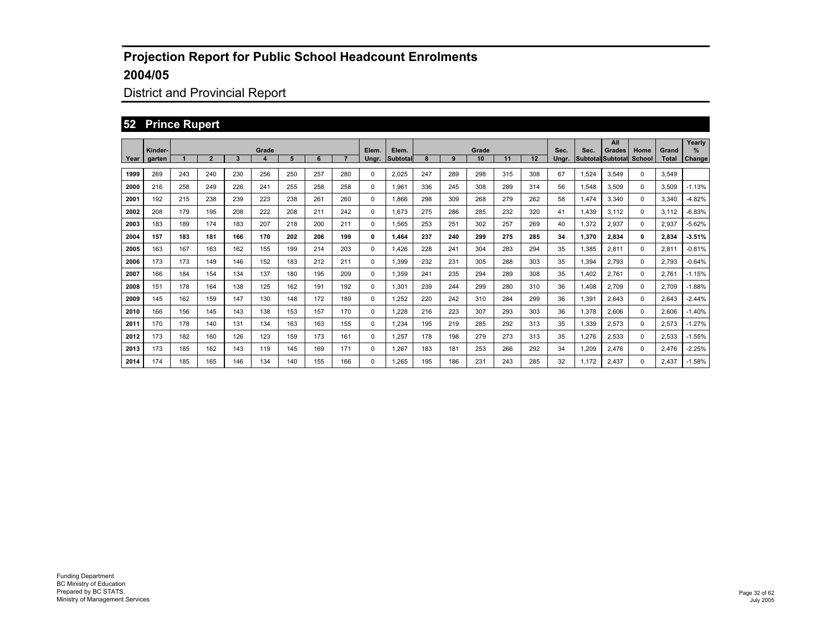## District and Provincial Report

#### **52 Prince Rupert**

|      | Kinder- |     |                |     | Grade |     |     |                | Elem.    | Elem.    |     |     | Grade |     |     | Sec.  | Sec.  | All<br>Grades            | Home         | Grand        | Yearly<br>%   |
|------|---------|-----|----------------|-----|-------|-----|-----|----------------|----------|----------|-----|-----|-------|-----|-----|-------|-------|--------------------------|--------------|--------------|---------------|
| Year | aarten  |     | $\overline{2}$ | 3   |       | 5   | 6   | $\overline{7}$ | Unar.    | Subtotal | 8   | 9   | 10    | 11  | 12  | Unar. |       | <b>Subtotal Subtotal</b> | School       | <b>Total</b> | <b>Change</b> |
| 1999 | 269     | 243 | 240            | 230 | 256   | 250 | 257 | 280            | $\Omega$ | 2.025    | 247 | 289 | 298   | 315 | 308 | 67    | 1,524 | 3.549                    | $\Omega$     | 3.549        |               |
| 2000 | 216     | 258 | 249            | 226 | 241   | 255 | 258 | 258            | 0        | 1.961    | 336 | 245 | 308   | 289 | 314 | 56    | 1.548 | 3.509                    | $\Omega$     | 3.509        | $-1.13%$      |
| 2001 | 192     | 215 | 238            | 239 | 223   | 238 | 261 | 260            | 0        | 1.866    | 298 | 309 | 268   | 279 | 262 | 58    | 1.474 | 3.340                    | $\Omega$     | 3.340        | $-4.82%$      |
| 2002 | 208     | 179 | 195            | 208 | 222   | 208 | 211 | 242            | 0        | 1.673    | 275 | 286 | 285   | 232 | 320 | 41    | 1.439 | 3.112                    | 0            | 3.112        | $-6.83%$      |
| 2003 | 183     | 189 | 174            | 183 | 207   | 218 | 200 | 211            | 0        | 1,565    | 253 | 251 | 302   | 257 | 269 | 40    | 1,372 | 2,937                    | 0            | 2,937        | $-5.62%$      |
| 2004 | 157     | 183 | 181            | 166 | 170   | 202 | 206 | 199            | 0        | 1.464    | 237 | 240 | 299   | 275 | 285 | 34    | 1,370 | 2,834                    | $\mathbf{0}$ | 2,834        | 3.51%         |
| 2005 | 163     | 167 | 163            | 162 | 155   | 199 | 214 | 203            | 0        | 1.426    | 228 | 241 | 304   | 283 | 294 | 35    | 1.385 | 2.811                    | 0            | 2.811        | $-0.81%$      |
| 2006 | 173     | 173 | 149            | 146 | 152   | 183 | 212 | 211            | $\Omega$ | 1.399    | 232 | 231 | 305   | 288 | 303 | 35    | 1.394 | 2.793                    | $\Omega$     | 2.793        | $-0.64%$      |
| 2007 | 166     | 184 | 154            | 134 | 137   | 180 | 195 | 209            | $\Omega$ | 1.359    | 241 | 235 | 294   | 289 | 308 | 35    | 1.402 | 2.761                    | $\Omega$     | 2.761        | $-1.15%$      |
| 2008 | 151     | 178 | 164            | 138 | 125   | 162 | 191 | 192            | $\Omega$ | 1.301    | 239 | 244 | 299   | 280 | 310 | 36    | 1.408 | 2.709                    | 0            | 2.709        | $-1.88%$      |
| 2009 | 145     | 162 | 159            | 147 | 130   | 148 | 172 | 189            | $\Omega$ | 1.252    | 220 | 242 | 310   | 284 | 299 | 36    | 1,391 | 2.643                    | $\Omega$     | 2.643        | $-2.44%$      |
| 2010 | 166     | 156 | 145            | 143 | 138   | 153 | 157 | 170            | 0        | 1.228    | 216 | 223 | 307   | 293 | 303 | 36    | 1,378 | 2.606                    | 0            | 2,606        | $-1.40%$      |
| 2011 | 170     | 178 | 140            | 131 | 134   | 163 | 163 | 155            | 0        | 1.234    | 195 | 219 | 285   | 292 | 313 | 35    | 1,339 | 2,573                    | 0            | 2,573        | $-1.27%$      |
| 2012 | 173     | 182 | 160            | 126 | 123   | 159 | 173 | 161            | 0        | 1,257    | 178 | 198 | 279   | 273 | 313 | 35    | 1,276 | 2,533                    | 0            | 2,533        | $-1.55%$      |
| 2013 | 173     | 185 | 162            | 143 | 119   | 145 | 169 | 171            | 0        | 1,267    | 183 | 181 | 253   | 266 | 292 | 34    | 1,209 | 2,476                    | 0            | 2,476        | $-2.25%$      |
| 2014 | 174     | 185 | 165            | 146 | 134   | 140 | 155 | 166            | $\Omega$ | 1.265    | 195 | 186 | 231   | 243 | 285 | 32    | 1.172 | 2.437                    | $\Omega$     | 2.437        | $-1.58%$      |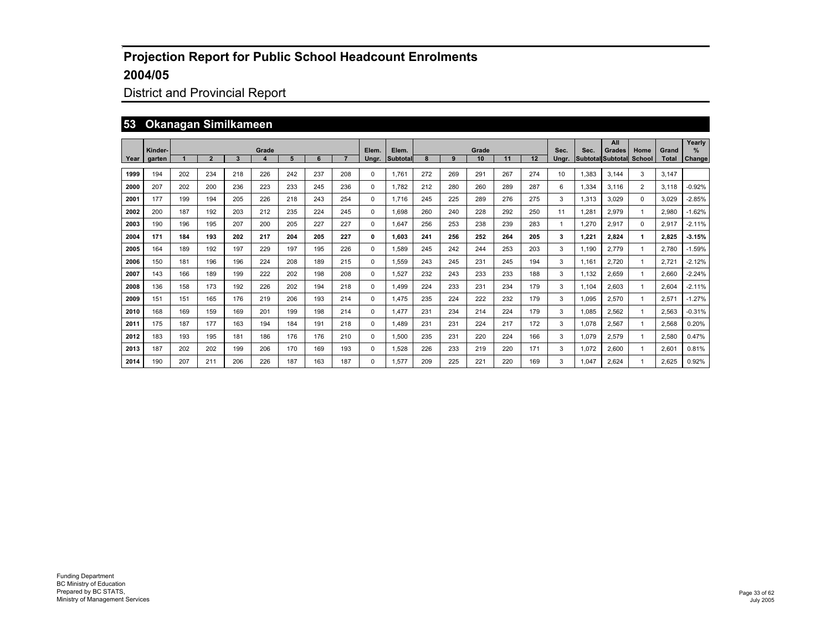## District and Provincial Report

#### **53 Okanagan Similkameen**

|      | Kinder- |     |                |     | Grade            |     |     |     | Elem. | Elem.    |     |     | Grade |     |     | Sec.  | Sec.  | All<br>Grades            | Home           | Grand        | Yearly<br>$\frac{9}{6}$ |
|------|---------|-----|----------------|-----|------------------|-----|-----|-----|-------|----------|-----|-----|-------|-----|-----|-------|-------|--------------------------|----------------|--------------|-------------------------|
| Year | aarten  |     | $\overline{2}$ | 3   | $\boldsymbol{4}$ | 5   | 6   |     | Unar. | Subtotal |     | 9   | 10    | 11  | 12  | Unar. |       | <b>Subtotal Subtotal</b> | School         | <b>Total</b> | Change                  |
| 1999 | 194     | 202 | 234            | 218 | 226              | 242 | 237 | 208 | 0     | 1.761    | 272 | 269 | 291   | 267 | 274 | 10    | 1.383 | 3.144                    | 3              | 3.147        |                         |
| 2000 | 207     | 202 | 200            | 236 | 223              | 233 | 245 | 236 | 0     | 1.782    | 212 | 280 | 260   | 289 | 287 | 6     | 1.334 | 3.116                    | $\overline{2}$ | 3,118        | $-0.92%$                |
| 2001 | 177     | 199 | 194            | 205 | 226              | 218 | 243 | 254 | 0     | 1.716    | 245 | 225 | 289   | 276 | 275 | 3     | 1.313 | 3.029                    | $\mathbf 0$    | 3.029        | $-2.85%$                |
| 2002 | 200     | 187 | 192            | 203 | 212              | 235 | 224 | 245 | 0     | 1.698    | 260 | 240 | 228   | 292 | 250 | 11    | .281  | 2.979                    | -1             | 2.980        | $-1.62%$                |
| 2003 | 190     | 196 | 195            | 207 | 200              | 205 | 227 | 227 | 0     | 1.647    | 256 | 253 | 238   | 239 | 283 | 1     | .270  | 2,917                    | $\mathbf 0$    | 2,917        | $-2.11%$                |
| 2004 | 171     | 184 | 193            | 202 | 217              | 204 | 205 | 227 | 0     | 1.603    | 241 | 256 | 252   | 264 | 205 | 3     | 1,221 | 2,824                    | 1              | 2.825        | $-3.15%$                |
| 2005 | 164     | 189 | 192            | 197 | 229              | 197 | 195 | 226 | 0     | 1.589    | 245 | 242 | 244   | 253 | 203 | 3     | 1.190 | 2.779                    | -1             | 2.780        | $-1.59%$                |
| 2006 | 150     | 181 | 196            | 196 | 224              | 208 | 189 | 215 | 0     | 1.559    | 243 | 245 | 231   | 245 | 194 | 3     | 1.161 | 2.720                    | $\overline{1}$ | 2.721        | $-2.12%$                |
| 2007 | 143     | 166 | 189            | 199 | 222              | 202 | 198 | 208 | 0     | 1.527    | 232 | 243 | 233   | 233 | 188 | 3     | 1.132 | 2.659                    | -1             | 2.660        | $-2.24%$                |
| 2008 | 136     | 158 | 173            | 192 | 226              | 202 | 194 | 218 | 0     | 1.499    | 224 | 233 | 231   | 234 | 179 | 3     | 1.104 | 2.603                    | -1             | 2.604        | $-2.11%$                |
| 2009 | 151     | 151 | 165            | 176 | 219              | 206 | 193 | 214 | 0     | 1.475    | 235 | 224 | 222   | 232 | 179 | 3     | 1.095 | 2.570                    | $\mathbf{1}$   | 2.571        | $-1.27%$                |
| 2010 | 168     | 169 | 159            | 169 | 201              | 199 | 198 | 214 | 0     | 1.477    | 231 | 234 | 214   | 224 | 179 | 3     | 1,085 | 2,562                    | 1              | 2,563        | $-0.31%$                |
| 2011 | 175     | 187 | 177            | 163 | 194              | 184 | 191 | 218 | 0     | 1.489    | 231 | 231 | 224   | 217 | 172 | 3     | 1,078 | 2,567                    | -1             | 2,568        | 0.20%                   |
| 2012 | 183     | 193 | 195            | 181 | 186              | 176 | 176 | 210 | 0     | 1,500    | 235 | 231 | 220   | 224 | 166 | 3     | 1,079 | 2,579                    | -1             | 2,580        | 0.47%                   |
| 2013 | 187     | 202 | 202            | 199 | 206              | 170 | 169 | 193 | 0     | 1,528    | 226 | 233 | 219   | 220 | 171 | 3     | 1,072 | 2,600                    | -1             | 2,601        | 0.81%                   |
| 2014 | 190     | 207 | 211            | 206 | 226              | 187 | 163 | 187 | 0     | 1.577    | 209 | 225 | 221   | 220 | 169 | 3     | 1.047 | 2.624                    | -1             | 2.625        | 0.92%                   |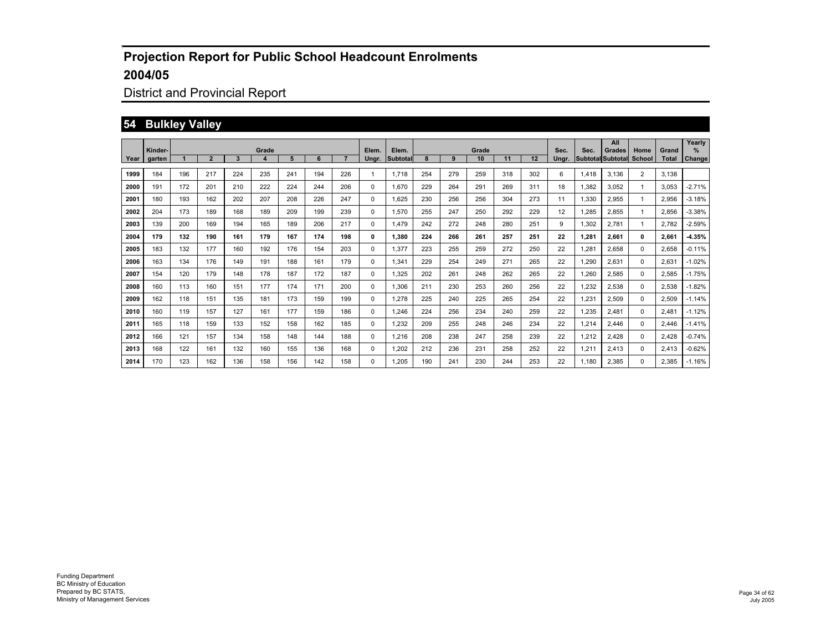## District and Provincial Report

#### **54 Bulkley Valley**

|      | Kinder- |     |                |     | Grade |     |     |     | Elem. | Elem.           |     |     | Grade |     |     | Sec.  | Sec.  | All<br>Grades            | Home           | Grand        | Yearly<br>$\%$ |
|------|---------|-----|----------------|-----|-------|-----|-----|-----|-------|-----------------|-----|-----|-------|-----|-----|-------|-------|--------------------------|----------------|--------------|----------------|
| Year | garten  |     | $\overline{2}$ | 3   | 4     | 5   | 6   |     | Ungr. | <b>Subtotal</b> |     | 9   | 10    | 11  | 12  | Unar. |       | <b>Subtotal Subtotal</b> | School         | <b>Total</b> | Change         |
| 1999 | 184     | 196 | 217            | 224 | 235   | 241 | 194 | 226 |       | 1.718           | 254 | 279 | 259   | 318 | 302 | 6     | 1,418 | 3,136                    | $\overline{2}$ | 3,138        |                |
| 2000 | 191     | 172 | 201            | 210 | 222   | 224 | 244 | 206 | 0     | 1.670           | 229 | 264 | 291   | 269 | 311 | 18    | 1,382 | 3,052                    | -1             | 3,053        | $-2.71%$       |
| 2001 | 180     | 193 | 162            | 202 | 207   | 208 | 226 | 247 | 0     | 1.625           | 230 | 256 | 256   | 304 | 273 | 11    | 1,330 | 2,955                    | -1             | 2,956        | $-3.18%$       |
| 2002 | 204     | 173 | 189            | 168 | 189   | 209 | 199 | 239 | 0     | 1,570           | 255 | 247 | 250   | 292 | 229 | 12    | 1,285 | 2,855                    | -1             | 2,856        | $-3.38%$       |
| 2003 | 139     | 200 | 169            | 194 | 165   | 189 | 206 | 217 | 0     | 1,479           | 242 | 272 | 248   | 280 | 251 | 9     | 1,302 | 2,781                    | -1             | 2.782        | $-2.59%$       |
| 2004 | 179     | 132 | 190            | 161 | 179   | 167 | 174 | 198 | 0     | 1.380           | 224 | 266 | 261   | 257 | 251 | 22    | 1.281 | 2,661                    | 0              | 2.661        | $-4.35%$       |
| 2005 | 183     | 132 | 177            | 160 | 192   | 176 | 154 | 203 | 0     | 1,377           | 223 | 255 | 259   | 272 | 250 | 22    | .281  | 2,658                    | $\mathbf 0$    | 2,658        | $-0.11%$       |
| 2006 | 163     | 134 | 176            | 149 | 191   | 188 | 161 | 179 | 0     | 1,341           | 229 | 254 | 249   | 271 | 265 | 22    | .290  | 2,631                    | $\mathbf 0$    | 2,631        | $-1.02%$       |
| 2007 | 154     | 120 | 179            | 148 | 178   | 187 | 172 | 187 | 0     | 1,325           | 202 | 261 | 248   | 262 | 265 | 22    | .260  | 2,585                    | $\mathbf 0$    | 2,585        | $-1.75%$       |
| 2008 | 160     | 113 | 160            | 151 | 177   | 174 | 171 | 200 | 0     | 1,306           | 211 | 230 | 253   | 260 | 256 | 22    | .232  | 2,538                    | $\mathbf 0$    | 2,538        | $-1.82%$       |
| 2009 | 162     | 118 | 151            | 135 | 181   | 173 | 159 | 199 | 0     | 1,278           | 225 | 240 | 225   | 265 | 254 | 22    | .231  | 2,509                    | $\mathbf 0$    | 2,509        | $-1.14%$       |
| 2010 | 160     | 119 | 157            | 127 | 161   | 177 | 159 | 186 | 0     | 1,246           | 224 | 256 | 234   | 240 | 259 | 22    | .235  | 2,481                    | $\mathbf 0$    | 2,481        | $-1.12%$       |
| 2011 | 165     | 118 | 159            | 133 | 152   | 158 | 162 | 185 | 0     | 1,232           | 209 | 255 | 248   | 246 | 234 | 22    | .214  | 2,446                    | $\mathbf 0$    | 2,446        | $-1.41%$       |
| 2012 | 166     | 121 | 157            | 134 | 158   | 148 | 144 | 188 | 0     | 1,216           | 208 | 238 | 247   | 258 | 239 | 22    | .212  | 2,428                    | $\mathbf 0$    | 2,428        | $-0.74%$       |
| 2013 | 168     | 122 | 161            | 132 | 160   | 155 | 136 | 168 | 0     | 1,202           | 212 | 236 | 231   | 258 | 252 | 22    | 1,211 | 2,413                    | $\mathbf 0$    | 2,413        | $-0.62%$       |
| 2014 | 170     | 123 | 162            | 136 | 158   | 156 | 142 | 158 | 0     | 1.205           | 190 | 241 | 230   | 244 | 253 | 22    | 1.180 | 2,385                    | $\mathbf 0$    | 2.385        | $-1.16%$       |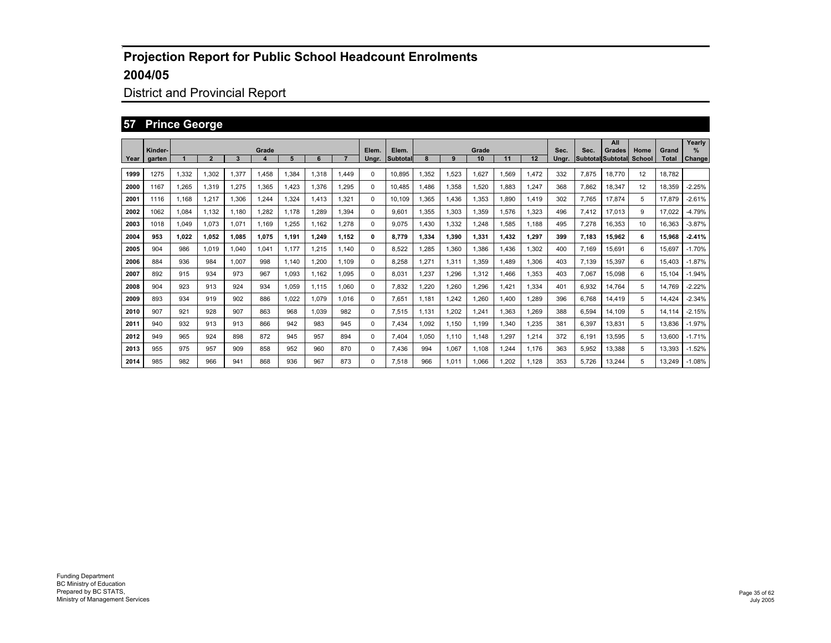## District and Provincial Report

#### **57 Prince George**

|      | Kinder- |       |       |       | Grade |       |       |       | Elem. | Elem.           |       |       | Grade |             |       | Sec.  | Sec.  | All<br>Grades            | Home   | Grand        | Yearly<br>$\%$ |
|------|---------|-------|-------|-------|-------|-------|-------|-------|-------|-----------------|-------|-------|-------|-------------|-------|-------|-------|--------------------------|--------|--------------|----------------|
| Year | garten  |       | 2     | 3     | 4     | 5     | 6     |       | Ungr. | <b>Subtotal</b> |       | 9     | 10    | 11          | 12    | Unar. |       | <b>Subtotal Subtotal</b> | School | <b>Total</b> | Change         |
| 1999 | 1275    | 1,332 | 1,302 | 1,377 | 1,458 | 1,384 | 1.318 | 1,449 | 0     | 10,895          | .352  | 1,523 | 1,627 | 1,569       | 1,472 | 332   | 7,875 | 18,770                   | 12     | 18,782       |                |
| 2000 | 1167    | 1,265 | 1,319 | 1,275 | 1,365 | 1,423 | 1,376 | 1,295 | 0     | 10.485          | 1.486 | 1,358 | 1,520 | 1,883       | 1,247 | 368   | 7,862 | 18,347                   | 12     | 18,359       | $-2.25%$       |
| 2001 | 1116    | 1.168 | 1,217 | 1,306 | 1,244 | 1,324 | 1.413 | 1,321 | 0     | 10.109          | 1,365 | 1,436 | 1,353 | 1.890       | 1,419 | 302   | 7,765 | 17,874                   | 5      | 17.879       | $-2.61%$       |
| 2002 | 1062    | 1,084 | 1,132 | 1.180 | 1,282 | 1.178 | .289  | 1,394 | 0     | 9,601           | 1,355 | 1,303 | 1,359 | 1,576       | 1,323 | 496   | 7,412 | 17,013                   | 9      | 17,022       | $-4.79%$       |
| 2003 | 1018    | 1,049 | 1,073 | 1,071 | 1,169 | 1,255 | 1.162 | 1,278 | 0     | 9.075           | 1,430 | 1,332 | 1,248 | 1,585       | 1,188 | 495   | 7,278 | 16,353                   | 10     | 16,363       | $-3.87%$       |
| 2004 | 953     | 1.022 | 1.052 | 1.085 | 1.075 | 1.191 | 1.249 | 1,152 | 0     | 8.779           | 1.334 | 1,390 | 1,331 | 1.432       | 1,297 | 399   | 7,183 | 15,962                   | 6      | 15.968       | $-2.41%$       |
| 2005 | 904     | 986   | 1,019 | 1.040 | 1,041 | 1.177 | 1.215 | 1,140 | 0     | 8,522           | 1,285 | 1,360 | 1,386 | 1.436       | 1,302 | 400   | 7.169 | 15,691                   | 6      | 15.697       | $-1.70%$       |
| 2006 | 884     | 936   | 984   | 1.007 | 998   | 1.140 | 1.200 | 1,109 | 0     | 8,258           | 1,271 | 1,311 | 1,359 | 1.489       | 1,306 | 403   | 7.139 | 15,397                   | 6      | 15.403       | $-1.87%$       |
| 2007 | 892     | 915   | 934   | 973   | 967   | 1.093 | 1.162 | 1,095 | 0     | 8,031           | .237  | 1,296 | 1,312 | <b>.466</b> | 1,353 | 403   | 7.067 | 15,098                   | 6      | 15,104       | $-1.94%$       |
| 2008 | 904     | 923   | 913   | 924   | 934   | 1.059 | 1.115 | 1,060 | 0     | 7.832           | ,220  | 1,260 | 1,296 | 1.421       | 1,334 | 401   | 6,932 | 14,764                   | 5      | 14,769       | $-2.22%$       |
| 2009 | 893     | 934   | 919   | 902   | 886   | 1,022 | 1.079 | 1,016 | 0     | 7,651           | 1,181 | 1,242 | 1,260 | .400        | 1,289 | 396   | 6.768 | 14,419                   | 5      | 14.424       | $-2.34%$       |
| 2010 | 907     | 921   | 928   | 907   | 863   | 968   | 1,039 | 982   | 0     | 7,515           | 1,131 | ,202  | 1,241 | 1,363       | 1,269 | 388   | 6,594 | 14,109                   | 5      | 14,114       | $-2.15%$       |
| 2011 | 940     | 932   | 913   | 913   | 866   | 942   | 983   | 945   | 0     | 7,434           | 1,092 | 1,150 | 1,199 | 1,340       | 1,235 | 381   | 6,397 | 13,831                   | 5      | 13,836       | $-1.97%$       |
| 2012 | 949     | 965   | 924   | 898   | 872   | 945   | 957   | 894   | 0     | 7,404           | 1,050 | 1,110 | 1,148 | 1,297       | 1,214 | 372   | 6,191 | 13,595                   | 5      | 13,600       | $-1.71%$       |
| 2013 | 955     | 975   | 957   | 909   | 858   | 952   | 960   | 870   | 0     | 7,436           | 994   | 1,067 | 1,108 | ,244        | 1,176 | 363   | 5,952 | 13,388                   | 5      | 13,393       | $-1.52%$       |
| 2014 | 985     | 982   | 966   | 941   | 868   | 936   | 967   | 873   | 0     | 7.518           | 966   | 1,011 | 1.066 | .202        | 1.128 | 353   | 5.726 | 13,244                   | 5      | 13.249       | $-1.08%$       |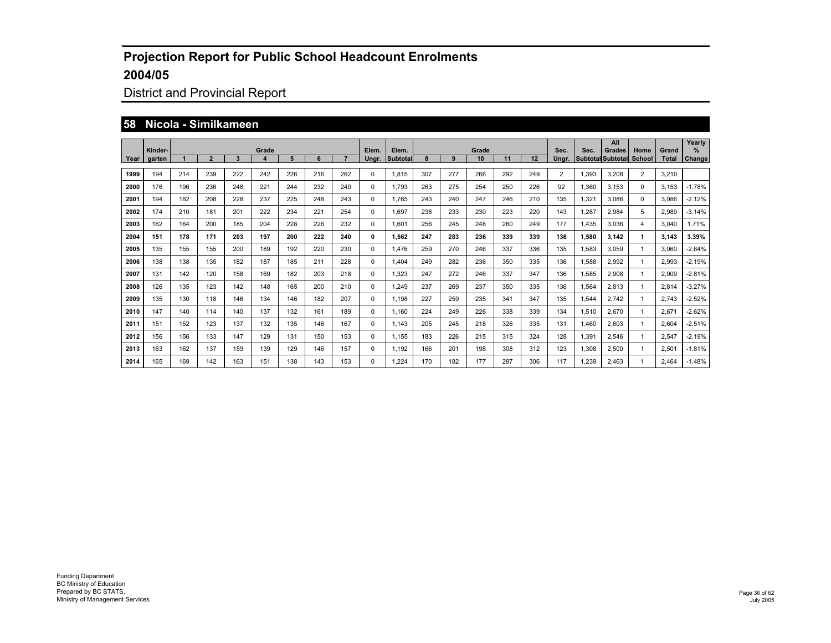## District and Provincial Report

#### **58 Nicola - Similkameen**

|      | Kinder- |     |                |     | Grade            |     |     |     | Elem. | Elem.    |     |     | Grade |     |     | Sec.           | Sec.  | All<br>Grades            | Home        | Grand        | Yearly<br>$\frac{9}{6}$ |
|------|---------|-----|----------------|-----|------------------|-----|-----|-----|-------|----------|-----|-----|-------|-----|-----|----------------|-------|--------------------------|-------------|--------------|-------------------------|
| Year | aarten  |     | $\overline{2}$ | 3   | $\boldsymbol{4}$ | 5   | 6   |     | Unar. | Subtotal |     | 9   | 10    | 11  | 12  | Unar.          |       | <b>Subtotal Subtotal</b> | School      | <b>Total</b> | Change                  |
| 1999 | 194     | 214 | 239            | 222 | 242              | 226 | 216 | 262 | 0     | 1.815    | 307 | 277 | 266   | 292 | 249 | $\overline{2}$ | 1,393 | 3.208                    | 2           | 3.210        |                         |
| 2000 | 176     | 196 | 236            | 248 | 221              | 244 | 232 | 240 | 0     | 1.793    | 263 | 275 | 254   | 250 | 226 | 92             | 1.360 | 3.153                    | $\mathbf 0$ | 3.153        | $-1.78%$                |
| 2001 | 194     | 182 | 208            | 228 | 237              | 225 | 248 | 243 | 0     | 1.765    | 243 | 240 | 247   | 246 | 210 | 135            | 1.321 | 3.086                    | $\mathbf 0$ | 3.086        | $-2.12%$                |
| 2002 | 174     | 210 | 181            | 201 | 222              | 234 | 221 | 254 | 0     | 1.697    | 238 | 233 | 230   | 223 | 220 | 143            | 1.287 | 2,984                    | 5           | 2.989        | $-3.14%$                |
| 2003 | 162     | 164 | 200            | 185 | 204              | 228 | 226 | 232 | 0     | 1.601    | 256 | 245 | 248   | 260 | 249 | 177            | 1.435 | 3,036                    | 4           | 3,040        | 1.71%                   |
| 2004 | 151     | 178 | 171            | 203 | 197              | 200 | 222 | 240 | 0     | 1,562    | 247 | 283 | 236   | 339 | 339 | 136            | 1,580 | 3,142                    | 1           | 3,143        | 3.39%                   |
| 2005 | 135     | 155 | 155            | 200 | 189              | 192 | 220 | 230 | 0     | 1.476    | 259 | 270 | 246   | 337 | 336 | 135            | 1.583 | 3.059                    | -1          | 3.060        | $-2.64%$                |
| 2006 | 138     | 138 | 135            | 182 | 187              | 185 | 211 | 228 | 0     | 1.404    | 249 | 282 | 236   | 350 | 335 | 136            | 1.588 | 2.992                    | -1          | 2.993        | $-2.19%$                |
| 2007 | 131     | 142 | 120            | 158 | 169              | 182 | 203 | 218 | 0     | 1.323    | 247 | 272 | 246   | 337 | 347 | 136            | 1.585 | 2.908                    | -1          | 2.909        | $-2.81%$                |
| 2008 | 126     | 135 | 123            | 142 | 148              | 165 | 200 | 210 | 0     | 1.249    | 237 | 269 | 237   | 350 | 335 | 136            | 1,564 | 2.813                    | -1          | 2.814        | $-3.27%$                |
| 2009 | 135     | 130 | 118            | 146 | 134              | 146 | 182 | 207 | 0     | 1.198    | 227 | 259 | 235   | 341 | 347 | 135            | 1,544 | 2.742                    | -1          | 2.743        | $-2.52%$                |
| 2010 | 147     | 140 | 114            | 140 | 137              | 132 | 161 | 189 | 0     | 1.160    | 224 | 249 | 226   | 338 | 339 | 134            | 1,510 | 2,670                    | -1          | 2,671        | $-2.62%$                |
| 2011 | 151     | 152 | 123            | 137 | 132              | 135 | 146 | 167 | 0     | 1.143    | 205 | 245 | 218   | 326 | 335 | 131            | 1.460 | 2,603                    | -1          | 2,604        | $-2.51%$                |
| 2012 | 156     | 156 | 133            | 147 | 129              | 131 | 150 | 153 | 0     | 1.155    | 183 | 226 | 215   | 315 | 324 | 128            | 1,391 | 2,546                    | -1          | 2,547        | $-2.19%$                |
| 2013 | 163     | 162 | 137            | 159 | 139              | 129 | 146 | 157 | 0     | 1.192    | 166 | 201 | 198   | 308 | 312 | 123            | 1,308 | 2,500                    | -1          | 2,501        | $-1.81%$                |
| 2014 | 165     | 169 | 142            | 163 | 151              | 138 | 143 | 153 | 0     | 1.224    | 170 | 182 | 177   | 287 | 306 | 117            | 1.239 | 2.463                    | -1          | 2.464        | $-1.48%$                |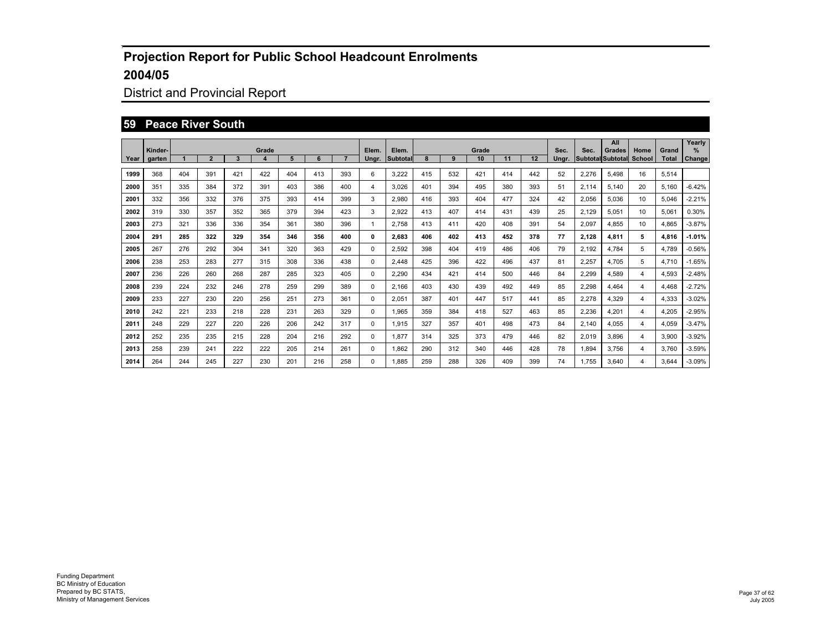## District and Provincial Report

#### **59 Peace River South**

|      | Kinder- |     |                |     | Grade |     |     |     | Elem.    | Elem.    |     |     | Grade |     |     | Sec.  | Sec.  | All<br>Grades            | Home           | Grand        | Yearly<br>%   |
|------|---------|-----|----------------|-----|-------|-----|-----|-----|----------|----------|-----|-----|-------|-----|-----|-------|-------|--------------------------|----------------|--------------|---------------|
| Year | garten  |     | $\overline{2}$ | 3   |       | 5   | 6   |     | Unar.    | Subtotal | 8   | 9   | 10    | 11  | 12  | Unar. |       | <b>Subtotal Subtotal</b> | School         | <b>Total</b> | <b>Change</b> |
| 1999 | 368     | 404 | 391            | 421 | 422   | 404 | 413 | 393 | 6        | 3,222    | 415 | 532 | 421   | 414 | 442 | 52    | 2,276 | 5,498                    | 16             | 5,514        |               |
| 2000 | 351     | 335 | 384            | 372 | 391   | 403 | 386 | 400 | 4        | 3.026    | 401 | 394 | 495   | 380 | 393 | 51    | 2,114 | 5.140                    | 20             | 5.160        | $-6.42%$      |
| 2001 | 332     | 356 | 332            | 376 | 375   | 393 | 414 | 399 | 3        | 2.980    | 416 | 393 | 404   | 477 | 324 | 42    | 2.056 | 5.036                    | 10             | 5.046        | $-2.21%$      |
| 2002 | 319     | 330 | 357            | 352 | 365   | 379 | 394 | 423 | 3        | 2.922    | 413 | 407 | 414   | 431 | 439 | 25    | 2.129 | 5.051                    | 10             | 5.061        | 0.30%         |
| 2003 | 273     | 321 | 336            | 336 | 354   | 361 | 380 | 396 | 1        | 2.758    | 413 | 411 | 420   | 408 | 391 | 54    | 2,097 | 4.855                    | 10             | 4,865        | $-3.87%$      |
| 2004 | 291     | 285 | 322            | 329 | 354   | 346 | 356 | 400 | 0        | 2,683    | 406 | 402 | 413   | 452 | 378 | 77    | 2.128 | 4,811                    | 5              | 4.816        | $-1.01%$      |
| 2005 | 267     | 276 | 292            | 304 | 341   | 320 | 363 | 429 | 0        | 2.592    | 398 | 404 | 419   | 486 | 406 | 79    | 2,192 | 4.784                    | 5              | 4.789        | $-0.56%$      |
| 2006 | 238     | 253 | 283            | 277 | 315   | 308 | 336 | 438 | 0        | 2.448    | 425 | 396 | 422   | 496 | 437 | 81    | 2.257 | 4.705                    | 5              | 4.710        | $-1.65%$      |
| 2007 | 236     | 226 | 260            | 268 | 287   | 285 | 323 | 405 | 0        | 2.290    | 434 | 421 | 414   | 500 | 446 | 84    | 2,299 | 4.589                    | 4              | 4,593        | $-2.48%$      |
| 2008 | 239     | 224 | 232            | 246 | 278   | 259 | 299 | 389 | 0        | 2.166    | 403 | 430 | 439   | 492 | 449 | 85    | 2,298 | 4.464                    | 4              | 4.468        | $-2.72%$      |
| 2009 | 233     | 227 | 230            | 220 | 256   | 251 | 273 | 361 | 0        | 2,051    | 387 | 401 | 447   | 517 | 441 | 85    | 2,278 | 4,329                    | $\overline{4}$ | 4,333        | $-3.02%$      |
| 2010 | 242     | 221 | 233            | 218 | 228   | 231 | 263 | 329 | 0        | 1.965    | 359 | 384 | 418   | 527 | 463 | 85    | 2,236 | 4.201                    | 4              | 4.205        | $-2.95%$      |
| 2011 | 248     | 229 | 227            | 220 | 226   | 206 | 242 | 317 | $\Omega$ | 1.915    | 327 | 357 | 401   | 498 | 473 | 84    | 2.140 | 4.055                    | 4              | 4.059        | $-3.47%$      |
| 2012 | 252     | 235 | 235            | 215 | 228   | 204 | 216 | 292 | $\Omega$ | 1.877    | 314 | 325 | 373   | 479 | 446 | 82    | 2,019 | 3.896                    | 4              | 3,900        | $-3.92%$      |
| 2013 | 258     | 239 | 241            | 222 | 222   | 205 | 214 | 261 | 0        | 1,862    | 290 | 312 | 340   | 446 | 428 | 78    | 1,894 | 3.756                    | 4              | 3,760        | $-3.59%$      |
| 2014 | 264     | 244 | 245            | 227 | 230   | 201 | 216 | 258 | 0        | 1.885    | 259 | 288 | 326   | 409 | 399 | 74    | 1.755 | 3.640                    | 4              | 3.644        | $-3.09%$      |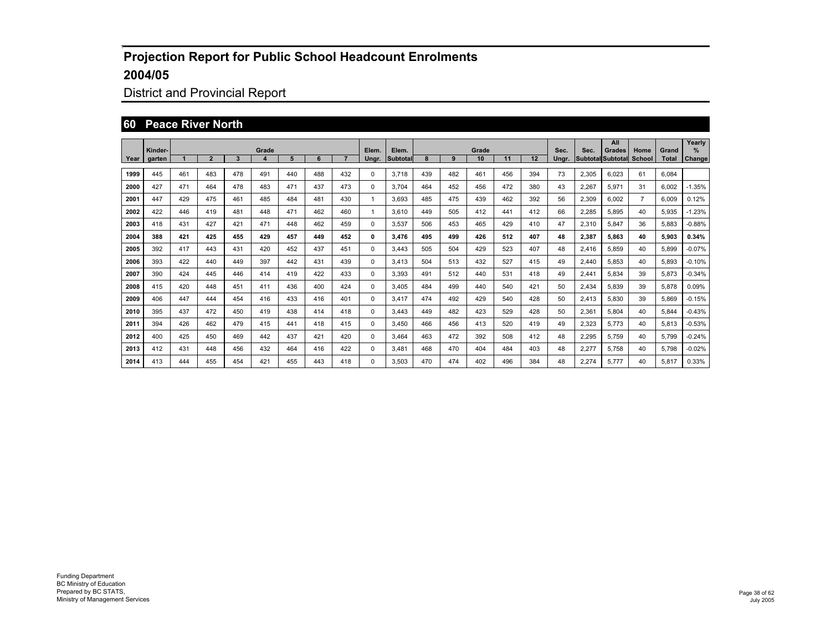## District and Provincial Report

#### **60 Peace River North**

|      | Kinder- |     |                |     | Grade |     |     |     | Elem. | Elem.    |     |     | Grade |     |     | Sec.  | Sec.                     | All<br>Grades | Home           | Grand | Yearly<br>$\%$ |
|------|---------|-----|----------------|-----|-------|-----|-----|-----|-------|----------|-----|-----|-------|-----|-----|-------|--------------------------|---------------|----------------|-------|----------------|
| Year | garten  |     | $\overline{2}$ | 3   | 4     | 5   | 6   |     | Unar. | Subtotal | 8   | 9   | 10    | 11  | 12  | Unar. | <b>Subtotal Subtotal</b> |               | <b>School</b>  | Total | Change         |
| 1999 | 445     | 461 | 483            | 478 | 491   | 440 | 488 | 432 | 0     | 3.718    | 439 | 482 | 461   | 456 | 394 | 73    | 2,305                    | 6.023         | 61             | 6.084 |                |
| 2000 | 427     | 471 | 464            | 478 | 483   | 471 | 437 | 473 | 0     | 3.704    | 464 | 452 | 456   | 472 | 380 | 43    | 2,267                    | 5,971         | 31             | 6,002 | $-1.35%$       |
| 2001 | 447     | 429 | 475            | 461 | 485   | 484 | 481 | 430 | 1     | 3.693    | 485 | 475 | 439   | 462 | 392 | 56    | 2,309                    | 6.002         | $\overline{7}$ | 6,009 | 0.12%          |
| 2002 | 422     | 446 | 419            | 481 | 448   | 471 | 462 | 460 |       | 3.610    | 449 | 505 | 412   | 441 | 412 | 66    | 2,285                    | 5,895         | 40             | 5,935 | $-1.23%$       |
| 2003 | 418     | 431 | 427            | 421 | 471   | 448 | 462 | 459 | 0     | 3.537    | 506 | 453 | 465   | 429 | 410 | 47    | 2,310                    | 5,847         | 36             | 5.883 | $-0.88%$       |
| 2004 | 388     | 421 | 425            | 455 | 429   | 457 | 449 | 452 | 0     | 3.476    | 495 | 499 | 426   | 512 | 407 | 48    | 2,387                    | 5.863         | 40             | 5.903 | 0.34%          |
| 2005 | 392     | 417 | 443            | 431 | 420   | 452 | 437 | 451 | 0     | 3.443    | 505 | 504 | 429   | 523 | 407 | 48    | 2.416                    | 5.859         | 40             | 5.899 | $-0.07%$       |
| 2006 | 393     | 422 | 440            | 449 | 397   | 442 | 431 | 439 | 0     | 3.413    | 504 | 513 | 432   | 527 | 415 | 49    | 2.440                    | 5.853         | 40             | 5.893 | $-0.10%$       |
| 2007 | 390     | 424 | 445            | 446 | 414   | 419 | 422 | 433 | 0     | 3.393    | 491 | 512 | 440   | 531 | 418 | 49    | 2.441                    | 5.834         | 39             | 5.873 | $-0.34%$       |
| 2008 | 415     | 420 | 448            | 451 | 411   | 436 | 400 | 424 | 0     | 3.405    | 484 | 499 | 440   | 540 | 421 | 50    | 2.434                    | 5.839         | 39             | 5.878 | 0.09%          |
| 2009 | 406     | 447 | 444            | 454 | 416   | 433 | 416 | 401 | 0     | 3.417    | 474 | 492 | 429   | 540 | 428 | 50    | 2,413                    | 5.830         | 39             | 5.869 | $-0.15%$       |
| 2010 | 395     | 437 | 472            | 450 | 419   | 438 | 414 | 418 | 0     | 3.443    | 449 | 482 | 423   | 529 | 428 | 50    | 2.361                    | 5.804         | 40             | 5.844 | $-0.43%$       |
| 2011 | 394     | 426 | 462            | 479 | 415   | 441 | 418 | 415 | 0     | 3.450    | 466 | 456 | 413   | 520 | 419 | 49    | 2.323                    | 5.773         | 40             | 5.813 | $-0.53%$       |
| 2012 | 400     | 425 | 450            | 469 | 442   | 437 | 421 | 420 | 0     | 3.464    | 463 | 472 | 392   | 508 | 412 | 48    | 2,295                    | 5.759         | 40             | 5,799 | $-0.24%$       |
| 2013 | 412     | 431 | 448            | 456 | 432   | 464 | 416 | 422 | 0     | 3,481    | 468 | 470 | 404   | 484 | 403 | 48    | 2,277                    | 5,758         | 40             | 5,798 | $-0.02%$       |
| 2014 | 413     | 444 | 455            | 454 | 421   | 455 | 443 | 418 | 0     | 3.503    | 470 | 474 | 402   | 496 | 384 | 48    | 2.274                    | 5.777         | 40             | 5.817 | 0.33%          |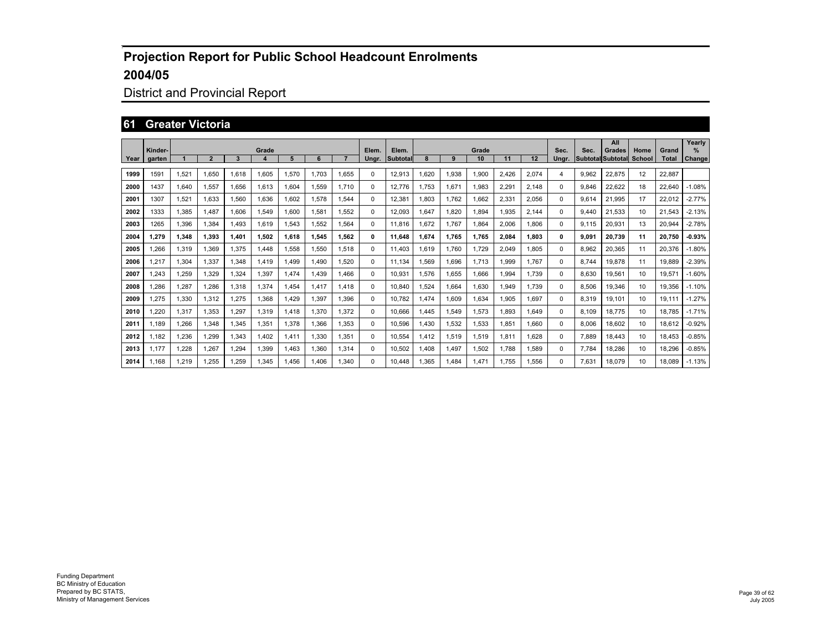## District and Provincial Report

#### **61 Greater Victoria**

|      | Kinder- |       |                |       | Grade |       |       |       | Elem. | Elem.           |             |       | Grade |       |       | Sec.     | Sec.  | All<br><b>Grades</b>     | Home   | Grand        | Yearly        |
|------|---------|-------|----------------|-------|-------|-------|-------|-------|-------|-----------------|-------------|-------|-------|-------|-------|----------|-------|--------------------------|--------|--------------|---------------|
| Year | garten  |       | $\overline{2}$ | 3     | 4     | 5     | 6     |       | Unar. | <b>Subtotal</b> |             | 9     | 10    | 11    | 12    | Unar.    |       | <b>Subtotal Subtotal</b> | School | <b>Total</b> | <b>Change</b> |
| 1999 | 1591    | 1,521 | 1.650          | 1.618 | 1,605 | 1,570 | 1.703 | 1,655 | 0     | 12,913          | .620        | 1,938 | 1,900 | 2,426 | 2,074 | 4        | 9,962 | 22,875                   | 12     | 22,887       |               |
| 2000 | 1437    | 1.640 | 1.557          | 1.656 | 1,613 | 1.604 | 1.559 | 1.710 | 0     | 12.776          | 1.753       | 1,671 | 1.983 | 2,291 | 2,148 | $\Omega$ | 9.846 | 22,622                   | 18     | 22.640       | $-1.08%$      |
| 2001 | 1307    | 1.521 | 1.633          | 1.560 | 1.636 | 1.602 | 1.578 | 1.544 | 0     | 12.381          | 1.803       | 1.762 | 1.662 | 2.331 | 2,056 | $\Omega$ | 9.614 | 21.995                   | 17     | 22.012       | $-2.77%$      |
| 2002 | 1333    | 1.385 | 1.487          | 1.606 | 1.549 | 1.600 | 1.581 | 1.552 | 0     | 12.093          | 1.647       | 1.820 | 1.894 | 1.935 | 2.144 | $\Omega$ | 9.440 | 21.533                   | 10     | 21.543       | $-2.13%$      |
| 2003 | 1265    | 1.396 | 1.384          | 1.493 | 1.619 | 1.543 | 1.552 | 1.564 | 0     | 11.816          | .672        | 1.767 | 1.864 | 2.006 | 1.806 | $\Omega$ | 9.115 | 20.931                   | 13     | 20.944       | $-2.78%$      |
| 2004 | 1,279   | 1.348 | 1.393          | 1,401 | 1.502 | 1.618 | 1.545 | 1,562 | 0     | 11.648          | 1.674       | 1.765 | 1.765 | 2.084 | 1,803 | 0        | 9.091 | 20.739                   | 11     | 20.750       | $-0.93%$      |
| 2005 | 1.266   | 1.319 | 1.369          | 1.375 | 1.448 | 1.558 | 1.550 | 1.518 | 0     | 11.403          | 1.619       | 1.760 | 1.729 | 2.049 | 1.805 | $\Omega$ | 8.962 | 20.365                   | 11     | 20.376       | $-1.80%$      |
| 2006 | 1.217   | 1.304 | 1.337          | 1.348 | 1.419 | 1.499 | 1.490 | 1.520 | 0     | 11.134          | .569        | 1.696 | 1.713 | 1.999 | 1.767 | $\Omega$ | 8.744 | 19.878                   | 11     | 19.889       | $-2.39%$      |
| 2007 | 1.243   | .259  | 1.329          | 1.324 | 1,397 | 1.474 | 1.439 | 1.466 | 0     | 10.931          | 1.576       | 1,655 | 1.666 | 1.994 | 1.739 | $\Omega$ | 8.630 | 19.561                   | 10     | 19.571       | $-1.60%$      |
| 2008 | 1,286   | 1.287 | 1.286          | 1.318 | 1,374 | 1.454 | 1.417 | 1.418 | 0     | 10.840          | .524        | 1,664 | 1.630 | 1.949 | 1.739 | $\Omega$ | 8.506 | 19.346                   | 10     | 19.356       | $-1.10%$      |
| 2009 | 1,275   | 1,330 | 1,312          | 1,275 | 1,368 | 1.429 | 1.397 | 1,396 | 0     | 10.782          | <b>.474</b> | 1,609 | 1,634 | 1,905 | 1,697 | $\Omega$ | 8,319 | 19,101                   | 10     | 19,111       | $-1.27%$      |
| 2010 | 1.220   | 1.317 | 1.353          | 1.297 | 1,319 | 1,418 | .370  | 1.372 | 0     | 10.666          | .445        | 1,549 | 1.573 | 1.893 | 1.649 | $\Omega$ | 8.109 | 18.775                   | 10     | 18.785       | $-1.71%$      |
| 2011 | 1.189   | .266  | 1.348          | 1.345 | 1.351 | 1.378 | .366  | 1.353 | 0     | 10.596          | .430        | 1,532 | 1.533 | 1.851 | 1.660 | $\Omega$ | 8.006 | 18.602                   | 10     | 18.612       | $-0.92%$      |
| 2012 | 1.182   | .236  | 1.299          | 1,343 | 1,402 | 1.411 | .330  | 1,351 | 0     | 10.554          | 1.412       | 1,519 | 1,519 | 1.811 | 1.628 | $\Omega$ | 7.889 | 18.443                   | 10     | 18.453       | $-0.85%$      |
| 2013 | 1.177   | .228  | 1.267          | .294  | 1,399 | 1.463 | .360  | 1,314 | 0     | 10,502          | 1.408       | 1,497 | 1,502 | 1.788 | 1,589 | 0        | 7.784 | 18,286                   | 10     | 18,296       | $-0.85%$      |
| 2014 | 1.168   | .219  | 1.255          | .259  | .345  | 1.456 | 1.406 | 1.340 | 0     | 10.448          | .365        | .484  | 1.471 | 1.755 | 1.556 | 0        | 7.631 | 18.079                   | 10     | 18.089       | $-1.13%$      |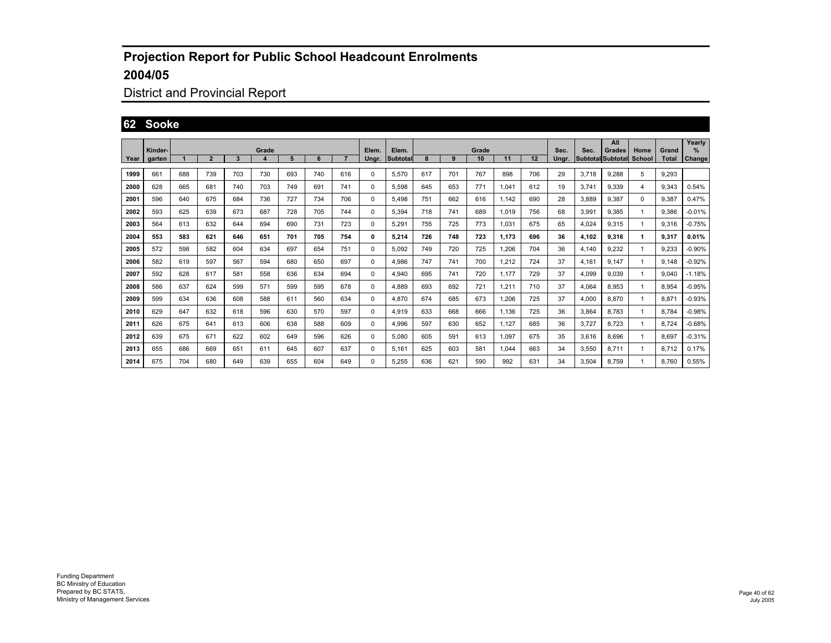## District and Provincial Report

#### **62 Sooke**

|      |                   |     |                |     |            |     |     |     |                |                   |     |     |             |       |     |               |       | All                                |                       |                       | Yearly      |
|------|-------------------|-----|----------------|-----|------------|-----|-----|-----|----------------|-------------------|-----|-----|-------------|-------|-----|---------------|-------|------------------------------------|-----------------------|-----------------------|-------------|
| Year | Kinder-<br>garten |     | $\overline{2}$ | 3   | Grade<br>4 | 5   | 6   |     | Elem.<br>Ungr. | Elem.<br>Subtotal |     | 9   | Grade<br>10 | 11    | 12  | Sec.<br>Ungr. | Sec.  | Grades<br><b>Subtotal Subtotal</b> | Home<br><b>School</b> | Grand<br><b>Total</b> | ℅<br>Change |
|      |                   |     |                |     |            |     |     |     |                |                   |     |     |             |       |     |               |       |                                    |                       |                       |             |
| 1999 | 661               | 688 | 739            | 703 | 730        | 693 | 740 | 616 | 0              | 5,570             | 617 | 701 | 767         | 898   | 706 | 29            | 3.718 | 9.288                              | 5                     | 9,293                 |             |
| 2000 | 628               | 665 | 681            | 740 | 703        | 749 | 691 | 741 | 0              | 5,598             | 645 | 653 | 771         | 1,041 | 612 | 19            | 3.741 | 9,339                              | 4                     | 9,343                 | 0.54%       |
| 2001 | 596               | 640 | 675            | 684 | 736        | 727 | 734 | 706 | 0              | 5.498             | 751 | 662 | 616         | 1.142 | 690 | 28            | 3.889 | 9.387                              | 0                     | 9.387                 | 0.47%       |
| 2002 | 593               | 625 | 639            | 673 | 687        | 728 | 705 | 744 | 0              | 5.394             | 718 | 741 | 689         | 1.019 | 756 | 68            | 3,991 | 9.385                              |                       | 9.386                 | $-0.01%$    |
| 2003 | 564               | 613 | 632            | 644 | 694        | 690 | 731 | 723 | 0              | 5.291             | 755 | 725 | 773         | 1.031 | 675 | 65            | 4.024 | 9.315                              | -1                    | 9.316                 | $-0.75%$    |
| 2004 | 553               | 583 | 621            | 646 | 651        | 701 | 705 | 754 | 0              | 5.214             | 726 | 748 | 723         | 1.173 | 696 | 36            | 4.102 | 9.316                              | 1                     | 9.317                 | 0.01%       |
| 2005 | 572               | 598 | 582            | 604 | 634        | 697 | 654 | 751 | 0              | 5,092             | 749 | 720 | 725         | 1,206 | 704 | 36            | 4.140 | 9.232                              | -1                    | 9,233                 | $-0.90\%$   |
| 2006 | 582               | 619 | 597            | 567 | 594        | 680 | 650 | 697 | 0              | 4,986             | 747 | 741 | 700         | 1,212 | 724 | 37            | 4.161 | 9.147                              | -1                    | 9.148                 | $-0.92%$    |
| 2007 | 592               | 628 | 617            | 581 | 558        | 636 | 634 | 694 | 0              | 4,940             | 695 | 741 | 720         | 1.177 | 729 | 37            | 4,099 | 9.039                              | -1                    | 9.040                 | $-1.18%$    |
| 2008 | 586               | 637 | 624            | 599 | 571        | 599 | 595 | 678 | 0              | 4,889             | 693 | 692 | 721         | 1,211 | 710 | 37            | 4,064 | 8.953                              | -1                    | 8,954                 | $-0.95%$    |
| 2009 | 599               | 634 | 636            | 608 | 588        | 611 | 560 | 634 | 0              | 4,870             | 674 | 685 | 673         | 1,206 | 725 | 37            | 4,000 | 8.870                              | -1                    | 8.871                 | $-0.93%$    |
| 2010 | 629               | 647 | 632            | 618 | 596        | 630 | 570 | 597 | 0              | 4,919             | 633 | 668 | 666         | 1.136 | 725 | 36            | 3,864 | 8.783                              |                       | 8.784                 | $-0.98%$    |
| 2011 | 626               | 675 | 641            | 613 | 606        | 638 | 588 | 609 | 0              | 4,996             | 597 | 630 | 652         | 1.127 | 685 | 36            | 3.727 | 8.723                              | -1                    | 8.724                 | $-0.68%$    |
| 2012 | 639               | 675 | 671            | 622 | 602        | 649 | 596 | 626 | $\Omega$       | 5.080             | 605 | 591 | 613         | 1.097 | 675 | 35            | 3.616 | 8.696                              | 1                     | 8.697                 | $-0.31%$    |
| 2013 | 655               | 686 | 669            | 651 | 611        | 645 | 607 | 637 | 0              | 5,161             | 625 | 603 | 581         | 1.044 | 663 | 34            | 3,550 | 8.711                              | 1                     | 8.712                 | 0.17%       |
| 2014 | 675               | 704 | 680            | 649 | 639        | 655 | 604 | 649 | $\Omega$       | 5.255             | 636 | 621 | 590         | 992   | 631 | 34            | 3.504 | 8.759                              |                       | 8.760                 | 0.55%       |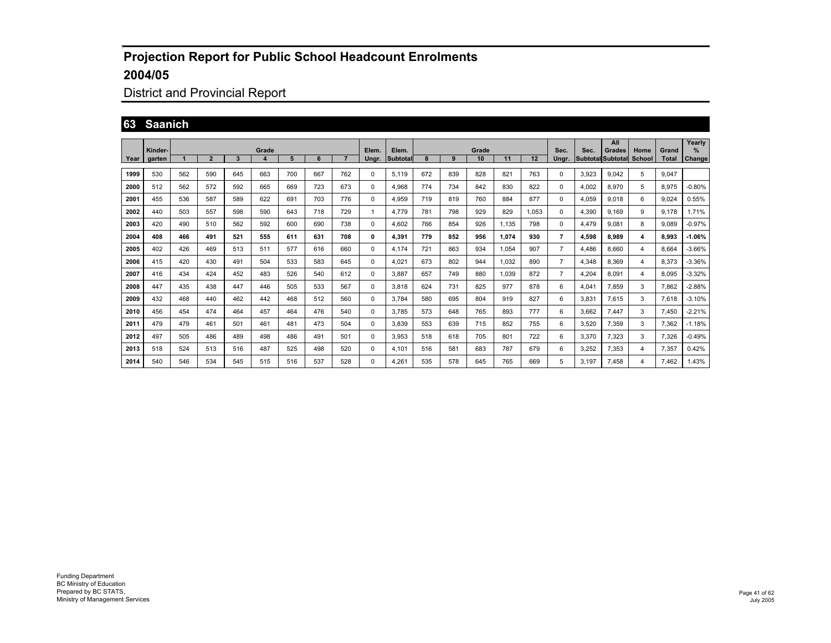## District and Provincial Report

#### **63 Saanich**

|      |                   |     |                |     |            |     |     |     |                |                   |     |     |             |       |       |                |       | All                                |                       |                       | Yearly      |
|------|-------------------|-----|----------------|-----|------------|-----|-----|-----|----------------|-------------------|-----|-----|-------------|-------|-------|----------------|-------|------------------------------------|-----------------------|-----------------------|-------------|
| Year | Kinder-<br>garten |     | $\overline{2}$ | 3   | Grade<br>4 | 5   | 6   |     | Elem.<br>Ungr. | Elem.<br>Subtotal |     | 9   | Grade<br>10 | 11    | 12    | Sec.<br>Ungr.  | Sec.  | Grades<br><b>Subtotal Subtotal</b> | Home<br><b>School</b> | Grand<br><b>Total</b> | ℅<br>Change |
|      |                   |     |                |     |            |     |     |     |                |                   |     |     |             |       |       |                |       |                                    |                       |                       |             |
| 1999 | 530               | 562 | 590            | 645 | 663        | 700 | 667 | 762 | 0              | 5,119             | 672 | 839 | 828         | 821   | 763   | 0              | 3,923 | 9.042                              | 5                     | 9.047                 |             |
| 2000 | 512               | 562 | 572            | 592 | 665        | 669 | 723 | 673 | 0              | 4,968             | 774 | 734 | 842         | 830   | 822   | 0              | 4,002 | 8,970                              | 5                     | 8,975                 | $-0.80%$    |
| 2001 | 455               | 536 | 587            | 589 | 622        | 691 | 703 | 776 | 0              | 4.959             | 719 | 819 | 760         | 884   | 877   | 0              | 4.059 | 9.018                              | 6                     | 9.024                 | 0.55%       |
| 2002 | 440               | 503 | 557            | 598 | 590        | 643 | 718 | 729 | $\mathbf{1}$   | 4.779             | 781 | 798 | 929         | 829   | 1.053 | 0              | 4,390 | 9.169                              | 9                     | 9,178                 | 1.71%       |
| 2003 | 420               | 490 | 510            | 562 | 592        | 600 | 690 | 738 | $\Omega$       | 4.602             | 766 | 854 | 926         | 1.135 | 798   | 0              | 4.479 | 9.081                              | 8                     | 9.089                 | $-0.97%$    |
| 2004 | 408               | 466 | 491            | 521 | 555        | 611 | 631 | 708 | 0              | 4.391             | 779 | 852 | 956         | 1.074 | 930   | 7              | 4.598 | 8.989                              | 4                     | 8.993                 | $-1.06%$    |
| 2005 | 402               | 426 | 469            | 513 | 511        | 577 | 616 | 660 | 0              | 4.174             | 721 | 863 | 934         | 1.054 | 907   | $\overline{7}$ | 4,486 | 8.660                              | $\overline{4}$        | 8.664                 | $-3.66%$    |
| 2006 | 415               | 420 | 430            | 491 | 504        | 533 | 583 | 645 | 0              | 4,021             | 673 | 802 | 944         | 1.032 | 890   | $\overline{7}$ | 4,348 | 8.369                              | $\overline{4}$        | 8,373                 | $-3.36%$    |
| 2007 | 416               | 434 | 424            | 452 | 483        | 526 | 540 | 612 | 0              | 3,887             | 657 | 749 | 880         | 1.039 | 872   | $\overline{7}$ | 4,204 | 8.091                              | $\overline{4}$        | 8.095                 | $-3.32%$    |
| 2008 | 447               | 435 | 438            | 447 | 446        | 505 | 533 | 567 | 0              | 3,818             | 624 | 731 | 825         | 977   | 878   | 6              | 4,041 | 7.859                              | 3                     | 7.862                 | $-2.88%$    |
| 2009 | 432               | 468 | 440            | 462 | 442        | 468 | 512 | 560 | 0              | 3.784             | 580 | 695 | 804         | 919   | 827   | 6              | 3,831 | 7,615                              | 3                     | 7,618                 | $-3.10%$    |
| 2010 | 456               | 454 | 474            | 464 | 457        | 464 | 476 | 540 | 0              | 3.785             | 573 | 648 | 765         | 893   | 777   | 6              | 3.662 | 7.447                              | 3                     | 7.450                 | $-2.21%$    |
| 2011 | 479               | 479 | 461            | 501 | 461        | 481 | 473 | 504 | $\Omega$       | 3.839             | 553 | 639 | 715         | 852   | 755   | 6              | 3.520 | 7.359                              | 3                     | 7.362                 | $-1.18%$    |
| 2012 | 497               | 505 | 486            | 489 | 498        | 486 | 491 | 501 | $\Omega$       | 3,953             | 518 | 618 | 705         | 801   | 722   | 6              | 3.370 | 7.323                              | 3                     | 7.326                 | $-0.49%$    |
| 2013 | 518               | 524 | 513            | 516 | 487        | 525 | 498 | 520 | $\Omega$       | 4.101             | 516 | 581 | 683         | 787   | 679   | 6              | 3,252 | 7,353                              | $\overline{4}$        | 7,357                 | 0.42%       |
| 2014 | 540               | 546 | 534            | 545 | 515        | 516 | 537 | 528 | 0              | 4.261             | 535 | 578 | 645         | 765   | 669   | 5              | 3.197 | 7.458                              | 4                     | 7.462                 | 1.43%       |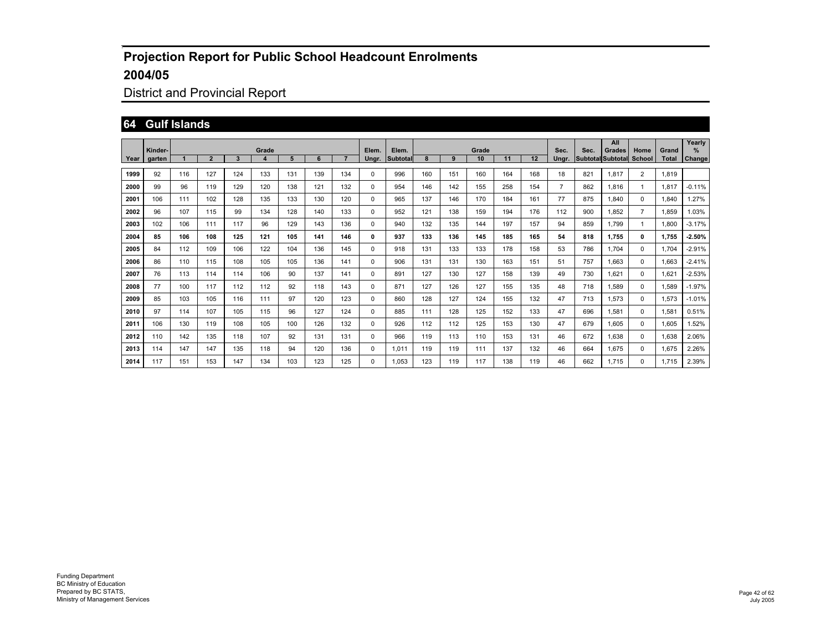## District and Provincial Report

#### **64 Gulf Islands**

|        |                   |     |                |     |            |     |     |     |                |                   |     |     |             |     |     |                |      | All                                |                |                       | Yearly                |
|--------|-------------------|-----|----------------|-----|------------|-----|-----|-----|----------------|-------------------|-----|-----|-------------|-----|-----|----------------|------|------------------------------------|----------------|-----------------------|-----------------------|
| Year I | Kinder-<br>garten |     | $\overline{2}$ | 3   | Grade<br>4 | 5   | 6   |     | Elem.<br>Ungr. | Elem.<br>Subtotal | 8   | 9   | Grade<br>10 | 11  | 12  | Sec.<br>Ungr.  | Sec. | Grades<br><b>Subtotal Subtotal</b> | Home<br>School | Grand<br><b>Total</b> | $\%$<br><b>Change</b> |
| 1999   | 92                | 116 | 127            | 124 | 133        | 131 | 139 | 134 | 0              | 996               | 160 | 151 | 160         | 164 | 168 | 18             | 821  | 1,817                              | $\overline{2}$ | 1,819                 |                       |
| 2000   | 99                | 96  | 119            | 129 | 120        | 138 | 121 | 132 | 0              | 954               | 146 | 142 | 155         | 258 | 154 | $\overline{7}$ | 862  | 1.816                              | -1             | 1,817                 | $-0.11%$              |
| 2001   | 106               | 111 | 102            | 128 | 135        | 133 | 130 | 120 | 0              | 965               | 137 | 146 | 170         | 184 | 161 | 77             | 875  | 1.840                              | 0              | 1.840                 | 1.27%                 |
| 2002   | 96                | 107 | 115            | 99  | 134        | 128 | 140 | 133 | 0              | 952               | 121 | 138 | 159         | 194 | 176 | 112            | 900  | 1.852                              | $\overline{7}$ | 1,859                 | 1.03%                 |
| 2003   | 102               | 106 | 111            | 117 | 96         | 129 | 143 | 136 | 0              | 940               | 132 | 135 | 144         | 197 | 157 | 94             | 859  | 1.799                              | -1             | 1.800                 | $-3.17%$              |
| 2004   | 85                | 106 | 108            | 125 | 121        | 105 | 141 | 146 | 0              | 937               | 133 | 136 | 145         | 185 | 165 | 54             | 818  | 1.755                              | 0              | 1.755                 | $-2.50%$              |
| 2005   | 84                | 112 | 109            | 106 | 122        | 104 | 136 | 145 | 0              | 918               | 131 | 133 | 133         | 178 | 158 | 53             | 786  | 1.704                              | 0              | 1.704                 | $-2.91%$              |
| 2006   | 86                | 110 | 115            | 108 | 105        | 105 | 136 | 141 | 0              | 906               | 131 | 131 | 130         | 163 | 151 | 51             | 757  | 1.663                              | 0              | 1.663                 | $-2.41%$              |
| 2007   | 76                | 113 | 114            | 114 | 106        | 90  | 137 | 141 | 0              | 891               | 127 | 130 | 127         | 158 | 139 | 49             | 730  | 1.621                              | 0              | 1,621                 | $-2.53%$              |
| 2008   | 77                | 100 | 117            | 112 | 112        | 92  | 118 | 143 | 0              | 871               | 127 | 126 | 127         | 155 | 135 | 48             | 718  | 1.589                              | 0              | 1,589                 | $-1.97%$              |
| 2009   | 85                | 103 | 105            | 116 | 111        | 97  | 120 | 123 | 0              | 860               | 128 | 127 | 124         | 155 | 132 | 47             | 713  | 1.573                              | 0              | 1,573                 | $-1.01%$              |
| 2010   | 97                | 114 | 107            | 105 | 115        | 96  | 127 | 124 | 0              | 885               | 111 | 128 | 125         | 152 | 133 | 47             | 696  | 1,581                              | 0              | 1,581                 | 0.51%                 |
| 2011   | 106               | 130 | 119            | 108 | 105        | 100 | 126 | 132 | 0              | 926               | 112 | 112 | 125         | 153 | 130 | 47             | 679  | 1.605                              | 0              | 1,605                 | .52%                  |
| 2012   | 110               | 142 | 135            | 118 | 107        | 92  | 131 | 131 | 0              | 966               | 119 | 113 | 110         | 153 | 131 | 46             | 672  | 1.638                              | 0              | 1,638                 | 2.06%                 |
| 2013   | 114               | 147 | 147            | 135 | 118        | 94  | 120 | 136 | 0              | 1,011             | 119 | 119 | 111         | 137 | 132 | 46             | 664  | 1,675                              | 0              | 1,675                 | 2.26%                 |
| 2014   | 117               | 151 | 153            | 147 | 134        | 103 | 123 | 125 | 0              | 1.053             | 123 | 119 | 117         | 138 | 119 | 46             | 662  | 1.715                              | 0              | 1.715                 | 2.39%                 |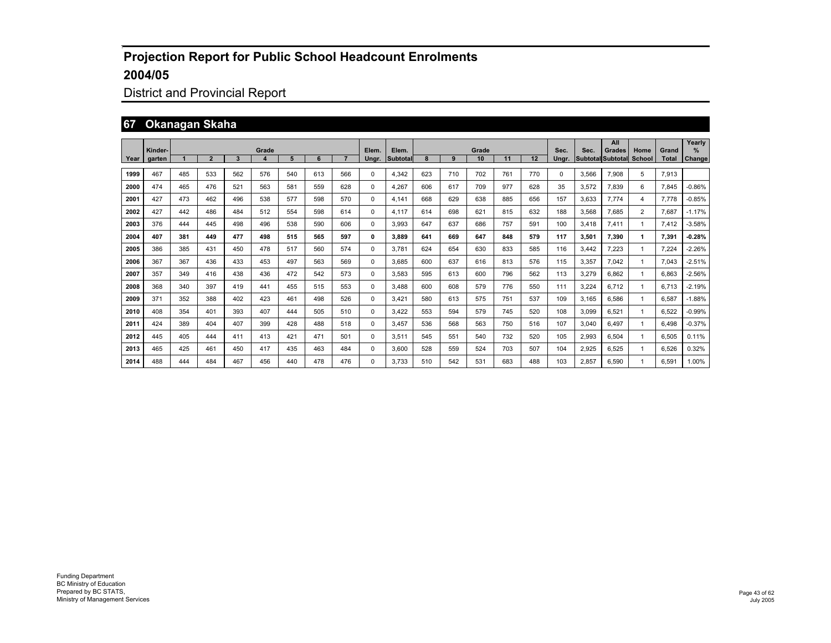## District and Provincial Report

#### **67 Okanagan Skaha**

|      | Kinder- |     |                |     | Grade            |     |     |     | Elem. | Elem.    |     |     | Grade |     |     | Sec.     | Sec.  | All<br>Grades            | Home           | Grand        | Yearly<br>$\frac{9}{6}$ |
|------|---------|-----|----------------|-----|------------------|-----|-----|-----|-------|----------|-----|-----|-------|-----|-----|----------|-------|--------------------------|----------------|--------------|-------------------------|
| Year | aarten  |     | $\overline{2}$ | 3   | $\boldsymbol{4}$ | 5   | 6   |     | Unar. | Subtotal |     | 9   | 10    | 11  | 12  | Unar.    |       | <b>Subtotal Subtotal</b> | <b>School</b>  | <b>Total</b> | Change                  |
| 1999 | 467     | 485 | 533            | 562 | 576              | 540 | 613 | 566 | 0     | 4.342    | 623 | 710 | 702   | 761 | 770 | $\Omega$ | 3.566 | 7,908                    | 5              | 7,913        |                         |
| 2000 | 474     | 465 | 476            | 521 | 563              | 581 | 559 | 628 | 0     | 4.267    | 606 | 617 | 709   | 977 | 628 | 35       | 3.572 | 7.839                    | 6              | 7.845        | $-0.86%$                |
| 2001 | 427     | 473 | 462            | 496 | 538              | 577 | 598 | 570 | 0     | 4.141    | 668 | 629 | 638   | 885 | 656 | 157      | 3.633 | 7.774                    | 4              | 7.778        | $-0.85%$                |
| 2002 | 427     | 442 | 486            | 484 | 512              | 554 | 598 | 614 | 0     | 4.117    | 614 | 698 | 621   | 815 | 632 | 188      | 3.568 | 7.685                    | $\overline{2}$ | 7.687        | $-1.17%$                |
| 2003 | 376     | 444 | 445            | 498 | 496              | 538 | 590 | 606 | 0     | 3,993    | 647 | 637 | 686   | 757 | 591 | 100      | 3.418 | 7,411                    | -1             | 7.412        | $-3.58%$                |
| 2004 | 407     | 381 | 449            | 477 | 498              | 515 | 565 | 597 | 0     | 3.889    | 641 | 669 | 647   | 848 | 579 | 117      | 3,501 | 7,390                    | 1              | 7,391        | $-0.28%$                |
| 2005 | 386     | 385 | 431            | 450 | 478              | 517 | 560 | 574 | 0     | 3.781    | 624 | 654 | 630   | 833 | 585 | 116      | 3.442 | 7.223                    | -1             | 7.224        | $-2.26%$                |
| 2006 | 367     | 367 | 436            | 433 | 453              | 497 | 563 | 569 | 0     | 3.685    | 600 | 637 | 616   | 813 | 576 | 115      | 3.357 | 7.042                    | -1             | 7.043        | $-2.51%$                |
| 2007 | 357     | 349 | 416            | 438 | 436              | 472 | 542 | 573 | 0     | 3.583    | 595 | 613 | 600   | 796 | 562 | 113      | 3.279 | 6.862                    | -1             | 6.863        | $-2.56%$                |
| 2008 | 368     | 340 | 397            | 419 | 441              | 455 | 515 | 553 | 0     | 3.488    | 600 | 608 | 579   | 776 | 550 | 111      | 3.224 | 6.712                    | -1             | 6.713        | $-2.19%$                |
| 2009 | 371     | 352 | 388            | 402 | 423              | 461 | 498 | 526 | 0     | 3.421    | 580 | 613 | 575   | 751 | 537 | 109      | 3.165 | 6.586                    | -1             | 6.587        | $-1.88%$                |
| 2010 | 408     | 354 | 401            | 393 | 407              | 444 | 505 | 510 | 0     | 3.422    | 553 | 594 | 579   | 745 | 520 | 108      | 3.099 | 6,521                    | 1              | 6,522        | $-0.99%$                |
| 2011 | 424     | 389 | 404            | 407 | 399              | 428 | 488 | 518 | 0     | 3.457    | 536 | 568 | 563   | 750 | 516 | 107      | 3,040 | 6.497                    | -1             | 6.498        | $-0.37%$                |
| 2012 | 445     | 405 | 444            | 411 | 413              | 421 | 471 | 501 | 0     | 3,511    | 545 | 551 | 540   | 732 | 520 | 105      | 2,993 | 6,504                    | -1             | 6,505        | 0.11%                   |
| 2013 | 465     | 425 | 461            | 450 | 417              | 435 | 463 | 484 | 0     | 3,600    | 528 | 559 | 524   | 703 | 507 | 104      | 2,925 | 6,525                    | 1              | 6,526        | 0.32%                   |
| 2014 | 488     | 444 | 484            | 467 | 456              | 440 | 478 | 476 | 0     | 3.733    | 510 | 542 | 531   | 683 | 488 | 103      | 2.857 | 6.590                    | -1             | 6.591        | 1.00%                   |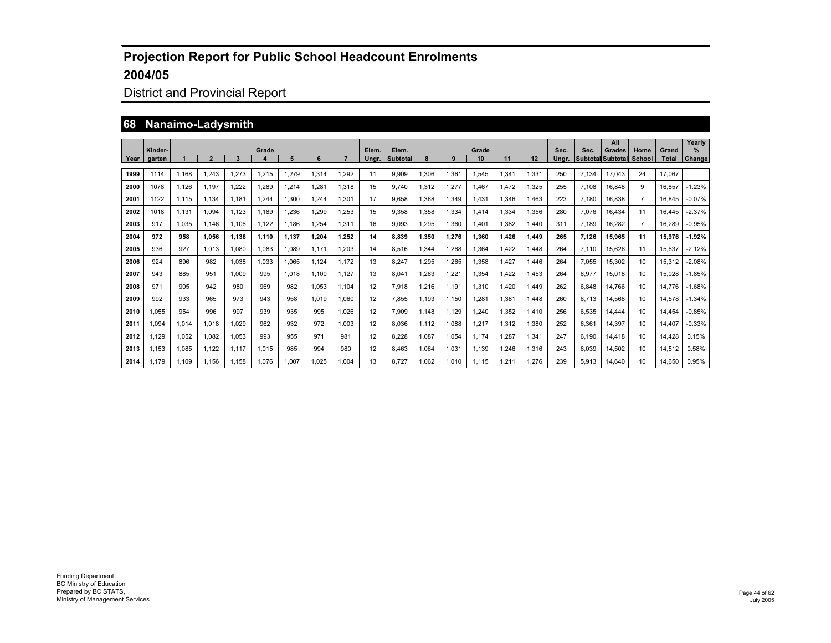## District and Provincial Report

#### **68 Nanaimo-Ladysmith**

|      | Kinder- |       |                |       | Grade                   |       |       |       | Elem.             | Elem.           |       |       | Grade |       |       | Sec.  | Sec.  | All<br>Grades            | Home           | Grand        | Yearly<br>%   |
|------|---------|-------|----------------|-------|-------------------------|-------|-------|-------|-------------------|-----------------|-------|-------|-------|-------|-------|-------|-------|--------------------------|----------------|--------------|---------------|
| Year | garten  |       | $\overline{2}$ | 3     | $\overline{\mathbf{4}}$ | 5     | 6     |       | Unar.             | <b>Subtotal</b> |       | 9     | 10    | 11    | 12    | Unar. |       | <b>Subtotal Subtotal</b> | School         | <b>Total</b> | <b>Change</b> |
| 1999 | 1114    | 1.168 | 1.243          | 1.273 | 1,215                   | 1,279 | 1.314 | 1,292 | 11                | 9,909           | 1,306 | 1,361 | 1,545 | 1,341 | 1,331 | 250   | 7.134 | 17,043                   | 24             | 17.067       |               |
| 2000 | 1078    | 1.126 | 1.197          | 1.222 | 1,289                   | 1,214 | .281  | 1,318 | 15                | 9.740           | 1,312 | 1,277 | 1.467 | 1.472 | 1.325 | 255   | 7.108 | 16.848                   | 9              | 16.857       | $-1.23%$      |
| 2001 | 1122    | 1,115 | 1.134          | 1.181 | 1.244                   | 1.300 | .244  | 1.301 | 17                | 9.658           | 1.368 | 1.349 | 1.431 | 1.346 | 1.463 | 223   | 7.180 | 16.838                   | $\overline{7}$ | 16.845       | $-0.07%$      |
| 2002 | 1018    | 1.131 | 1.094          | 1.123 | 1.189                   | 1.236 | .299  | 1.253 | 15                | 9.358           | 1.358 | 1.334 | 1.414 | 1.334 | 1.356 | 280   | 7.076 | 16.434                   | 11             | 16.445       | $-2.37%$      |
| 2003 | 917     | 1.035 | 1.146          | 1.106 | 1.122                   | 1.186 | .254  | 1,311 | 16                | 9.093           | .295  | 1,360 | 1.401 | 1.382 | 1.440 | 311   | 7.189 | 16.282                   | $\overline{7}$ | 16.289       | $-0.95%$      |
| 2004 | 972     | 958   | 1.056          | 1.136 | 1.110                   | 1.137 | 1.204 | 1.252 | 14                | 8.839           | 1.350 | 1,276 | 1.360 | 1.426 | 1,449 | 265   | 7.126 | 15,965                   | 11             | 15.976       | $-1.92%$      |
| 2005 | 936     | 927   | 1.013          | 1.080 | 1.083                   | 1.089 | 1.171 | 1.203 | 14                | 8.516           | .344  | 1.268 | 1.364 | .422  | 1.448 | 264   | 7.110 | 15.626                   | 11             | 15.637       | $-2.12%$      |
| 2006 | 924     | 896   | 982            | 1.038 | 1.033                   | 1.065 | 1.124 | 1.172 | 13                | 8.247           | .295  | 1.265 | 1.358 | .427  | 1.446 | 264   | 7.055 | 15.302                   | 10             | 15.312       | $-2.08%$      |
| 2007 | 943     | 885   | 951            | 1.009 | 995                     | 1.018 | 1.100 | 1.127 | 13                | 8.041           | .263  | 1,221 | 1.354 | .422  | 1.453 | 264   | 6,977 | 15.018                   | 10             | 15.028       | $-1.85%$      |
| 2008 | 971     | 905   | 942            | 980   | 969                     | 982   | 1.053 | 1,104 | 12                | 7.918           | .216  | 1.191 | 1.310 | .420  | 1.449 | 262   | 6.848 | 14.766                   | 10             | 14.776       | $-1.68%$      |
| 2009 | 992     | 933   | 965            | 973   | 943                     | 958   | 1.019 | 1,060 | $12 \overline{ }$ | 7.855           | 1,193 | 1,150 | 1,281 | 1,381 | 1.448 | 260   | 6.713 | 14,568                   | 10             | 14,578       | $-1.34%$      |
| 2010 | 1.055   | 954   | 996            | 997   | 939                     | 935   | 995   | 1.026 | $12 \overline{ }$ | 7.909           | 1.148 | 1.129 | 1.240 | 1.352 | 1.410 | 256   | 6.535 | 14.444                   | 10             | 14.454       | $-0.85%$      |
| 2011 | 1.094   | 1.014 | 1.018          | 1.029 | 962                     | 932   | 972   | 1.003 | 12                | 8.036           | 1.112 | 1.088 | 1.217 | 1.312 | 1.380 | 252   | 6.361 | 14.397                   | 10             | 14.407       | $-0.33%$      |
| 2012 | 1.129   | 1.052 | 1.082          | 1.053 | 993                     | 955   | 971   | 981   | 12                | 8.228           | 1.087 | 1,054 | 1.174 | .287  | 1,341 | 247   | 6.190 | 14.418                   | 10             | 14,428       | 0.15%         |
| 2013 | 1,153   | 1,085 | 1.122          | 1.117 | 1,015                   | 985   | 994   | 980   | 12                | 8.463           | 1.064 | 1,031 | 1,139 | .246  | 1,316 | 243   | 6,039 | 14,502                   | 10             | 14,512       | 0.58%         |
| 2014 | 1.179   | 1.109 | 1.156          | 1.158 | 1.076                   | 1.007 | 1.025 | 1.004 | 13                | 8.727           | 1.062 | 1,010 | 1.115 | .211  | 1.276 | 239   | 5.913 | 14.640                   | 10             | 14.650       | 0.95%         |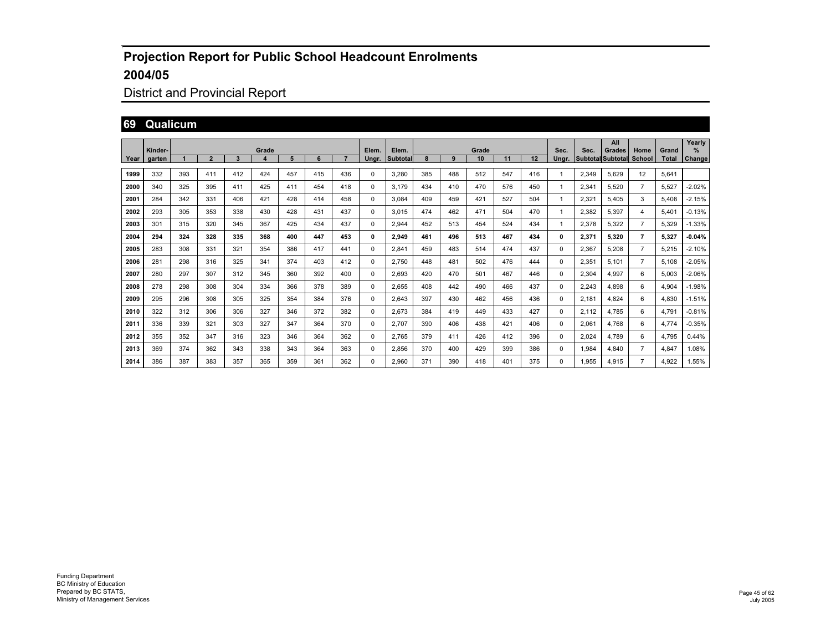## District and Provincial Report

#### **69 Qualicum**

|      |         |     |                |     |       |     |     |     |          |          |     |     |       |     |     |       |       | All                      |                |              | Yearly   |
|------|---------|-----|----------------|-----|-------|-----|-----|-----|----------|----------|-----|-----|-------|-----|-----|-------|-------|--------------------------|----------------|--------------|----------|
|      | Kinder- |     |                |     | Grade |     |     |     | Elem.    | Elem.    |     |     | Grade |     |     | Sec.  | Sec.  | Grades                   | Home           | Grand        | $\%$     |
| Year | garten  |     | $\overline{2}$ | 3   | 4     | 5   | 6   |     | Unar.    | Subtotal | 8   | 9   | 10    | 11  | 12  | Ungr. |       | <b>Subtotal Subtotal</b> | School         | <b>Total</b> | Change   |
| 1999 | 332     | 393 | 411            | 412 | 424   | 457 | 415 | 436 | 0        | 3,280    | 385 | 488 | 512   | 547 | 416 |       | 2,349 | 5,629                    | 12             | 5,641        |          |
| 2000 | 340     | 325 | 395            | 411 | 425   | 411 | 454 | 418 | 0        | 3.179    | 434 | 410 | 470   | 576 | 450 |       | 2,341 | 5,520                    | $\overline{7}$ | 5,527        | $-2.02%$ |
| 2001 | 284     | 342 | 331            | 406 | 421   | 428 | 414 | 458 | 0        | 3.084    | 409 | 459 | 421   | 527 | 504 |       | 2,321 | 5.405                    | 3              | 5.408        | $-2.15%$ |
| 2002 | 293     | 305 | 353            | 338 | 430   | 428 | 431 | 437 | 0        | 3.015    | 474 | 462 | 471   | 504 | 470 |       | 2,382 | 5,397                    | 4              | 5,401        | $-0.13%$ |
| 2003 | 301     | 315 | 320            | 345 | 367   | 425 | 434 | 437 | 0        | 2.944    | 452 | 513 | 454   | 524 | 434 |       | 2,378 | 5,322                    | $\overline{7}$ | 5.329        | $-1.33%$ |
| 2004 | 294     | 324 | 328            | 335 | 368   | 400 | 447 | 453 | 0        | 2,949    | 461 | 496 | 513   | 467 | 434 | 0     | 2,371 | 5.320                    | $\overline{7}$ | 5.327        | $-0.04%$ |
| 2005 | 283     | 308 | 331            | 321 | 354   | 386 | 417 | 441 | 0        | 2,841    | 459 | 483 | 514   | 474 | 437 | 0     | 2,367 | 5,208                    | $\overline{7}$ | 5,215        | $-2.10%$ |
| 2006 | 281     | 298 | 316            | 325 | 341   | 374 | 403 | 412 | 0        | 2.750    | 448 | 481 | 502   | 476 | 444 | 0     | 2,351 | 5.101                    | $\overline{7}$ | 5.108        | $-2.05%$ |
| 2007 | 280     | 297 | 307            | 312 | 345   | 360 | 392 | 400 | $\Omega$ | 2.693    | 420 | 470 | 501   | 467 | 446 | 0     | 2,304 | 4.997                    | 6              | 5.003        | $-2.06%$ |
| 2008 | 278     | 298 | 308            | 304 | 334   | 366 | 378 | 389 | $\Omega$ | 2.655    | 408 | 442 | 490   | 466 | 437 | 0     | 2,243 | 4.898                    | 6              | 4.904        | $-1.98%$ |
| 2009 | 295     | 296 | 308            | 305 | 325   | 354 | 384 | 376 | 0        | 2,643    | 397 | 430 | 462   | 456 | 436 | 0     | 2.181 | 4.824                    | 6              | 4,830        | $-1.51%$ |
| 2010 | 322     | 312 | 306            | 306 | 327   | 346 | 372 | 382 | 0        | 2,673    | 384 | 419 | 449   | 433 | 427 | 0     | 2.112 | 4.785                    | 6              | 4,791        | $-0.81%$ |
| 2011 | 336     | 339 | 321            | 303 | 327   | 347 | 364 | 370 | 0        | 2.707    | 390 | 406 | 438   | 421 | 406 | 0     | 2,061 | 4.768                    | 6              | 4.774        | $-0.35%$ |
| 2012 | 355     | 352 | 347            | 316 | 323   | 346 | 364 | 362 | 0        | 2,765    | 379 | 411 | 426   | 412 | 396 | 0     | 2,024 | 4,789                    | 6              | 4,795        | 0.44%    |
| 2013 | 369     | 374 | 362            | 343 | 338   | 343 | 364 | 363 | 0        | 2,856    | 370 | 400 | 429   | 399 | 386 | 0     | 1,984 | 4,840                    | $\overline{7}$ | 4,847        | 1.08%    |
| 2014 | 386     | 387 | 383            | 357 | 365   | 359 | 361 | 362 | 0        | 2.960    | 371 | 390 | 418   | 401 | 375 | 0     | 1.955 | 4.915                    | $\overline{7}$ | 4.922        | 1.55%    |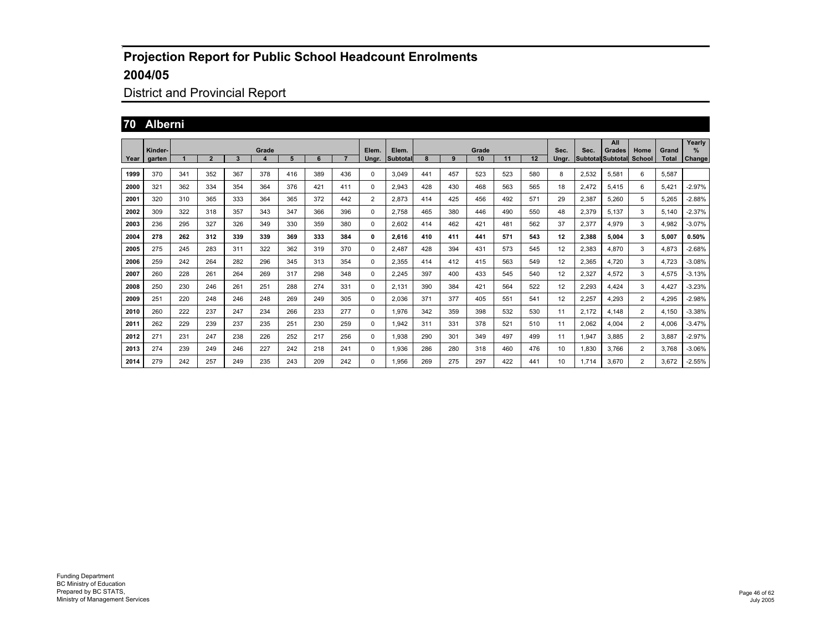## District and Provincial Report

#### **70 Alberni**

|      |         |     |                |     |       |     |     |     |                |          |     |     |       |     |     |       |       | All                      |                |              | Yearly   |
|------|---------|-----|----------------|-----|-------|-----|-----|-----|----------------|----------|-----|-----|-------|-----|-----|-------|-------|--------------------------|----------------|--------------|----------|
|      | Kinder- |     |                |     | Grade |     |     |     | Elem.          | Elem.    |     |     | Grade |     |     | Sec.  | Sec.  | Grades                   | Home           | Grand        | $\%$     |
| Year | garten  |     | $\overline{2}$ | 3   | 4     | 5   | 6   |     | Unar.          | Subtotal | 8   | 9   | 10    | 11  | 12  | Unar. |       | <b>Subtotal Subtotal</b> | School         | <b>Total</b> | Change   |
| 1999 | 370     | 341 | 352            | 367 | 378   | 416 | 389 | 436 | 0              | 3,049    | 441 | 457 | 523   | 523 | 580 | 8     | 2,532 | 5,581                    | 6              | 5,587        |          |
| 2000 | 321     | 362 | 334            | 354 | 364   | 376 | 421 | 411 | 0              | 2,943    | 428 | 430 | 468   | 563 | 565 | 18    | 2,472 | 5,415                    | 6              | 5,421        | $-2.97%$ |
| 2001 | 320     | 310 | 365            | 333 | 364   | 365 | 372 | 442 | $\overline{2}$ | 2.873    | 414 | 425 | 456   | 492 | 571 | 29    | 2,387 | 5.260                    | 5              | 5.265        | $-2.88%$ |
| 2002 | 309     | 322 | 318            | 357 | 343   | 347 | 366 | 396 | 0              | 2.758    | 465 | 380 | 446   | 490 | 550 | 48    | 2,379 | 5,137                    | 3              | 5,140        | $-2.37%$ |
| 2003 | 236     | 295 | 327            | 326 | 349   | 330 | 359 | 380 | 0              | 2.602    | 414 | 462 | 421   | 481 | 562 | 37    | 2,377 | 4.979                    | 3              | 4,982        | $-3.07%$ |
| 2004 | 278     | 262 | 312            | 339 | 339   | 369 | 333 | 384 | 0              | 2.616    | 410 | 411 | 441   | 571 | 543 | 12    | 2.388 | 5.004                    | 3              | 5.007        | 0.50%    |
| 2005 | 275     | 245 | 283            | 311 | 322   | 362 | 319 | 370 | 0              | 2.487    | 428 | 394 | 431   | 573 | 545 | 12    | 2,383 | 4,870                    | 3              | 4,873        | $-2.68%$ |
| 2006 | 259     | 242 | 264            | 282 | 296   | 345 | 313 | 354 | 0              | 2.355    | 414 | 412 | 415   | 563 | 549 | 12    | 2,365 | 4,720                    | 3              | 4,723        | $-3.08%$ |
| 2007 | 260     | 228 | 261            | 264 | 269   | 317 | 298 | 348 | $\Omega$       | 2.245    | 397 | 400 | 433   | 545 | 540 | 12    | 2,327 | 4.572                    | 3              | 4,575        | $-3.13%$ |
| 2008 | 250     | 230 | 246            | 261 | 251   | 288 | 274 | 331 | $\Omega$       | 2.131    | 390 | 384 | 421   | 564 | 522 | 12    | 2,293 | 4.424                    | 3              | 4.427        | $-3.23%$ |
| 2009 | 251     | 220 | 248            | 246 | 248   | 269 | 249 | 305 | 0              | 2.036    | 371 | 377 | 405   | 551 | 541 | 12    | 2,257 | 4.293                    | $\overline{2}$ | 4,295        | $-2.98%$ |
| 2010 | 260     | 222 | 237            | 247 | 234   | 266 | 233 | 277 | 0              | 1,976    | 342 | 359 | 398   | 532 | 530 | 11    | 2.172 | 4.148                    | $\overline{2}$ | 4.150        | $-3.38%$ |
| 2011 | 262     | 229 | 239            | 237 | 235   | 251 | 230 | 259 | 0              | 1,942    | 311 | 331 | 378   | 521 | 510 | 11    | 2,062 | 4.004                    | $\overline{2}$ | 4,006        | $-3.47%$ |
| 2012 | 271     | 231 | 247            | 238 | 226   | 252 | 217 | 256 | 0              | 1,938    | 290 | 301 | 349   | 497 | 499 | 11    | 1,947 | 3.885                    | $\overline{2}$ | 3,887        | $-2.97%$ |
| 2013 | 274     | 239 | 249            | 246 | 227   | 242 | 218 | 241 | $\Omega$       | 1,936    | 286 | 280 | 318   | 460 | 476 | 10    | 1,830 | 3.766                    | $\overline{2}$ | 3,768        | $-3.06%$ |
| 2014 | 279     | 242 | 257            | 249 | 235   | 243 | 209 | 242 | 0              | 1.956    | 269 | 275 | 297   | 422 | 441 | 10    | 1.714 | 3.670                    | $\overline{2}$ | 3.672        | $-2.55%$ |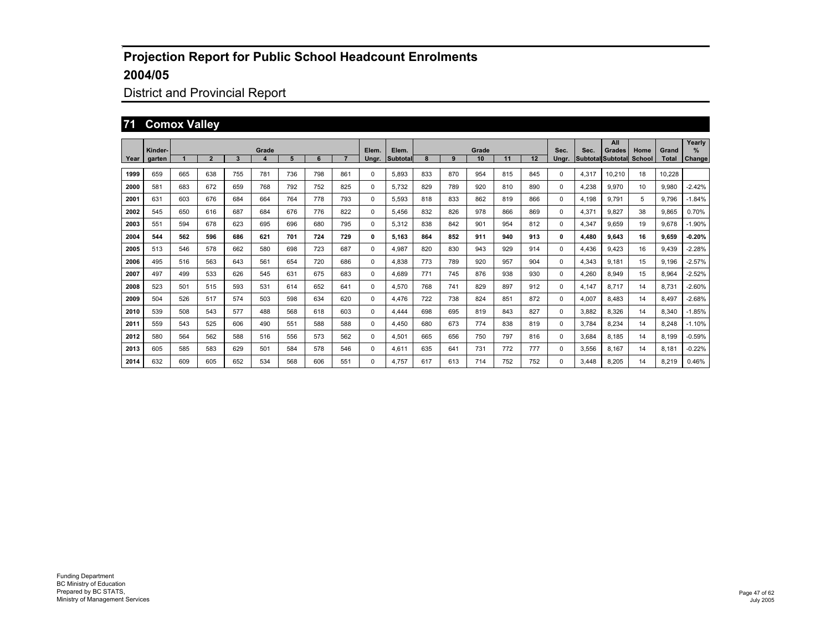## District and Provincial Report

#### **71 Comox Valley**

|      |                   |     |                |     |       |     |     |     |                |                   |     |     | Grade |     |     |               |       | All                                |                |                       | Yearly                         |
|------|-------------------|-----|----------------|-----|-------|-----|-----|-----|----------------|-------------------|-----|-----|-------|-----|-----|---------------|-------|------------------------------------|----------------|-----------------------|--------------------------------|
| Year | Kinder-<br>garten |     | $\overline{2}$ | 3   | Grade | 5   | 6   |     | Elem.<br>Unar. | Elem.<br>Subtotal | 8   | 9   | 10    | 11  | 12  | Sec.<br>Unar. | Sec.  | Grades<br><b>Subtotal Subtotal</b> | Home<br>School | Grand<br><b>Total</b> | $\frac{9}{6}$<br><b>Change</b> |
| 1999 | 659               | 665 | 638            | 755 | 781   | 736 | 798 | 861 | 0              | 5,893             | 833 | 870 | 954   | 815 | 845 | 0             | 4,317 | 10,210                             | 18             | 10,228                |                                |
| 2000 | 581               | 683 | 672            | 659 | 768   | 792 | 752 | 825 | 0              | 5,732             | 829 | 789 | 920   | 810 | 890 | 0             | 4,238 | 9.970                              | 10             | 9,980                 | $-2.42%$                       |
| 2001 | 631               | 603 | 676            | 684 | 664   | 764 | 778 | 793 | $\Omega$       | 5.593             | 818 | 833 | 862   | 819 | 866 | 0             | 4.198 | 9.791                              | 5              | 9.796                 | $-1.84%$                       |
| 2002 | 545               | 650 | 616            | 687 | 684   | 676 | 776 | 822 | 0              | 5.456             | 832 | 826 | 978   | 866 | 869 | 0             | 4,371 | 9.827                              | 38             | 9.865                 | 0.70%                          |
| 2003 | 551               | 594 | 678            | 623 | 695   | 696 | 680 | 795 | 0              | 5,312             | 838 | 842 | 901   | 954 | 812 | 0             | 4,347 | 9.659                              | 19             | 9.678                 | $-1.90%$                       |
| 2004 | 544               | 562 | 596            | 686 | 621   | 701 | 724 | 729 | 0              | 5.163             | 864 | 852 | 911   | 940 | 913 | 0             | 4,480 | 9.643                              | 16             | 9.659                 | $-0.20%$                       |
| 2005 | 513               | 546 | 578            | 662 | 580   | 698 | 723 | 687 | 0              | 4.987             | 820 | 830 | 943   | 929 | 914 | 0             | 4.436 | 9.423                              | 16             | 9.439                 | $-2.28%$                       |
| 2006 | 495               | 516 | 563            | 643 | 561   | 654 | 720 | 686 | 0              | 4.838             | 773 | 789 | 920   | 957 | 904 | 0             | 4.343 | 9.181                              | 15             | 9.196                 | $-2.57%$                       |
| 2007 | 497               | 499 | 533            | 626 | 545   | 631 | 675 | 683 | $\Omega$       | 4.689             | 771 | 745 | 876   | 938 | 930 | 0             | 4,260 | 8.949                              | 15             | 8.964                 | $-2.52%$                       |
| 2008 | 523               | 501 | 515            | 593 | 531   | 614 | 652 | 641 | $\Omega$       | 4,570             | 768 | 741 | 829   | 897 | 912 | 0             | 4.147 | 8.717                              | 14             | 8.731                 | $-2.60%$                       |
| 2009 | 504               | 526 | 517            | 574 | 503   | 598 | 634 | 620 | 0              | 4.476             | 722 | 738 | 824   | 851 | 872 | 0             | 4,007 | 8.483                              | 14             | 8.497                 | $-2.68%$                       |
| 2010 | 539               | 508 | 543            | 577 | 488   | 568 | 618 | 603 | 0              | 4.444             | 698 | 695 | 819   | 843 | 827 | 0             | 3.882 | 8.326                              | 14             | 8.340                 | $-1.85%$                       |
| 2011 | 559               | 543 | 525            | 606 | 490   | 551 | 588 | 588 | $\Omega$       | 4.450             | 680 | 673 | 774   | 838 | 819 | 0             | 3.784 | 8.234                              | 14             | 8.248                 | $-1.10%$                       |
| 2012 | 580               | 564 | 562            | 588 | 516   | 556 | 573 | 562 | 0              | 4,501             | 665 | 656 | 750   | 797 | 816 | 0             | 3.684 | 8.185                              | 14             | 8.199                 | $-0.59%$                       |
| 2013 | 605               | 585 | 583            | 629 | 501   | 584 | 578 | 546 | 0              | 4,611             | 635 | 641 | 731   | 772 | 777 | 0             | 3,556 | 8.167                              | 14             | 8,181                 | $-0.22%$                       |
| 2014 | 632               | 609 | 605            | 652 | 534   | 568 | 606 | 551 | 0              | 4.757             | 617 | 613 | 714   | 752 | 752 | 0             | 3.448 | 8.205                              | 14             | 8,219                 | 0.46%                          |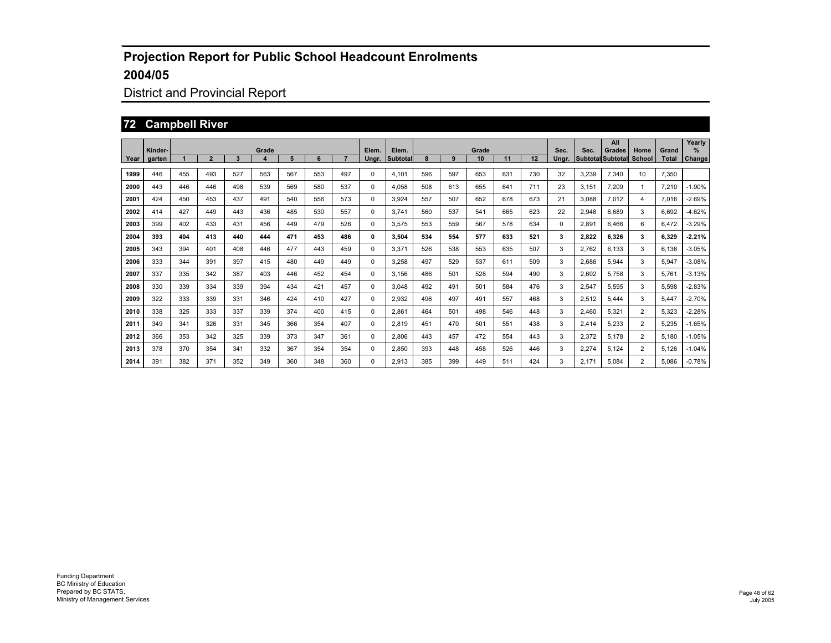## District and Provincial Report

#### **72 Campbell River**

|      | Kinder- |     |                |     | Grade |     |     |     | Elem. | Elem.           |     |     | Grade |     |     | Sec.  | Sec.                     | All<br>Grades | Home           | Grand        | Yearly<br>% |
|------|---------|-----|----------------|-----|-------|-----|-----|-----|-------|-----------------|-----|-----|-------|-----|-----|-------|--------------------------|---------------|----------------|--------------|-------------|
| Year | garten  |     | $\overline{2}$ | 3   | 4     | 5   | 6   |     | Ungr. | <b>Subtotal</b> | 8   | 9   | 10    | 11  | 12  | Ungr. | <b>Subtotal Subtotal</b> |               | School         | <b>Total</b> | Change      |
| 1999 | 446     | 455 | 493            | 527 | 563   | 567 | 553 | 497 | 0     | 4,101           | 596 | 597 | 653   | 631 | 730 | 32    | 3,239                    | 7,340         | 10             | 7,350        |             |
| 2000 | 443     | 446 | 446            | 498 | 539   | 569 | 580 | 537 | 0     | 4,058           | 508 | 613 | 655   | 641 | 711 | 23    | 3,151                    | 7,209         | 1              | 7,210        | $-1.90%$    |
| 2001 | 424     | 450 | 453            | 437 | 491   | 540 | 556 | 573 | 0     | 3.924           | 557 | 507 | 652   | 678 | 673 | 21    | 3.088                    | 7,012         | 4              | 7,016        | $-2.69%$    |
| 2002 | 414     | 427 | 449            | 443 | 436   | 485 | 530 | 557 | 0     | 3.741           | 560 | 537 | 541   | 665 | 623 | 22    | 2,948                    | 6,689         | 3              | 6,692        | $-4.62%$    |
| 2003 | 399     | 402 | 433            | 431 | 456   | 449 | 479 | 526 | 0     | 3,575           | 553 | 559 | 567   | 578 | 634 | 0     | 2.891                    | 6.466         | 6              | 6.472        | $-3.29%$    |
| 2004 | 393     | 404 | 413            | 440 | 444   | 471 | 453 | 486 | 0     | 3.504           | 534 | 554 | 577   | 633 | 521 | 3     | 2.822                    | 6,326         | 3              | 6.329        | $-2.21%$    |
| 2005 | 343     | 394 | 401            | 408 | 446   | 477 | 443 | 459 | 0     | 3.371           | 526 | 538 | 553   | 635 | 507 | 3     | 2.762                    | 6,133         | 3              | 6.136        | $-3.05%$    |
| 2006 | 333     | 344 | 391            | 397 | 415   | 480 | 449 | 449 | 0     | 3,258           | 497 | 529 | 537   | 611 | 509 | 3     | 2.686                    | 5,944         | 3              | 5,947        | $-3.08%$    |
| 2007 | 337     | 335 | 342            | 387 | 403   | 446 | 452 | 454 | 0     | 3.156           | 486 | 501 | 528   | 594 | 490 | 3     | 2,602                    | 5,758         | 3              | 5,761        | $-3.13%$    |
| 2008 | 330     | 339 | 334            | 339 | 394   | 434 | 421 | 457 | 0     | 3.048           | 492 | 491 | 501   | 584 | 476 | 3     | 2,547                    | 5,595         | 3              | 5,598        | $-2.83%$    |
| 2009 | 322     | 333 | 339            | 331 | 346   | 424 | 410 | 427 | 0     | 2,932           | 496 | 497 | 491   | 557 | 468 | 3     | 2,512                    | 5.444         | 3              | 5,447        | $-2.70%$    |
| 2010 | 338     | 325 | 333            | 337 | 339   | 374 | 400 | 415 | 0     | 2,861           | 464 | 501 | 498   | 546 | 448 | 3     | 2.460                    | 5,321         | $\overline{2}$ | 5,323        | $-2.28%$    |
| 2011 | 349     | 341 | 326            | 331 | 345   | 366 | 354 | 407 | 0     | 2,819           | 451 | 470 | 501   | 551 | 438 | 3     | 2,414                    | 5,233         | $\overline{2}$ | 5,235        | $-1.65%$    |
| 2012 | 366     | 353 | 342            | 325 | 339   | 373 | 347 | 361 | 0     | 2,806           | 443 | 457 | 472   | 554 | 443 | 3     | 2,372                    | 5,178         | $\overline{2}$ | 5,180        | $-1.05%$    |
| 2013 | 378     | 370 | 354            | 341 | 332   | 367 | 354 | 354 | 0     | 2,850           | 393 | 448 | 458   | 526 | 446 | 3     | 2,274                    | 5,124         | $\overline{2}$ | 5,126        | $-1.04%$    |
| 2014 | 391     | 382 | 371            | 352 | 349   | 360 | 348 | 360 | 0     | 2.913           | 385 | 399 | 449   | 511 | 424 | 3     | 2.171                    | 5.084         | $\overline{2}$ | 5.086        | $-0.78%$    |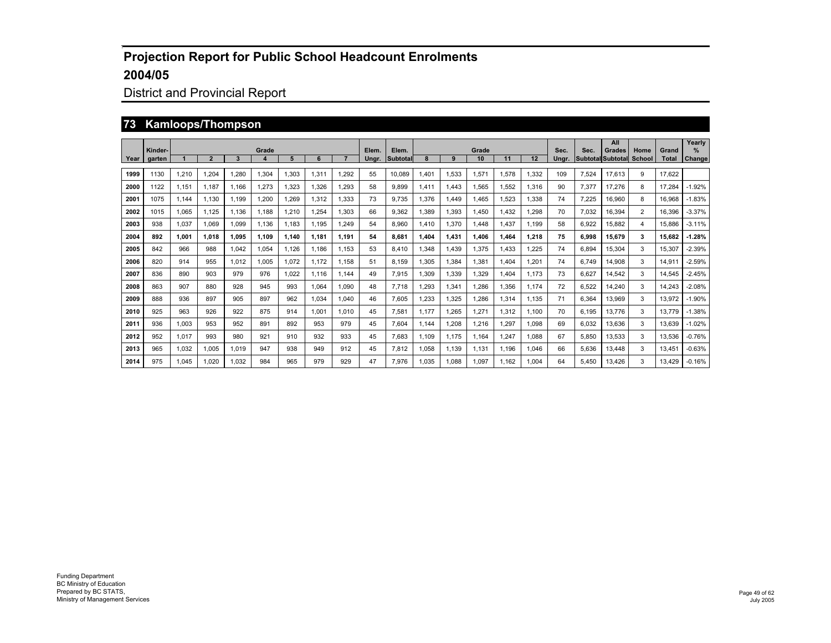## District and Provincial Report

#### **73 Kamloops/Thompson**

|      | Kinder- |       |                |       | Grade            |       |       |       | Elem. | Elem.           |       |       | Grade |             |       | Sec.  | Sec.  | All<br>Grades            | Home           | Grand        | Yearly<br>$\frac{9}{6}$ |
|------|---------|-------|----------------|-------|------------------|-------|-------|-------|-------|-----------------|-------|-------|-------|-------------|-------|-------|-------|--------------------------|----------------|--------------|-------------------------|
| Year | garten  |       | $\overline{2}$ | 3     | $\boldsymbol{4}$ | 5     | 6     |       | Ungr. | <b>Subtotal</b> |       | 9     | 10    | 11          | 12    | Unar. |       | <b>Subtotal Subtotal</b> | <b>School</b>  | <b>Total</b> | Change                  |
| 1999 | 1130    | 1.210 | 1.204          | 1.280 | 1.304            | 1.303 | 1.311 | 1.292 | 55    | 10.089          | 1.401 | 1.533 | 1.571 | 1.578       | 1.332 | 109   | 7.524 | 17.613                   | 9              | 17.622       |                         |
| 2000 | 1122    | 1.151 | 1.187          | 1.166 | 1,273            | 1.323 | 1.326 | .293  | 58    | 9.899           | 1.411 | 1.443 | 1.565 | 1.552       | 1.316 | 90    | 7.377 | 17.276                   | 8              | 17.284       | $-1.92%$                |
| 2001 | 1075    | 1.144 | 1.130          | 1.199 | 1,200            | 1.269 | 1.312 | 1,333 | 73    | 9.735           | 1,376 | 1.449 | 1.465 | 1.523       | 1,338 | 74    | 7.225 | 16,960                   | 8              | 16.968       | $-1.83%$                |
| 2002 | 1015    | 1.065 | 1.125          | 1.136 | 1.188            | 1.210 | 1.254 | 1.303 | 66    | 9.362           | 1.389 | 1.393 | 1.450 | .432        | 1.298 | 70    | 7.032 | 16.394                   | $\overline{2}$ | 16.396       | $-3.37%$                |
| 2003 | 938     | 1.037 | 1.069          | 1.099 | 1.136            | 1.183 | 1.195 | .249  | 54    | 8.960           | 1.410 | 1,370 | 1.448 | .437        | 1.199 | 58    | 6.922 | 15.882                   | 4              | 15.886       | $-3.11%$                |
| 2004 | 892     | 1.001 | 1.018          | 1.095 | 1.109            | 1.140 | 1.181 | 1.191 | 54    | 8.681           | 1.404 | 1,431 | 1.406 | <b>.464</b> | 1,218 | 75    | 6.998 | 15,679                   | 3              | 15.682       | $-1.28%$                |
| 2005 | 842     | 966   | 988            | 1.042 | 1.054            | 1.126 | 1.186 | 1.153 | 53    | 8.410           | .348  | 1.439 | 1.375 | .433        | 1.225 | 74    | 6.894 | 15.304                   | 3              | 15.307       | $-2.39%$                |
| 2006 | 820     | 914   | 955            | 1.012 | 1.005            | 1.072 | 1,172 | 1.158 | 51    | 8.159           | .305  | ,384  | 1.381 | .404        | 1.201 | 74    | 6.749 | 14.908                   | 3              | 14.911       | $-2.59%$                |
| 2007 | 836     | 890   | 903            | 979   | 976              | 1.022 | 1.116 | 1.144 | 49    | 7.915           | .309  | 1,339 | 1,329 | .404        | 1.173 | 73    | 6.627 | 14,542                   | 3              | 14.545       | $-2.45%$                |
| 2008 | 863     | 907   | 880            | 928   | 945              | 993   | 1.064 | 1,090 | 48    | 7.718           | .293  | 1,341 | 1.286 | .356        | 1.174 | 72    | 6,522 | 14,240                   | 3              | 14.243       | $-2.08%$                |
| 2009 | 888     | 936   | 897            | 905   | 897              | 962   | 1.034 | 1,040 | 46    | 7.605           | .233  | ,325  | 1.286 | 1.314       | 1.135 | 71    | 6.364 | 13.969                   | 3              | 13.972       | $-1.90%$                |
| 2010 | 925     | 963   | 926            | 922   | 875              | 914   | 1.001 | 1.010 | 45    | 7.581           | 1.177 | .265  | 1,271 | 1.312       | 1.100 | 70    | 6.195 | 13.776                   | 3              | 13.779       | $-1.38%$                |
| 2011 | 936     | 1.003 | 953            | 952   | 891              | 892   | 953   | 979   | 45    | 7.604           | 1.144 | ,208  | 1.216 | .297        | 1,098 | 69    | 6.032 | 13,636                   | 3              | 13.639       | $-1.02%$                |
| 2012 | 952     | 1.017 | 993            | 980   | 921              | 910   | 932   | 933   | 45    | 7.683           | 1.109 | 1.175 | 1.164 | .247        | 1.088 | 67    | 5.850 | 13.533                   | 3              | 13.536       | $-0.76%$                |
| 2013 | 965     | 1,032 | 1.005          | 1.019 | 947              | 938   | 949   | 912   | 45    | 7.812           | 1,058 | 1,139 | 1,131 | 1.196       | 1,046 | 66    | 5.636 | 13,448                   | 3              | 13.451       | $-0.63%$                |
| 2014 | 975     | 1.045 | 1.020          | 1.032 | 984              | 965   | 979   | 929   | 47    | 7.976           | 1.035 | 1.088 | 1.097 | 1.162       | 1.004 | 64    | 5.450 | 13.426                   | 3              | 13.429       | $-0.16%$                |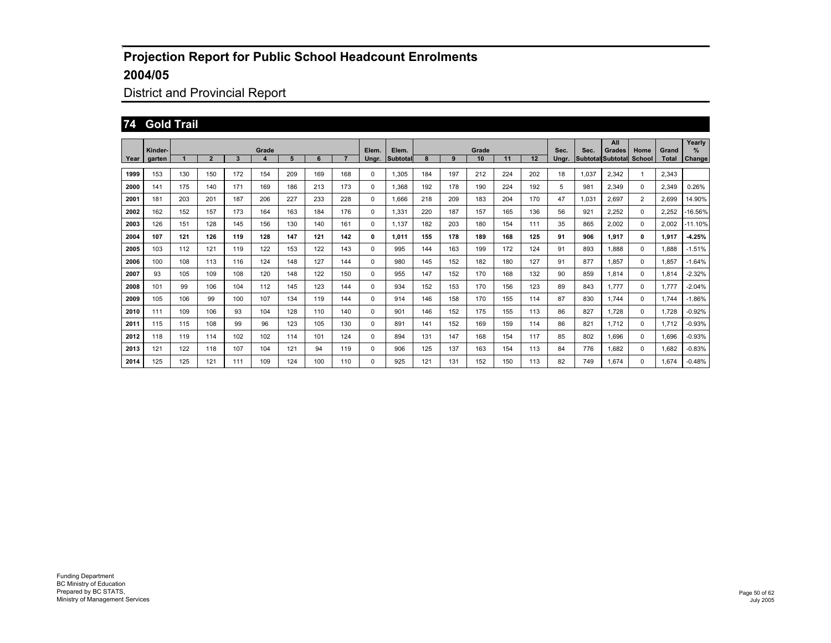## District and Provincial Report

#### **74 Gold Trail**

|      |                   |     |                |     |            |     |     |                |                |                   |     |     |             |     |     |               |       | All                                |                |                       | Yearly                |
|------|-------------------|-----|----------------|-----|------------|-----|-----|----------------|----------------|-------------------|-----|-----|-------------|-----|-----|---------------|-------|------------------------------------|----------------|-----------------------|-----------------------|
| Year | Kinder-<br>garten |     | $\overline{2}$ | 3   | Grade<br>4 | 5   | 6   | $\overline{7}$ | Elem.<br>Ungr. | Elem.<br>Subtotal | 8   | 9   | Grade<br>10 | 11  | 12  | Sec.<br>Ungr. | Sec.  | Grades<br><b>Subtotal Subtotal</b> | Home<br>School | Grand<br><b>Total</b> | $\%$<br><b>Change</b> |
|      |                   |     |                |     |            |     |     |                |                |                   |     |     |             |     |     |               |       |                                    |                |                       |                       |
| 1999 | 153               | 130 | 150            | 172 | 154        | 209 | 169 | 168            | $\Omega$       | 1.305             | 184 | 197 | 212         | 224 | 202 | 18            | 1,037 | 2.342                              | $\mathbf{1}$   | 2,343                 |                       |
| 2000 | 141               | 175 | 140            | 171 | 169        | 186 | 213 | 173            | 0              | 1.368             | 192 | 178 | 190         | 224 | 192 | 5             | 981   | 2.349                              | $\Omega$       | 2.349                 | 0.26%                 |
| 2001 | 181               | 203 | 201            | 187 | 206        | 227 | 233 | 228            | 0              | 1.666             | 218 | 209 | 183         | 204 | 170 | 47            | 1,031 | 2,697                              | $\overline{2}$ | 2,699                 | 14.90%                |
| 2002 | 162               | 152 | 157            | 173 | 164        | 163 | 184 | 176            | 0              | 1,331             | 220 | 187 | 157         | 165 | 136 | 56            | 921   | 2,252                              | 0              | 2,252                 | $-16.56\%$            |
| 2003 | 126               | 151 | 128            | 145 | 156        | 130 | 140 | 161            | $\Omega$       | 1.137             | 182 | 203 | 180         | 154 | 111 | 35            | 865   | 2,002                              | 0              | 2.002                 | $-11.10%$             |
| 2004 | 107               | 121 | 126            | 119 | 128        | 147 | 121 | 142            | 0              | 1.011             | 155 | 178 | 189         | 168 | 125 | 91            | 906   | 1.917                              | $\mathbf{0}$   | 1.917                 | $-4.25%$              |
| 2005 | 103               | 112 | 121            | 119 | 122        | 153 | 122 | 143            | 0              | 995               | 144 | 163 | 199         | 172 | 124 | 91            | 893   | 1.888                              | 0              | 1.888                 | $-1.51%$              |
| 2006 | 100               | 108 | 113            | 116 | 124        | 148 | 127 | 144            | 0              | 980               | 145 | 152 | 182         | 180 | 127 | 91            | 877   | 1.857                              | 0              | 1.857                 | $-1.64%$              |
| 2007 | 93                | 105 | 109            | 108 | 120        | 148 | 122 | 150            | 0              | 955               | 147 | 152 | 170         | 168 | 132 | 90            | 859   | 1.814                              | 0              | 1.814                 | $-2.32%$              |
| 2008 | 101               | 99  | 106            | 104 | 112        | 145 | 123 | 144            | 0              | 934               | 152 | 153 | 170         | 156 | 123 | 89            | 843   | 1.777                              | 0              | 1.777                 | $-2.04%$              |
| 2009 | 105               | 106 | 99             | 100 | 107        | 134 | 119 | 144            | 0              | 914               | 146 | 158 | 170         | 155 | 114 | 87            | 830   | 1.744                              | $\Omega$       | 1.744                 | $-1.86%$              |
| 2010 | 111               | 109 | 106            | 93  | 104        | 128 | 110 | 140            | 0              | 901               | 146 | 152 | 175         | 155 | 113 | 86            | 827   | 1,728                              | $\mathbf 0$    | 1,728                 | $-0.92%$              |
| 2011 | 115               | 115 | 108            | 99  | 96         | 123 | 105 | 130            | 0              | 891               | 141 | 152 | 169         | 159 | 114 | 86            | 821   | 1.712                              | 0              | 1,712                 | $-0.93%$              |
| 2012 | 118               | 119 | 114            | 102 | 102        | 114 | 101 | 124            | 0              | 894               | 131 | 147 | 168         | 154 | 117 | 85            | 802   | 1.696                              | 0              | 1,696                 | $-0.93%$              |
| 2013 | 121               | 122 | 118            | 107 | 104        | 121 | 94  | 119            | $\Omega$       | 906               | 125 | 137 | 163         | 154 | 113 | 84            | 776   | 1.682                              | 0              | 1,682                 | $-0.83%$              |
| 2014 | 125               | 125 | 121            | 111 | 109        | 124 | 100 | 110            | 0              | 925               | 121 | 131 | 152         | 150 | 113 | 82            | 749   | 1.674                              | $\Omega$       | 1.674                 | $-0.48%$              |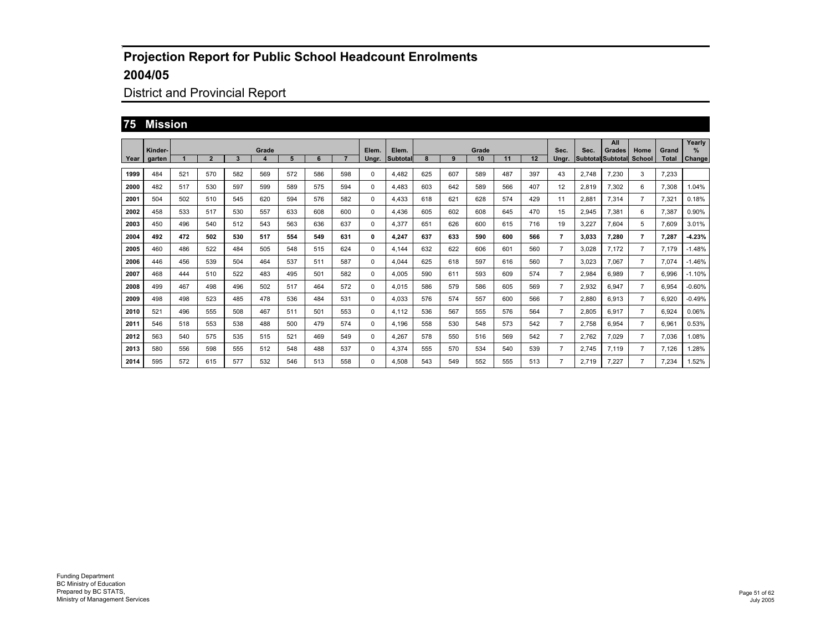## District and Provincial Report

#### **75 Mission**

|      |                   |     |                |     |            |     |     |     |                |                   |     |     |             |     |     |                |       | All                                |                       |                       | Yearly             |
|------|-------------------|-----|----------------|-----|------------|-----|-----|-----|----------------|-------------------|-----|-----|-------------|-----|-----|----------------|-------|------------------------------------|-----------------------|-----------------------|--------------------|
| Year | Kinder-<br>garten |     | $\overline{2}$ | 3   | Grade<br>4 | 5   | 6   |     | Elem.<br>Ungr. | Elem.<br>Subtotal |     | 9   | Grade<br>10 | 11  | 12  | Sec.<br>Ungr.  | Sec.  | Grades<br><b>Subtotal Subtotal</b> | Home<br><b>School</b> | Grand<br><b>Total</b> | ℅<br><b>Change</b> |
|      |                   |     |                |     |            |     |     |     |                |                   |     |     |             |     |     |                |       |                                    |                       |                       |                    |
| 1999 | 484               | 521 | 570            | 582 | 569        | 572 | 586 | 598 | 0              | 4,482             | 625 | 607 | 589         | 487 | 397 | 43             | 2,748 | 7,230                              | 3                     | 7,233                 |                    |
| 2000 | 482               | 517 | 530            | 597 | 599        | 589 | 575 | 594 | 0              | 4.483             | 603 | 642 | 589         | 566 | 407 | 12             | 2,819 | 7,302                              | 6                     | 7,308                 | 1.04%              |
| 2001 | 504               | 502 | 510            | 545 | 620        | 594 | 576 | 582 | 0              | 4.433             | 618 | 621 | 628         | 574 | 429 | 11             | 2.881 | 7,314                              | $\overline{7}$        | 7.321                 | 0.18%              |
| 2002 | 458               | 533 | 517            | 530 | 557        | 633 | 608 | 600 | 0              | 4.436             | 605 | 602 | 608         | 645 | 470 | 15             | 2,945 | 7,381                              | 6                     | 7,387                 | 0.90%              |
| 2003 | 450               | 496 | 540            | 512 | 543        | 563 | 636 | 637 | 0              | 4.377             | 651 | 626 | 600         | 615 | 716 | 19             | 3.227 | 7.604                              | 5                     | 7.609                 | 3.01%              |
| 2004 | 492               | 472 | 502            | 530 | 517        | 554 | 549 | 631 | 0              | 4.247             | 637 | 633 | 590         | 600 | 566 | 7              | 3.033 | 7.280                              | 7                     | 7.287                 | $-4.23%$           |
| 2005 | 460               | 486 | 522            | 484 | 505        | 548 | 515 | 624 | 0              | 4.144             | 632 | 622 | 606         | 601 | 560 | $\overline{7}$ | 3.028 | 7.172                              | $\overline{7}$        | 7.179                 | $-1.48%$           |
| 2006 | 446               | 456 | 539            | 504 | 464        | 537 | 511 | 587 | 0              | 4.044             | 625 | 618 | 597         | 616 | 560 | $\overline{7}$ | 3,023 | 7.067                              | $\overline{7}$        | 7.074                 | $-1.46%$           |
| 2007 | 468               | 444 | 510            | 522 | 483        | 495 | 501 | 582 | 0              | 4,005             | 590 | 611 | 593         | 609 | 574 | $\overline{7}$ | 2,984 | 6.989                              | $\overline{7}$        | 6.996                 | $-1.10%$           |
| 2008 | 499               | 467 | 498            | 496 | 502        | 517 | 464 | 572 | 0              | 4,015             | 586 | 579 | 586         | 605 | 569 | $\overline{7}$ | 2,932 | 6.947                              | $\overline{7}$        | 6,954                 | $-0.60%$           |
| 2009 | 498               | 498 | 523            | 485 | 478        | 536 | 484 | 531 | 0              | 4,033             | 576 | 574 | 557         | 600 | 566 | $\overline{7}$ | 2,880 | 6,913                              | $\overline{7}$        | 6.920                 | $-0.49%$           |
| 2010 | 521               | 496 | 555            | 508 | 467        | 511 | 501 | 553 | 0              | 4,112             | 536 | 567 | 555         | 576 | 564 | $\overline{7}$ | 2,805 | 6.917                              | $\overline{7}$        | 6.924                 | 0.06%              |
| 2011 | 546               | 518 | 553            | 538 | 488        | 500 | 479 | 574 | 0              | 4.196             | 558 | 530 | 548         | 573 | 542 | $\overline{7}$ | 2.758 | 6.954                              | $\overline{7}$        | 6.961                 | 0.53%              |
| 2012 | 563               | 540 | 575            | 535 | 515        | 521 | 469 | 549 | 0              | 4.267             | 578 | 550 | 516         | 569 | 542 | $\overline{7}$ | 2.762 | 7.029                              | $\overline{7}$        | 7.036                 | 1.08%              |
| 2013 | 580               | 556 | 598            | 555 | 512        | 548 | 488 | 537 | 0              | 4,374             | 555 | 570 | 534         | 540 | 539 | $\overline{7}$ | 2.745 | 7.119                              | $\overline{7}$        | 7,126                 | .28%               |
| 2014 | 595               | 572 | 615            | 577 | 532        | 546 | 513 | 558 | 0              | 4.508             | 543 | 549 | 552         | 555 | 513 | $\overline{7}$ | 2.719 | 7.227                              | $\overline{7}$        | 7.234                 | 1.52%              |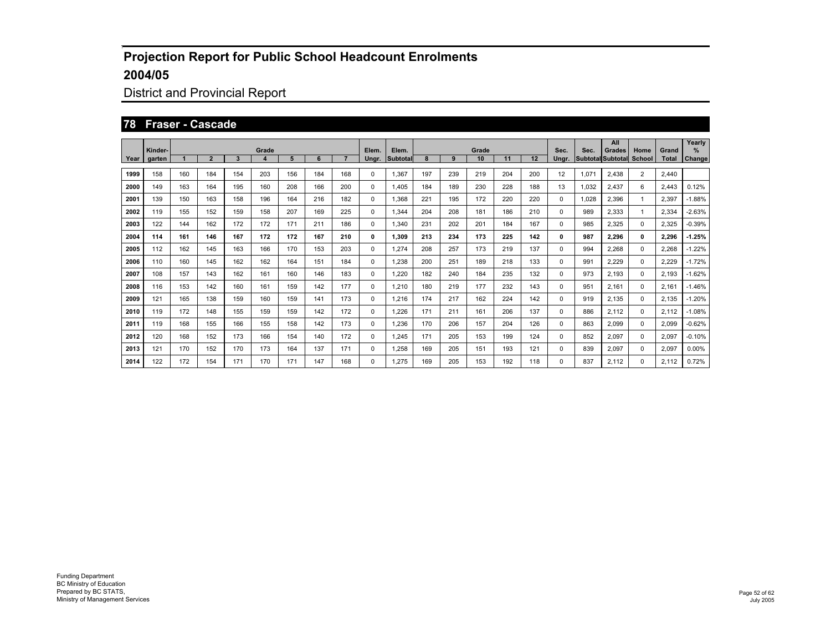## District and Provincial Report

#### **78 Fraser - Cascade**

|      | Kinder- |     |                |     | Grade |     |     |     | Elem. | Elem.           |     |     | Grade |     |     | Sec.     | Sec.  | All<br>Grades            | Home           | Grand        | Yearly<br>$\%$ |
|------|---------|-----|----------------|-----|-------|-----|-----|-----|-------|-----------------|-----|-----|-------|-----|-----|----------|-------|--------------------------|----------------|--------------|----------------|
| Year | garten  |     | $\overline{2}$ | 3   | 4     | 5   | 6   |     | Ungr. | <b>Subtotal</b> |     | 9   | 10    | 11  | 12  | Ungr.    |       | <b>Subtotal Subtotal</b> | School         | <b>Total</b> | Change         |
| 1999 | 158     | 160 | 184            | 154 | 203   | 156 | 184 | 168 | 0     | 1.367           | 197 | 239 | 219   | 204 | 200 | 12       | 1,071 | 2,438                    | $\overline{2}$ | 2,440        |                |
| 2000 | 149     | 163 | 164            | 195 | 160   | 208 | 166 | 200 | 0     | 1,405           | 184 | 189 | 230   | 228 | 188 | 13       | 1,032 | 2,437                    | 6              | 2,443        | 0.12%          |
| 2001 | 139     | 150 | 163            | 158 | 196   | 164 | 216 | 182 | 0     | 1.368           | 221 | 195 | 172   | 220 | 220 | 0        | 1,028 | 2,396                    | $\mathbf{1}$   | 2,397        | $-1.88%$       |
| 2002 | 119     | 155 | 152            | 159 | 158   | 207 | 169 | 225 | 0     | 1,344           | 204 | 208 | 181   | 186 | 210 | 0        | 989   | 2,333                    | -1             | 2,334        | $-2.63%$       |
| 2003 | 122     | 144 | 162            | 172 | 172   | 171 | 211 | 186 | 0     | 1,340           | 231 | 202 | 201   | 184 | 167 | 0        | 985   | 2,325                    | $\mathbf 0$    | 2,325        | $-0.39%$       |
| 2004 | 114     | 161 | 146            | 167 | 172   | 172 | 167 | 210 | 0     | 1.309           | 213 | 234 | 173   | 225 | 142 | 0        | 987   | 2.296                    | 0              | 2.296        | $-1.25%$       |
| 2005 | 112     | 162 | 145            | 163 | 166   | 170 | 153 | 203 | 0     | 1.274           | 208 | 257 | 173   | 219 | 137 | 0        | 994   | 2,268                    | $\mathbf 0$    | 2,268        | $-1.22%$       |
| 2006 | 110     | 160 | 145            | 162 | 162   | 164 | 151 | 184 | 0     | 1.238           | 200 | 251 | 189   | 218 | 133 | 0        | 991   | 2,229                    | $\mathbf 0$    | 2,229        | $-1.72%$       |
| 2007 | 108     | 157 | 143            | 162 | 161   | 160 | 146 | 183 | 0     | 1,220           | 182 | 240 | 184   | 235 | 132 | 0        | 973   | 2,193                    | $\mathbf 0$    | 2,193        | $-1.62%$       |
| 2008 | 116     | 153 | 142            | 160 | 161   | 159 | 142 | 177 | 0     | 1.210           | 180 | 219 | 177   | 232 | 143 | 0        | 951   | 2,161                    | $\mathbf 0$    | 2,161        | $-1.46%$       |
| 2009 | 121     | 165 | 138            | 159 | 160   | 159 | 141 | 173 | 0     | 1.216           | 174 | 217 | 162   | 224 | 142 | 0        | 919   | 2,135                    | $\mathbf 0$    | 2,135        | $-1.20%$       |
| 2010 | 119     | 172 | 148            | 155 | 159   | 159 | 142 | 172 | 0     | 1,226           | 171 | 211 | 161   | 206 | 137 | 0        | 886   | 2,112                    | $\mathbf 0$    | 2,112        | $-1.08%$       |
| 2011 | 119     | 168 | 155            | 166 | 155   | 158 | 142 | 173 | 0     | 1,236           | 170 | 206 | 157   | 204 | 126 | $\Omega$ | 863   | 2,099                    | $\mathbf 0$    | 2,099        | $-0.62%$       |
| 2012 | 120     | 168 | 152            | 173 | 166   | 154 | 140 | 172 | 0     | 1.245           | 171 | 205 | 153   | 199 | 124 | 0        | 852   | 2,097                    | $\mathbf 0$    | 2,097        | $-0.10%$       |
| 2013 | 121     | 170 | 152            | 170 | 173   | 164 | 137 | 171 | 0     | 1,258           | 169 | 205 | 151   | 193 | 121 | 0        | 839   | 2,097                    | $\mathbf 0$    | 2,097        | 0.00%          |
| 2014 | 122     | 172 | 154            | 171 | 170   | 171 | 147 | 168 | 0     | 1.275           | 169 | 205 | 153   | 192 | 118 | 0        | 837   | 2.112                    | $\mathbf 0$    | 2.112        | 0.72%          |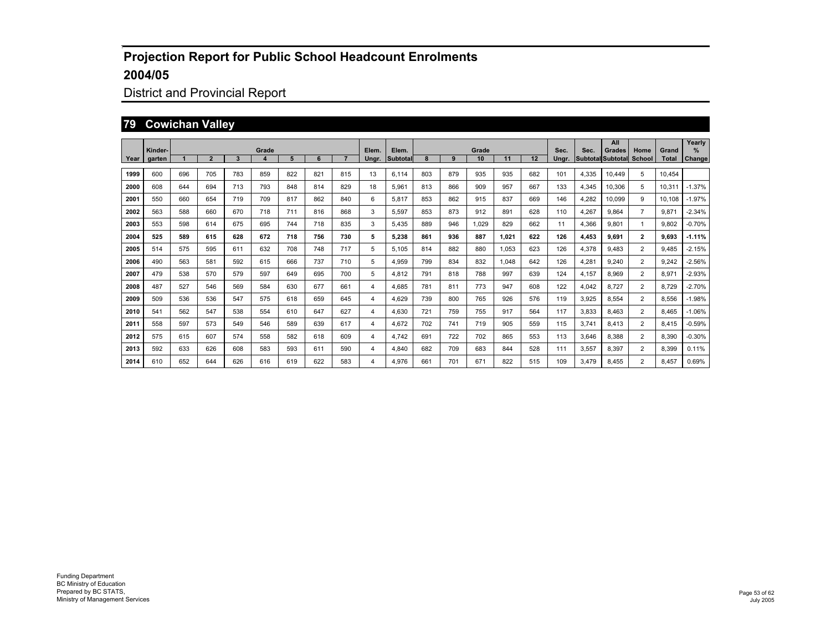## District and Provincial Report

#### **79 Cowichan Valley**

|      | Kinder- |     |                |     | Grade            |     |     |     | Elem. |                   |     |     | Grade |       |     | Sec.  | Sec.  | All                                | Home           | Grand        | Yearly<br>$\frac{9}{6}$ |
|------|---------|-----|----------------|-----|------------------|-----|-----|-----|-------|-------------------|-----|-----|-------|-------|-----|-------|-------|------------------------------------|----------------|--------------|-------------------------|
| Year | aarten  |     | $\overline{2}$ | 3   | $\boldsymbol{4}$ | 5   | 6   |     | Unar. | Elem.<br>Subtotal |     | 9   | 10    | 11    | 12  | Unar. |       | Grades<br><b>Subtotal Subtotal</b> | <b>School</b>  | <b>Total</b> | Change                  |
| 1999 | 600     | 696 | 705            | 783 | 859              | 822 | 821 | 815 | 13    | 6.114             | 803 | 879 | 935   | 935   | 682 | 101   | 4.335 | 10.449                             | 5              | 10,454       |                         |
| 2000 | 608     | 644 | 694            | 713 | 793              | 848 | 814 | 829 | 18    | 5.961             | 813 | 866 | 909   | 957   | 667 | 133   | 4.345 | 10,306                             | 5              | 10.311       | $-1.37%$                |
| 2001 | 550     | 660 | 654            | 719 | 709              | 817 | 862 | 840 | 6     | 5.817             | 853 | 862 | 915   | 837   | 669 | 146   | 4.282 | 10.099                             | 9              | 10.108       | $-1.97%$                |
| 2002 | 563     | 588 | 660            | 670 | 718              | 711 | 816 | 868 | 3     | 5.597             | 853 | 873 | 912   | 891   | 628 | 110   | 4.267 | 9.864                              | $\overline{7}$ | 9.871        | $-2.34%$                |
| 2003 | 553     | 598 | 614            | 675 | 695              | 744 | 718 | 835 | 3     | 5.435             | 889 | 946 | 1,029 | 829   | 662 | 11    | 4.366 | 9,801                              | -1             | 9,802        | $-0.70%$                |
| 2004 | 525     | 589 | 615            | 628 | 672              | 718 | 756 | 730 | 5     | 5,238             | 861 | 936 | 887   | 1.021 | 622 | 126   | 4,453 | 9,691                              | $\overline{2}$ | 9.693        | $-1.11%$                |
| 2005 | 514     | 575 | 595            | 611 | 632              | 708 | 748 | 717 | 5     | 5.105             | 814 | 882 | 880   | 1.053 | 623 | 126   | 4.378 | 9.483                              | $\overline{2}$ | 9.485        | $-2.15%$                |
| 2006 | 490     | 563 | 581            | 592 | 615              | 666 | 737 | 710 | 5     | 4.959             | 799 | 834 | 832   | 1.048 | 642 | 126   | 4.281 | 9.240                              | $\overline{2}$ | 9.242        | $-2.56%$                |
| 2007 | 479     | 538 | 570            | 579 | 597              | 649 | 695 | 700 | 5     | 4.812             | 791 | 818 | 788   | 997   | 639 | 124   | 4.157 | 8.969                              | $\overline{2}$ | 8.971        | $-2.93%$                |
| 2008 | 487     | 527 | 546            | 569 | 584              | 630 | 677 | 661 | 4     | 4.685             | 781 | 811 | 773   | 947   | 608 | 122   | 4.042 | 8.727                              | $\overline{2}$ | 8.729        | $-2.70%$                |
| 2009 | 509     | 536 | 536            | 547 | 575              | 618 | 659 | 645 | 4     | 4.629             | 739 | 800 | 765   | 926   | 576 | 119   | 3.925 | 8.554                              | $\overline{2}$ | 8.556        | $-1.98%$                |
| 2010 | 541     | 562 | 547            | 538 | 554              | 610 | 647 | 627 | 4     | 4.630             | 721 | 759 | 755   | 917   | 564 | 117   | 3,833 | 8.463                              | $\overline{2}$ | 8.465        | $-1.06%$                |
| 2011 | 558     | 597 | 573            | 549 | 546              | 589 | 639 | 617 | 4     | 4.672             | 702 | 741 | 719   | 905   | 559 | 115   | 3.741 | 8,413                              | $\overline{2}$ | 8,415        | $-0.59%$                |
| 2012 | 575     | 615 | 607            | 574 | 558              | 582 | 618 | 609 | 4     | 4.742             | 691 | 722 | 702   | 865   | 553 | 113   | 3,646 | 8,388                              | $\overline{2}$ | 8,390        | $-0.30%$                |
| 2013 | 592     | 633 | 626            | 608 | 583              | 593 | 611 | 590 | 4     | 4,840             | 682 | 709 | 683   | 844   | 528 | 111   | 3,557 | 8,397                              | $\overline{2}$ | 8,399        | 0.11%                   |
| 2014 | 610     | 652 | 644            | 626 | 616              | 619 | 622 | 583 | 4     | 4.976             | 661 | 701 | 671   | 822   | 515 | 109   | 3.479 | 8.455                              | $\overline{2}$ | 8.457        | 0.69%                   |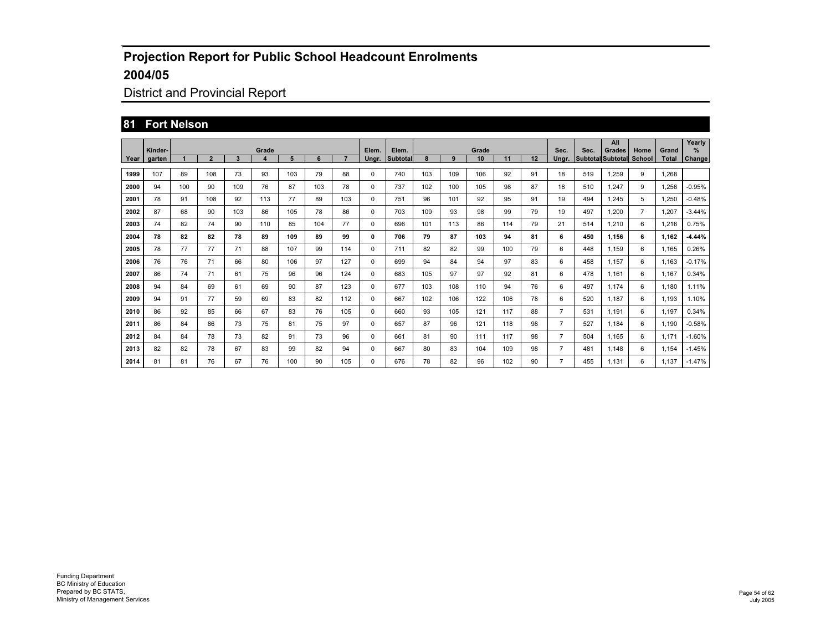## District and Provincial Report

#### **81 Fort Nelson**

|      | Kinder- |     |                |     | Grade |     |     |     | Elem. | Elem.    |     |     | Grade |     |    | Sec.           | Sec. | All<br><b>Grades</b>     | Home           | Grand        | Yearly<br>℅ |
|------|---------|-----|----------------|-----|-------|-----|-----|-----|-------|----------|-----|-----|-------|-----|----|----------------|------|--------------------------|----------------|--------------|-------------|
| Year | garten  |     | $\overline{2}$ | 3   | 4     | 5   | 6   |     | Ungr. | Subtotal | 8   | 9   | 10    | 11  | 12 | Unar.          |      | <b>Subtotal Subtotal</b> | School         | <b>Total</b> | Change      |
| 1999 | 107     | 89  | 108            | 73  | 93    | 103 | 79  | 88  | 0     | 740      | 103 | 109 | 106   | 92  | 91 | 18             | 519  | 1.259                    | 9              | 1,268        |             |
| 2000 | 94      | 100 | 90             | 109 | 76    | 87  | 103 | 78  | 0     | 737      | 102 | 100 | 105   | 98  | 87 | 18             | 510  | 1.247                    | 9              | 1,256        | $-0.95%$    |
| 2001 | 78      | 91  | 108            | 92  | 113   | 77  | 89  | 103 | 0     | 751      | 96  | 101 | 92    | 95  | 91 | 19             | 494  | 1.245                    | 5              | 1,250        | $-0.48%$    |
| 2002 | 87      | 68  | 90             | 103 | 86    | 105 | 78  | 86  | 0     | 703      | 109 | 93  | 98    | 99  | 79 | 19             | 497  | 1.200                    | $\overline{7}$ | 1,207        | $-3.44%$    |
| 2003 | 74      | 82  | 74             | 90  | 110   | 85  | 104 | 77  | 0     | 696      | 101 | 113 | 86    | 114 | 79 | 21             | 514  | 1.210                    | 6              | 1,216        | 0.75%       |
| 2004 | 78      | 82  | 82             | 78  | 89    | 109 | 89  | 99  | 0     | 706      | 79  | 87  | 103   | 94  | 81 | 6              | 450  | 1.156                    | 6              | 1.162        | $-4.44%$    |
| 2005 | 78      | 77  | 77             | 71  | 88    | 107 | 99  | 114 | 0     | 711      | 82  | 82  | 99    | 100 | 79 | 6              | 448  | 1.159                    | 6              | 1.165        | 0.26%       |
| 2006 | 76      | 76  | 71             | 66  | 80    | 106 | 97  | 127 | 0     | 699      | 94  | 84  | 94    | 97  | 83 | 6              | 458  | 1.157                    | 6              | 1.163        | $-0.17%$    |
| 2007 | 86      | 74  | 71             | 61  | 75    | 96  | 96  | 124 | 0     | 683      | 105 | 97  | 97    | 92  | 81 | 6              | 478  | 1.161                    | 6              | 1.167        | 0.34%       |
| 2008 | 94      | 84  | 69             | 61  | 69    | 90  | 87  | 123 | 0     | 677      | 103 | 108 | 110   | 94  | 76 | 6              | 497  | 1.174                    | 6              | 1.180        | 1.11%       |
| 2009 | 94      | 91  | 77             | 59  | 69    | 83  | 82  | 112 | 0     | 667      | 102 | 106 | 122   | 106 | 78 | 6              | 520  | 1.187                    | 6              | 1.193        | 1.10%       |
| 2010 | 86      | 92  | 85             | 66  | 67    | 83  | 76  | 105 | 0     | 660      | 93  | 105 | 121   | 117 | 88 | $\overline{7}$ | 531  | 1.191                    | 6              | 1.197        | 0.34%       |
| 2011 | 86      | 84  | 86             | 73  | 75    | 81  | 75  | 97  | 0     | 657      | 87  | 96  | 121   | 118 | 98 | $\overline{7}$ | 527  | 1.184                    | 6              | 1.190        | $-0.58%$    |
| 2012 | 84      | 84  | 78             | 73  | 82    | 91  | 73  | 96  | 0     | 661      | 81  | 90  | 111   | 117 | 98 | $\overline{7}$ | 504  | 1.165                    | 6              | 1.171        | $-1.60%$    |
| 2013 | 82      | 82  | 78             | 67  | 83    | 99  | 82  | 94  | 0     | 667      | 80  | 83  | 104   | 109 | 98 | $\overline{7}$ | 481  | 1.148                    | 6              | 1,154        | $-1.45%$    |
| 2014 | 81      | 81  | 76             | 67  | 76    | 100 | 90  | 105 | 0     | 676      | 78  | 82  | 96    | 102 | 90 |                | 455  | 1.131                    | 6              | 1.137        | $-1.47%$    |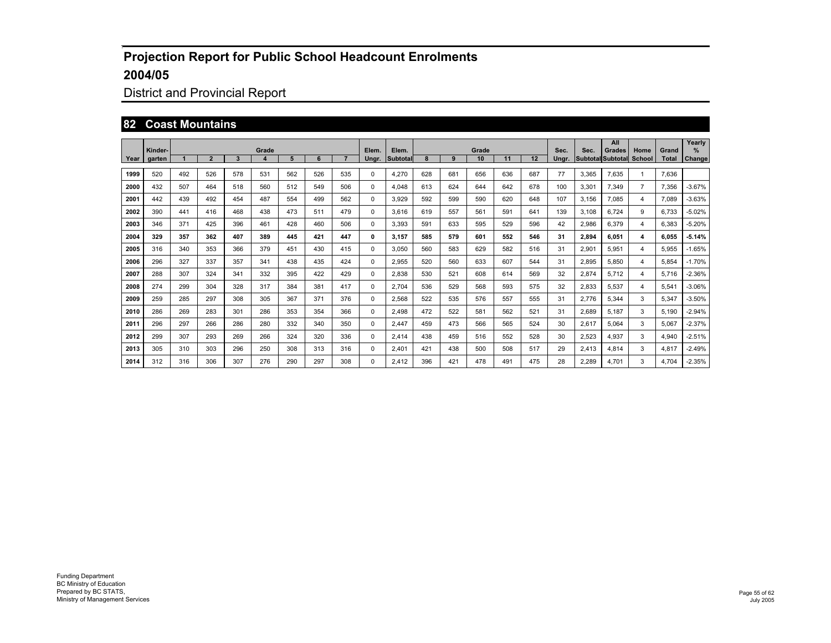## District and Provincial Report

#### **82 Coast Mountains**

|      | Kinder- |     |                |     | Grade            |     |     |     | Elem. | Elem.    |     |     | Grade |     |     | Sec.  | Sec.  | All<br>Grades            | Home           | Grand        | Yearly<br>$\frac{9}{6}$ |
|------|---------|-----|----------------|-----|------------------|-----|-----|-----|-------|----------|-----|-----|-------|-----|-----|-------|-------|--------------------------|----------------|--------------|-------------------------|
| Year | aarten  |     | $\overline{2}$ | 3   | $\boldsymbol{4}$ | 5   | 6   |     | Unar. | Subtotal |     | 9   | 10    | 11  | 12  | Unar. |       | <b>Subtotal Subtotal</b> | <b>School</b>  | <b>Total</b> | Change                  |
| 1999 | 520     | 492 | 526            | 578 | 531              | 562 | 526 | 535 | 0     | 4.270    | 628 | 681 | 656   | 636 | 687 | 77    | 3.365 | 7,635                    | $\mathbf{1}$   | 7.636        |                         |
| 2000 | 432     | 507 | 464            | 518 | 560              | 512 | 549 | 506 | 0     | 4.048    | 613 | 624 | 644   | 642 | 678 | 100   | 3.301 | 7.349                    | $\overline{7}$ | 7.356        | $-3.67%$                |
| 2001 | 442     | 439 | 492            | 454 | 487              | 554 | 499 | 562 | 0     | 3.929    | 592 | 599 | 590   | 620 | 648 | 107   | 3.156 | 7.085                    | 4              | 7.089        | $-3.63%$                |
| 2002 | 390     | 441 | 416            | 468 | 438              | 473 | 511 | 479 | 0     | 3.616    | 619 | 557 | 561   | 591 | 641 | 139   | 3.108 | 6.724                    | 9              | 6.733        | $-5.02%$                |
| 2003 | 346     | 371 | 425            | 396 | 461              | 428 | 460 | 506 | 0     | 3,393    | 591 | 633 | 595   | 529 | 596 | 42    | 2,986 | 6,379                    | 4              | 6,383        | $-5.20%$                |
| 2004 | 329     | 357 | 362            | 407 | 389              | 445 | 421 | 447 | 0     | 3.157    | 585 | 579 | 601   | 552 | 546 | 31    | 2,894 | 6.051                    | 4              | 6.055        | $-5.14%$                |
| 2005 | 316     | 340 | 353            | 366 | 379              | 451 | 430 | 415 | 0     | 3.050    | 560 | 583 | 629   | 582 | 516 | 31    | 2.901 | 5.951                    | 4              | 5.955        | $-1.65%$                |
| 2006 | 296     | 327 | 337            | 357 | 341              | 438 | 435 | 424 | 0     | 2.955    | 520 | 560 | 633   | 607 | 544 | 31    | 2.895 | 5.850                    | 4              | 5.854        | $-1.70%$                |
| 2007 | 288     | 307 | 324            | 341 | 332              | 395 | 422 | 429 | 0     | 2.838    | 530 | 521 | 608   | 614 | 569 | 32    | 2.874 | 5.712                    | 4              | 5.716        | $-2.36%$                |
| 2008 | 274     | 299 | 304            | 328 | 317              | 384 | 381 | 417 | 0     | 2.704    | 536 | 529 | 568   | 593 | 575 | 32    | 2,833 | 5,537                    | 4              | 5,541        | $-3.06%$                |
| 2009 | 259     | 285 | 297            | 308 | 305              | 367 | 371 | 376 | 0     | 2.568    | 522 | 535 | 576   | 557 | 555 | 31    | 2.776 | 5.344                    | 3              | 5.347        | $-3.50%$                |
| 2010 | 286     | 269 | 283            | 301 | 286              | 353 | 354 | 366 | 0     | 2.498    | 472 | 522 | 581   | 562 | 521 | 31    | 2,689 | 5.187                    | 3              | 5,190        | $-2.94%$                |
| 2011 | 296     | 297 | 266            | 286 | 280              | 332 | 340 | 350 | 0     | 2.447    | 459 | 473 | 566   | 565 | 524 | 30    | 2,617 | 5,064                    | 3              | 5,067        | $-2.37%$                |
| 2012 | 299     | 307 | 293            | 269 | 266              | 324 | 320 | 336 | 0     | 2.414    | 438 | 459 | 516   | 552 | 528 | 30    | 2,523 | 4,937                    | 3              | 4,940        | $-2.51%$                |
| 2013 | 305     | 310 | 303            | 296 | 250              | 308 | 313 | 316 | 0     | 2,401    | 421 | 438 | 500   | 508 | 517 | 29    | 2,413 | 4,814                    | 3              | 4,817        | $-2.49%$                |
| 2014 | 312     | 316 | 306            | 307 | 276              | 290 | 297 | 308 | 0     | 2.412    | 396 | 421 | 478   | 491 | 475 | 28    | 2.289 | 4.701                    | 3              | 4.704        | $-2.35%$                |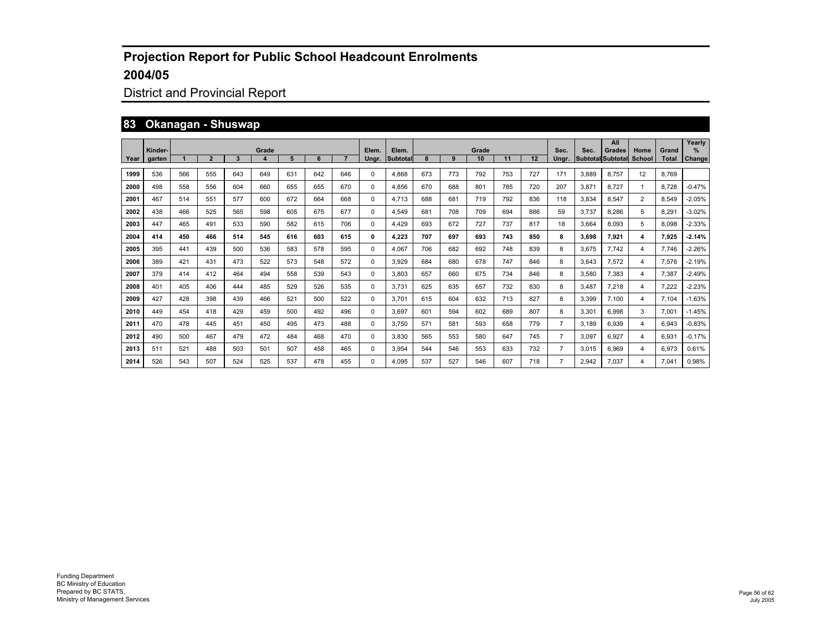## District and Provincial Report

#### **83 Okanagan - Shuswap**

|      |                   |     |                |     |       |     |     |     |                |                   |     |     | Grade |     |     |                |       | All                                |                |                       | Yearly             |
|------|-------------------|-----|----------------|-----|-------|-----|-----|-----|----------------|-------------------|-----|-----|-------|-----|-----|----------------|-------|------------------------------------|----------------|-----------------------|--------------------|
| Year | Kinder-<br>garten |     | $\overline{2}$ | 3   | Grade | 5   | 6   |     | Elem.<br>Unar. | Elem.<br>Subtotal | 8   | 9   | 10    | 11  | 12  | Sec.<br>Unar.  | Sec.  | Grades<br><b>Subtotal Subtotal</b> | Home<br>School | Grand<br><b>Total</b> | %<br><b>Change</b> |
| 1999 | 536               | 566 | 555            | 643 | 649   | 631 | 642 | 646 | 0              | 4,868             | 673 | 773 | 792   | 753 | 727 | 171            | 3,889 | 8.757                              | 12             | 8.769                 |                    |
| 2000 | 498               | 558 | 556            | 604 | 660   | 655 | 655 | 670 | 0              | 4.856             | 670 | 688 | 801   | 785 | 720 | 207            | 3,871 | 8.727                              | -1             | 8.728                 | $-0.47%$           |
| 2001 | 467               | 514 | 551            | 577 | 600   | 672 | 664 | 668 | $\Omega$       | 4.713             | 688 | 681 | 719   | 792 | 836 | 118            | 3.834 | 8.547                              | 2              | 8.549                 | $-2.05%$           |
| 2002 | 438               | 466 | 525            | 565 | 598   | 605 | 675 | 677 | 0              | 4.549             | 681 | 708 | 709   | 694 | 886 | 59             | 3.737 | 8.286                              | 5              | 8.291                 | $-3.02%$           |
| 2003 | 447               | 465 | 491            | 533 | 590   | 582 | 615 | 706 | 0              | 4.429             | 693 | 672 | 727   | 737 | 817 | 18             | 3.664 | 8.093                              | 5              | 8.098                 | $-2.33%$           |
| 2004 | 414               | 450 | 466            | 514 | 545   | 616 | 603 | 615 | 0              | 4.223             | 707 | 697 | 693   | 743 | 850 | 8              | 3.698 | 7.921                              | 4              | 7.925                 | $-2.14%$           |
| 2005 | 395               | 441 | 439            | 500 | 536   | 583 | 578 | 595 | 0              | 4.067             | 706 | 682 | 692   | 748 | 839 | 8              | 3.675 | 7.742                              | 4              | 7.746                 | $-2.26%$           |
| 2006 | 389               | 421 | 431            | 473 | 522   | 573 | 548 | 572 | $\Omega$       | 3.929             | 684 | 680 | 678   | 747 | 846 | 8              | 3.643 | 7.572                              | 4              | 7.576                 | $-2.19%$           |
| 2007 | 379               | 414 | 412            | 464 | 494   | 558 | 539 | 543 | $\Omega$       | 3.803             | 657 | 660 | 675   | 734 | 846 | 8              | 3.580 | 7.383                              | 4              | 7.387                 | $-2.49%$           |
| 2008 | 401               | 405 | 406            | 444 | 485   | 529 | 526 | 535 | 0              | 3.731             | 625 | 635 | 657   | 732 | 830 | 8              | 3.487 | 7.218                              | $\overline{4}$ | 7.222                 | $-2.23%$           |
| 2009 | 427               | 428 | 398            | 439 | 466   | 521 | 500 | 522 | 0              | 3.701             | 615 | 604 | 632   | 713 | 827 | 8              | 3,399 | 7.100                              | $\overline{4}$ | 7.104                 | $-1.63%$           |
| 2010 | 449               | 454 | 418            | 429 | 459   | 500 | 492 | 496 | 0              | 3.697             | 601 | 594 | 602   | 689 | 807 | 8              | 3.301 | 6.998                              | 3              | 7.001                 | $-1.45%$           |
| 2011 | 470               | 478 | 445            | 451 | 450   | 495 | 473 | 488 | $\Omega$       | 3.750             | 571 | 581 | 593   | 658 | 779 | $\overline{7}$ | 3.189 | 6.939                              | 4              | 6.943                 | $-0.83%$           |
| 2012 | 490               | 500 | 467            | 479 | 472   | 484 | 468 | 470 | $\Omega$       | 3.830             | 565 | 553 | 580   | 647 | 745 | $\overline{7}$ | 3.097 | 6.927                              | 4              | 6.931                 | $-0.17%$           |
| 2013 | 511               | 521 | 488            | 503 | 501   | 507 | 458 | 465 | 0              | 3,954             | 544 | 546 | 553   | 633 | 732 | $\overline{7}$ | 3,015 | 6,969                              | 4              | 6,973                 | 0.61%              |
| 2014 | 526               | 543 | 507            | 524 | 525   | 537 | 478 | 455 | 0              | 4.095             | 537 | 527 | 546   | 607 | 718 | 7              | 2,942 | 7.037                              | 4              | 7.041                 | 0.98%              |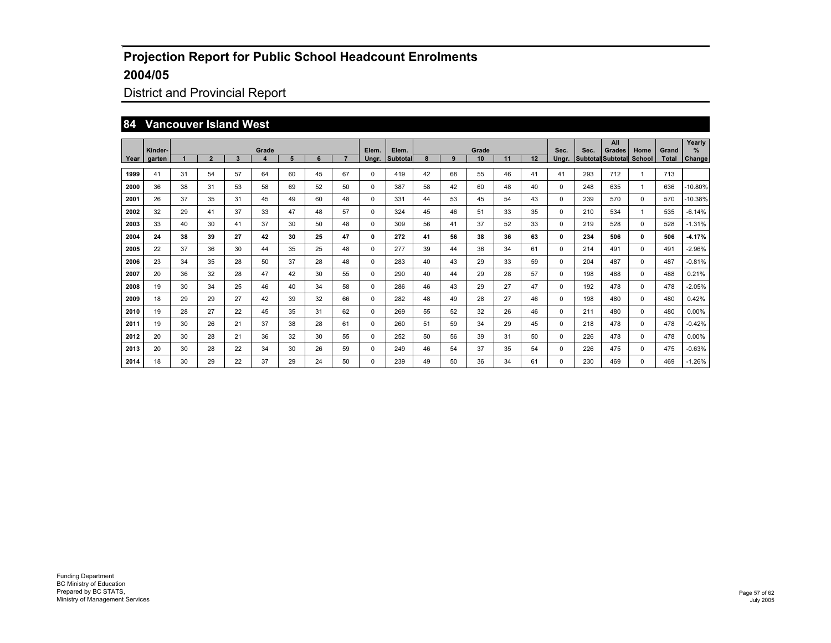## District and Provincial Report

#### **84 Vancouver Island West**

|      | Kinder- |    |                |    | Grade                   |    |    |    | Elem. | Elem.           |    |    | Grade |    |    | Sec.     | Sec. | All<br><b>Grades</b>     | Home         | Grand | Yearly<br>% |
|------|---------|----|----------------|----|-------------------------|----|----|----|-------|-----------------|----|----|-------|----|----|----------|------|--------------------------|--------------|-------|-------------|
| Year | garten  |    | $\overline{2}$ | 3  | $\overline{\mathbf{4}}$ | 5  | 6  | 7  | Ungr. | <b>Subtotal</b> | 8  | 9  | 10    | 11 | 12 | Ungr.    |      | Subtotal Subtotal School |              | Total | Change      |
| 1999 | 41      | 31 | 54             | 57 | 64                      | 60 | 45 | 67 | 0     | 419             | 42 | 68 | 55    | 46 | 41 | 41       | 293  | 712                      | 1            | 713   |             |
| 2000 | 36      | 38 | 31             | 53 | 58                      | 69 | 52 | 50 | 0     | 387             | 58 | 42 | 60    | 48 | 40 | 0        | 248  | 635                      | 1            | 636   | 10.80%      |
| 2001 | 26      | 37 | 35             | 31 | 45                      | 49 | 60 | 48 | 0     | 331             | 44 | 53 | 45    | 54 | 43 | $\Omega$ | 239  | 570                      | 0            | 570   | 10.38%      |
| 2002 | 32      | 29 | 41             | 37 | 33                      | 47 | 48 | 57 | 0     | 324             | 45 | 46 | 51    | 33 | 35 | $\Omega$ | 210  | 534                      | $\mathbf{1}$ | 535   | $-6.14%$    |
| 2003 | 33      | 40 | 30             | 41 | 37                      | 30 | 50 | 48 | 0     | 309             | 56 | 41 | 37    | 52 | 33 | $\Omega$ | 219  | 528                      | 0            | 528   | $-1.31%$    |
| 2004 | 24      | 38 | 39             | 27 | 42                      | 30 | 25 | 47 | 0     | 272             | 41 | 56 | 38    | 36 | 63 | 0        | 234  | 506                      | 0            | 506   | $-4.17%$    |
| 2005 | 22      | 37 | 36             | 30 | 44                      | 35 | 25 | 48 | 0     | 277             | 39 | 44 | 36    | 34 | 61 | 0        | 214  | 491                      | 0            | 491   | $-2.96%$    |
| 2006 | 23      | 34 | 35             | 28 | 50                      | 37 | 28 | 48 | 0     | 283             | 40 | 43 | 29    | 33 | 59 | $\Omega$ | 204  | 487                      | 0            | 487   | $-0.81%$    |
| 2007 | 20      | 36 | 32             | 28 | 47                      | 42 | 30 | 55 | 0     | 290             | 40 | 44 | 29    | 28 | 57 | $\Omega$ | 198  | 488                      | 0            | 488   | 0.21%       |
| 2008 | 19      | 30 | 34             | 25 | 46                      | 40 | 34 | 58 | 0     | 286             | 46 | 43 | 29    | 27 | 47 | $\Omega$ | 192  | 478                      | 0            | 478   | $-2.05%$    |
| 2009 | 18      | 29 | 29             | 27 | 42                      | 39 | 32 | 66 | 0     | 282             | 48 | 49 | 28    | 27 | 46 | $\Omega$ | 198  | 480                      | 0            | 480   | 0.42%       |
| 2010 | 19      | 28 | 27             | 22 | 45                      | 35 | 31 | 62 | 0     | 269             | 55 | 52 | 32    | 26 | 46 | $\Omega$ | 211  | 480                      | $\Omega$     | 480   | 0.00%       |
| 2011 | 19      | 30 | 26             | 21 | 37                      | 38 | 28 | 61 | 0     | 260             | 51 | 59 | 34    | 29 | 45 | $\Omega$ | 218  | 478                      | 0            | 478   | $-0.42%$    |
| 2012 | 20      | 30 | 28             | 21 | 36                      | 32 | 30 | 55 | 0     | 252             | 50 | 56 | 39    | 31 | 50 | $\Omega$ | 226  | 478                      | 0            | 478   | 0.00%       |
| 2013 | 20      | 30 | 28             | 22 | 34                      | 30 | 26 | 59 | 0     | 249             | 46 | 54 | 37    | 35 | 54 | $\Omega$ | 226  | 475                      | 0            | 475   | $-0.63%$    |
| 2014 | 18      | 30 | 29             | 22 | 37                      | 29 | 24 | 50 | 0     | 239             | 49 | 50 | 36    | 34 | 61 | $\Omega$ | 230  | 469                      | 0            | 469   | $-1.26%$    |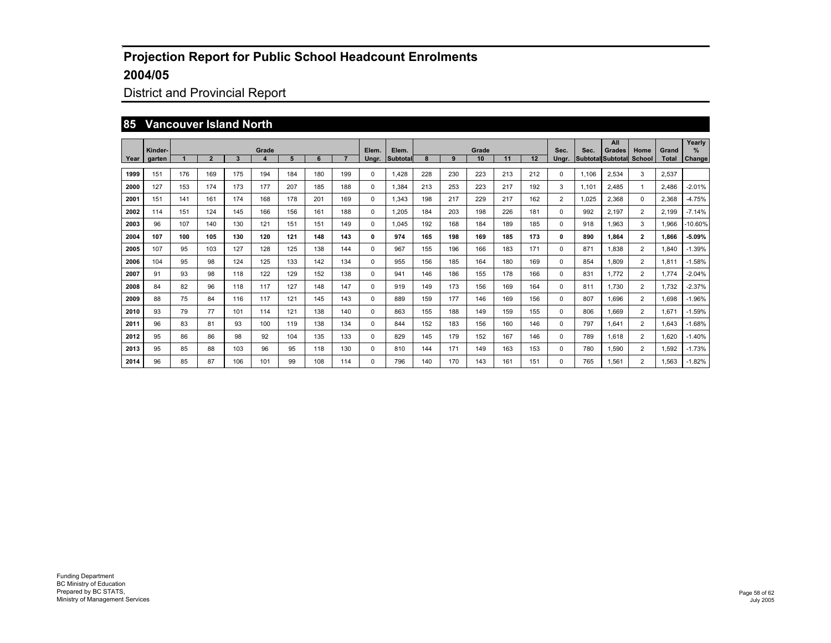## District and Provincial Report

#### **85 Vancouver Island North**

|      | Kinder- |     |                |     | Grade                   |     |     |     | Elem. | Elem.           |     |     | Grade |     |     | Sec.           | Sec.              | All<br><b>Grades</b> | Home           | Grand | Yearly<br>$\%$ |
|------|---------|-----|----------------|-----|-------------------------|-----|-----|-----|-------|-----------------|-----|-----|-------|-----|-----|----------------|-------------------|----------------------|----------------|-------|----------------|
| Year | garten  |     | $\overline{2}$ | 3   | $\overline{\mathbf{4}}$ | 5   | 6   | 7   | Ungr. | <b>Subtotal</b> | 8   | 9   | 10    | 11  | 12  | Unar.          | Subtotal Subtotal |                      | School         | Total | Change         |
| 1999 | 151     | 176 | 169            | 175 | 194                     | 184 | 180 | 199 | 0     | 1.428           | 228 | 230 | 223   | 213 | 212 | $\Omega$       | 1.106             | 2,534                | 3              | 2,537 |                |
| 2000 | 127     | 153 | 174            | 173 | 177                     | 207 | 185 | 188 | 0     | 1,384           | 213 | 253 | 223   | 217 | 192 | 3              | 1.101             | 2,485                | 1              | 2.486 | $-2.01%$       |
| 2001 | 151     | 141 | 161            | 174 | 168                     | 178 | 201 | 169 | 0     | 1.343           | 198 | 217 | 229   | 217 | 162 | $\overline{2}$ | 1.025             | 2.368                | $\Omega$       | 2.368 | $-4.75%$       |
| 2002 | 114     | 151 | 124            | 145 | 166                     | 156 | 161 | 188 | 0     | 1.205           | 184 | 203 | 198   | 226 | 181 | $\Omega$       | 992               | 2.197                | $\overline{2}$ | 2.199 | $-7.14%$       |
| 2003 | 96      | 107 | 140            | 130 | 121                     | 151 | 151 | 149 | 0     | 1.045           | 192 | 168 | 184   | 189 | 185 | $\Omega$       | 918               | 1,963                | 3              | 1.966 | 10.60%         |
| 2004 | 107     | 100 | 105            | 130 | 120                     | 121 | 148 | 143 | 0     | 974             | 165 | 198 | 169   | 185 | 173 | 0              | 890               | 1.864                | $\mathbf{2}$   | 1.866 | $-5.09%$       |
| 2005 | 107     | 95  | 103            | 127 | 128                     | 125 | 138 | 144 | 0     | 967             | 155 | 196 | 166   | 183 | 171 | $\Omega$       | 871               | 1,838                | $\overline{2}$ | 1.840 | $-1.39%$       |
| 2006 | 104     | 95  | 98             | 124 | 125                     | 133 | 142 | 134 | 0     | 955             | 156 | 185 | 164   | 180 | 169 | $\Omega$       | 854               | 1.809                | $\overline{2}$ | 1.811 | $-1.58%$       |
| 2007 | 91      | 93  | 98             | 118 | 122                     | 129 | 152 | 138 | 0     | 941             | 146 | 186 | 155   | 178 | 166 | $\Omega$       | 831               | 1.772                | $\overline{2}$ | 1.774 | $-2.04%$       |
| 2008 | 84      | 82  | 96             | 118 | 117                     | 127 | 148 | 147 | 0     | 919             | 149 | 173 | 156   | 169 | 164 | $\Omega$       | 811               | 1.730                | $\overline{2}$ | 1,732 | $-2.37%$       |
| 2009 | 88      | 75  | 84             | 116 | 117                     | 121 | 145 | 143 | 0     | 889             | 159 | 177 | 146   | 169 | 156 | $\Omega$       | 807               | 1.696                | $\overline{2}$ | 1,698 | $-1.96%$       |
| 2010 | 93      | 79  | 77             | 101 | 114                     | 121 | 138 | 140 | 0     | 863             | 155 | 188 | 149   | 159 | 155 | $\Omega$       | 806               | 1.669                | $\overline{2}$ | 1.671 | $-1.59%$       |
| 2011 | 96      | 83  | 81             | 93  | 100                     | 119 | 138 | 134 | 0     | 844             | 152 | 183 | 156   | 160 | 146 | $\Omega$       | 797               | 1.641                | $\overline{2}$ | 1,643 | $-1.68%$       |
| 2012 | 95      | 86  | 86             | 98  | 92                      | 104 | 135 | 133 | 0     | 829             | 145 | 179 | 152   | 167 | 146 | $\Omega$       | 789               | 1.618                | $\overline{2}$ | 1.620 | $-1.40%$       |
| 2013 | 95      | 85  | 88             | 103 | 96                      | 95  | 118 | 130 | 0     | 810             | 144 | 171 | 149   | 163 | 153 | $\Omega$       | 780               | 1,590                | $\overline{2}$ | 1,592 | $-1.73%$       |
| 2014 | 96      | 85  | 87             | 106 | 101                     | 99  | 108 | 114 | 0     | 796             | 140 | 170 | 143   | 161 | 151 | $\Omega$       | 765               | 1.561                | $\overline{2}$ | 1.563 | $-1.82%$       |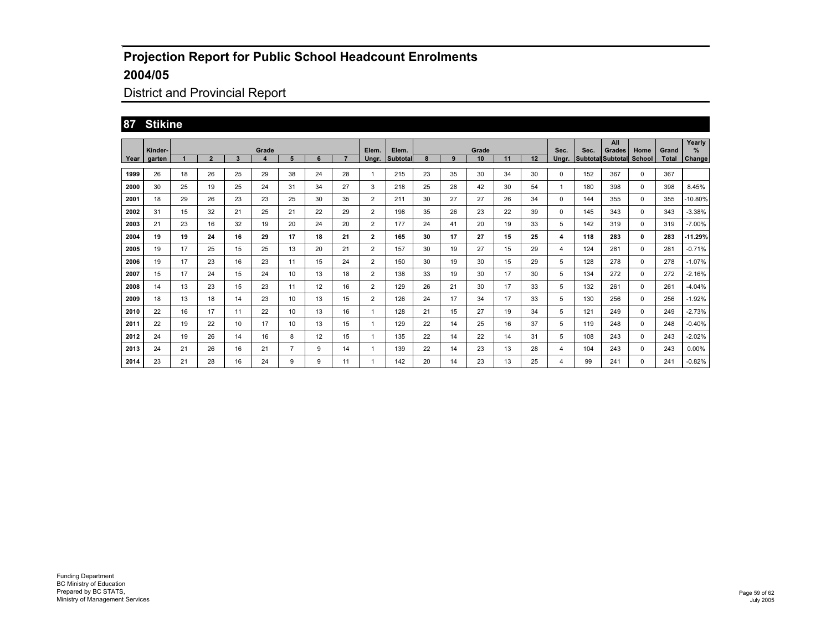## District and Provincial Report

#### **87 Stikine**

|      |                   |    |                |    |            |    |    |    |                |                   |    |    |             |    |    |               |      | All                                |                       |                       | Yearly      |
|------|-------------------|----|----------------|----|------------|----|----|----|----------------|-------------------|----|----|-------------|----|----|---------------|------|------------------------------------|-----------------------|-----------------------|-------------|
| Year | Kinder-<br>garten |    | $\overline{2}$ | 3  | Grade<br>4 | 5  | 6  | 7  | Elem.<br>Ungr. | Elem.<br>Subtotal | 8  | 9  | Grade<br>10 | 11 | 12 | Sec.<br>Ungr. | Sec. | Grades<br><b>Subtotal Subtotal</b> | Home<br><b>School</b> | Grand<br><b>Total</b> | %<br>Change |
|      |                   |    |                |    |            |    |    |    |                |                   |    |    |             |    |    |               |      |                                    |                       |                       |             |
| 1999 | 26                | 18 | 26             | 25 | 29         | 38 | 24 | 28 |                | 215               | 23 | 35 | 30          | 34 | 30 | 0             | 152  | 367                                | 0                     | 367                   |             |
| 2000 | 30                | 25 | 19             | 25 | 24         | 31 | 34 | 27 | 3              | 218               | 25 | 28 | 42          | 30 | 54 |               | 180  | 398                                | 0                     | 398                   | 8.45%       |
| 2001 | 18                | 29 | 26             | 23 | 23         | 25 | 30 | 35 | $\overline{2}$ | 211               | 30 | 27 | 27          | 26 | 34 | 0             | 144  | 355                                | 0                     | 355                   | -10.80%     |
| 2002 | 31                | 15 | 32             | 21 | 25         | 21 | 22 | 29 | $\overline{2}$ | 198               | 35 | 26 | 23          | 22 | 39 | 0             | 145  | 343                                | 0                     | 343                   | $-3.38%$    |
| 2003 | 21                | 23 | 16             | 32 | 19         | 20 | 24 | 20 | $\overline{2}$ | 177               | 24 | 41 | 20          | 19 | 33 | 5             | 142  | 319                                | 0                     | 319                   | $-7.00\%$   |
| 2004 | 19                | 19 | 24             | 16 | 29         | 17 | 18 | 21 | $\mathbf{2}$   | 165               | 30 | 17 | 27          | 15 | 25 | 4             | 118  | 283                                | 0                     | 283                   | 11.29%      |
| 2005 | 19                | 17 | 25             | 15 | 25         | 13 | 20 | 21 | $\overline{2}$ | 157               | 30 | 19 | 27          | 15 | 29 | 4             | 124  | 281                                | 0                     | 281                   | $-0.71%$    |
| 2006 | 19                | 17 | 23             | 16 | 23         | 11 | 15 | 24 | $\overline{2}$ | 150               | 30 | 19 | 30          | 15 | 29 | 5             | 128  | 278                                | $^{\circ}$            | 278                   | $-1.07%$    |
| 2007 | 15                | 17 | 24             | 15 | 24         | 10 | 13 | 18 | $\overline{2}$ | 138               | 33 | 19 | 30          | 17 | 30 | 5             | 134  | 272                                | 0                     | 272                   | $-2.16%$    |
| 2008 | 14                | 13 | 23             | 15 | 23         | 11 | 12 | 16 | $\overline{2}$ | 129               | 26 | 21 | 30          | 17 | 33 | 5             | 132  | 261                                | 0                     | 261                   | $-4.04%$    |
| 2009 | 18                | 13 | 18             | 14 | 23         | 10 | 13 | 15 | $\overline{2}$ | 126               | 24 | 17 | 34          | 17 | 33 | 5             | 130  | 256                                | $^{\circ}$            | 256                   | $-1.92%$    |
| 2010 | 22                | 16 | 17             | 11 | 22         | 10 | 13 | 16 | 1              | 128               | 21 | 15 | 27          | 19 | 34 | 5             | 121  | 249                                | 0                     | 249                   | $-2.73%$    |
| 2011 | 22                | 19 | 22             | 10 | 17         | 10 | 13 | 15 | 1              | 129               | 22 | 14 | 25          | 16 | 37 | 5             | 119  | 248                                | 0                     | 248                   | $-0.40%$    |
| 2012 | 24                | 19 | 26             | 14 | 16         | 8  | 12 | 15 | 1              | 135               | 22 | 14 | 22          | 14 | 31 | 5             | 108  | 243                                | 0                     | 243                   | $-2.02%$    |
| 2013 | 24                | 21 | 26             | 16 | 21         | 7  | 9  | 14 |                | 139               | 22 | 14 | 23          | 13 | 28 | 4             | 104  | 243                                | 0                     | 243                   | $0.00\%$    |
| 2014 | 23                | 21 | 28             | 16 | 24         | 9  | 9  | 11 |                | 142               | 20 | 14 | 23          | 13 | 25 | 4             | 99   | 241                                | 0                     | 241                   | $-0.82%$    |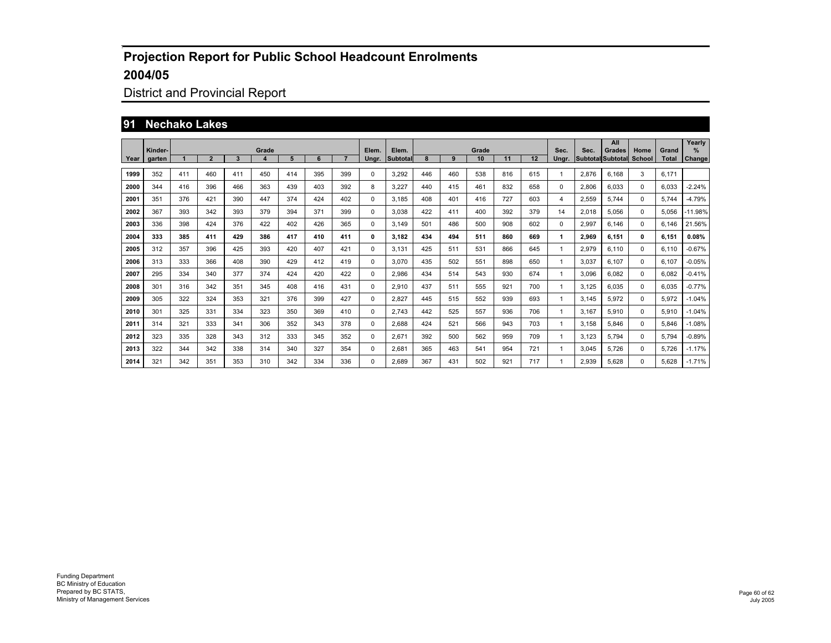## District and Provincial Report

#### **91 Nechako Lakes**

|      | Kinder- |     |                |     | Grade |     |     |     | Elem. | Elem.           | Grade |     |     |     |     |               | Sec.  | All<br>Grades            | Home        | Grand        | Yearly<br>$\%$ |
|------|---------|-----|----------------|-----|-------|-----|-----|-----|-------|-----------------|-------|-----|-----|-----|-----|---------------|-------|--------------------------|-------------|--------------|----------------|
| Year | garten  |     | $\overline{2}$ | 3   | 4     | 5   | 6   |     | Ungr. | <b>Subtotal</b> |       | 9   | 10  | 11  | 12  | Sec.<br>Unar. |       | <b>Subtotal Subtotal</b> | School      | <b>Total</b> | Change         |
| 1999 | 352     | 411 | 460            | 411 | 450   | 414 | 395 | 399 | 0     | 3,292           | 446   | 460 | 538 | 816 | 615 |               | 2,876 | 6,168                    | 3           | 6,171        |                |
| 2000 | 344     | 416 | 396            | 466 | 363   | 439 | 403 | 392 | 8     | 3,227           | 440   | 415 | 461 | 832 | 658 | 0             | 2,806 | 6,033                    | $\mathbf 0$ | 6,033        | $-2.24%$       |
| 2001 | 351     | 376 | 421            | 390 | 447   | 374 | 424 | 402 | 0     | 3.185           | 408   | 401 | 416 | 727 | 603 | 4             | 2,559 | 5,744                    | $\mathbf 0$ | 5.744        | $-4.79%$       |
| 2002 | 367     | 393 | 342            | 393 | 379   | 394 | 371 | 399 | 0     | 3.038           | 422   | 411 | 400 | 392 | 379 | 14            | 2,018 | 5,056                    | $\mathbf 0$ | 5,056        | 11.98%         |
| 2003 | 336     | 398 | 424            | 376 | 422   | 402 | 426 | 365 | 0     | 3.149           | 501   | 486 | 500 | 908 | 602 | 0             | 2,997 | 6.146                    | $\mathbf 0$ | 6,146        | 21.56%         |
| 2004 | 333     | 385 | 411            | 429 | 386   | 417 | 410 | 411 | 0     | 3.182           | 434   | 494 | 511 | 860 | 669 | 1             | 2.969 | 6.151                    | 0           | 6,151        | 0.08%          |
| 2005 | 312     | 357 | 396            | 425 | 393   | 420 | 407 | 421 | 0     | 3.131           | 425   | 511 | 531 | 866 | 645 | 1             | 2,979 | 6,110                    | $\mathbf 0$ | 6,110        | $-0.67%$       |
| 2006 | 313     | 333 | 366            | 408 | 390   | 429 | 412 | 419 | 0     | 3.070           | 435   | 502 | 551 | 898 | 650 | 1             | 3.037 | 6.107                    | $\mathbf 0$ | 6,107        | $-0.05%$       |
| 2007 | 295     | 334 | 340            | 377 | 374   | 424 | 420 | 422 | 0     | 2.986           | 434   | 514 | 543 | 930 | 674 | 1             | 3.096 | 6.082                    | $\mathbf 0$ | 6,082        | $-0.41%$       |
| 2008 | 301     | 316 | 342            | 351 | 345   | 408 | 416 | 431 | 0     | 2,910           | 437   | 511 | 555 | 921 | 700 | 1             | 3.125 | 6,035                    | $\mathbf 0$ | 6,035        | $-0.77%$       |
| 2009 | 305     | 322 | 324            | 353 | 321   | 376 | 399 | 427 | 0     | 2,827           | 445   | 515 | 552 | 939 | 693 | 1             | 3.145 | 5,972                    | $\mathbf 0$ | 5,972        | $-1.04%$       |
| 2010 | 301     | 325 | 331            | 334 | 323   | 350 | 369 | 410 | 0     | 2,743           | 442   | 525 | 557 | 936 | 706 |               | 3,167 | 5,910                    | 0           | 5,910        | $-1.04%$       |
| 2011 | 314     | 321 | 333            | 341 | 306   | 352 | 343 | 378 | 0     | 2,688           | 424   | 521 | 566 | 943 | 703 |               | 3,158 | 5,846                    | 0           | 5,846        | $-1.08%$       |
| 2012 | 323     | 335 | 328            | 343 | 312   | 333 | 345 | 352 | 0     | 2,671           | 392   | 500 | 562 | 959 | 709 |               | 3,123 | 5,794                    | $\mathbf 0$ | 5,794        | $-0.89%$       |
| 2013 | 322     | 344 | 342            | 338 | 314   | 340 | 327 | 354 | 0     | 2,681           | 365   | 463 | 541 | 954 | 721 |               | 3,045 | 5,726                    | $\mathbf 0$ | 5,726        | $-1.17%$       |
| 2014 | 321     | 342 | 351            | 353 | 310   | 342 | 334 | 336 | 0     | 2.689           | 367   | 431 | 502 | 921 | 717 |               | 2,939 | 5.628                    | 0           | 5.628        | $-1.71%$       |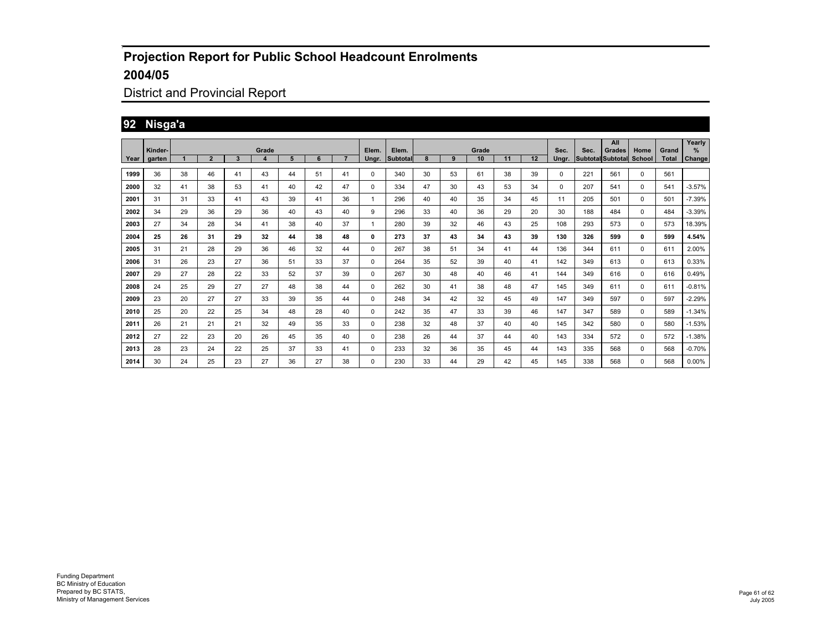## District and Provincial Report

## **92 Nisga'a**

|      |         |    |                |              |       |    |    |    |              |          |    |    |       |    |    |       |      | All                             |             |              | Yearly   |
|------|---------|----|----------------|--------------|-------|----|----|----|--------------|----------|----|----|-------|----|----|-------|------|---------------------------------|-------------|--------------|----------|
|      | Kinder- |    |                |              | Grade |    |    |    | Elem.        | Elem.    |    |    | Grade |    |    | Sec.  | Sec. | Grades                          | Home        | Grand        | %        |
| Year | garten  |    | $\overline{2}$ | $\mathbf{3}$ | 4     | 5  | 6  |    | Ungr.        | Subtotal | 8  | 9  | 10    | 11 | 12 | Unar. |      | <b>Subtotal Subtotal School</b> |             | <b>Total</b> | Change   |
| 1999 | 36      | 38 | 46             | 41           | 43    | 44 | 51 | 41 | $\Omega$     | 340      | 30 | 53 | 61    | 38 | 39 | 0     | 221  | 561                             | $\mathbf 0$ | 561          |          |
| 2000 | 32      | 41 | 38             | 53           | 41    | 40 | 42 | 47 | $\Omega$     | 334      | 47 | 30 | 43    | 53 | 34 | 0     | 207  | 541                             | 0           | 541          | $-3.57%$ |
| 2001 | 31      | 31 | 33             | 41           | 43    | 39 | 41 | 36 | $\mathbf{1}$ | 296      | 40 | 40 | 35    | 34 | 45 | 11    | 205  | 501                             | 0           | 501          | $-7.39%$ |
| 2002 | 34      | 29 | 36             | 29           | 36    | 40 | 43 | 40 | 9            | 296      | 33 | 40 | 36    | 29 | 20 | 30    | 188  | 484                             | $\mathbf 0$ | 484          | $-3.39%$ |
| 2003 | 27      | 34 | 28             | 34           | 41    | 38 | 40 | 37 | 1            | 280      | 39 | 32 | 46    | 43 | 25 | 108   | 293  | 573                             | 0           | 573          | 18.39%   |
| 2004 | 25      | 26 | 31             | 29           | 32    | 44 | 38 | 48 | 0            | 273      | 37 | 43 | 34    | 43 | 39 | 130   | 326  | 599                             | 0           | 599          | 4.54%    |
| 2005 | 31      | 21 | 28             | 29           | 36    | 46 | 32 | 44 | 0            | 267      | 38 | 51 | 34    | 41 | 44 | 136   | 344  | 611                             | 0           | 611          | 2.00%    |
| 2006 | 31      | 26 | 23             | 27           | 36    | 51 | 33 | 37 | 0            | 264      | 35 | 52 | 39    | 40 | 41 | 142   | 349  | 613                             | 0           | 613          | 0.33%    |
| 2007 | 29      | 27 | 28             | 22           | 33    | 52 | 37 | 39 | 0            | 267      | 30 | 48 | 40    | 46 | 41 | 144   | 349  | 616                             | 0           | 616          | 0.49%    |
| 2008 | 24      | 25 | 29             | 27           | 27    | 48 | 38 | 44 | $\Omega$     | 262      | 30 | 41 | 38    | 48 | 47 | 145   | 349  | 611                             | 0           | 611          | $-0.81%$ |
| 2009 | 23      | 20 | 27             | 27           | 33    | 39 | 35 | 44 | $\Omega$     | 248      | 34 | 42 | 32    | 45 | 49 | 147   | 349  | 597                             | 0           | 597          | $-2.29%$ |
| 2010 | 25      | 20 | 22             | 25           | 34    | 48 | 28 | 40 | 0            | 242      | 35 | 47 | 33    | 39 | 46 | 147   | 347  | 589                             | 0           | 589          | $-1.34%$ |
| 2011 | 26      | 21 | 21             | 21           | 32    | 49 | 35 | 33 | 0            | 238      | 32 | 48 | 37    | 40 | 40 | 145   | 342  | 580                             | 0           | 580          | $-1.53%$ |
| 2012 | 27      | 22 | 23             | 20           | 26    | 45 | 35 | 40 | 0            | 238      | 26 | 44 | 37    | 44 | 40 | 143   | 334  | 572                             | 0           | 572          | $-1.38%$ |
| 2013 | 28      | 23 | 24             | 22           | 25    | 37 | 33 | 41 | 0            | 233      | 32 | 36 | 35    | 45 | 44 | 143   | 335  | 568                             | 0           | 568          | $-0.70%$ |
| 2014 | 30      | 24 | 25             | 23           | 27    | 36 | 27 | 38 | $\Omega$     | 230      | 33 | 44 | 29    | 42 | 45 | 145   | 338  | 568                             | $\Omega$    | 568          | $0.00\%$ |